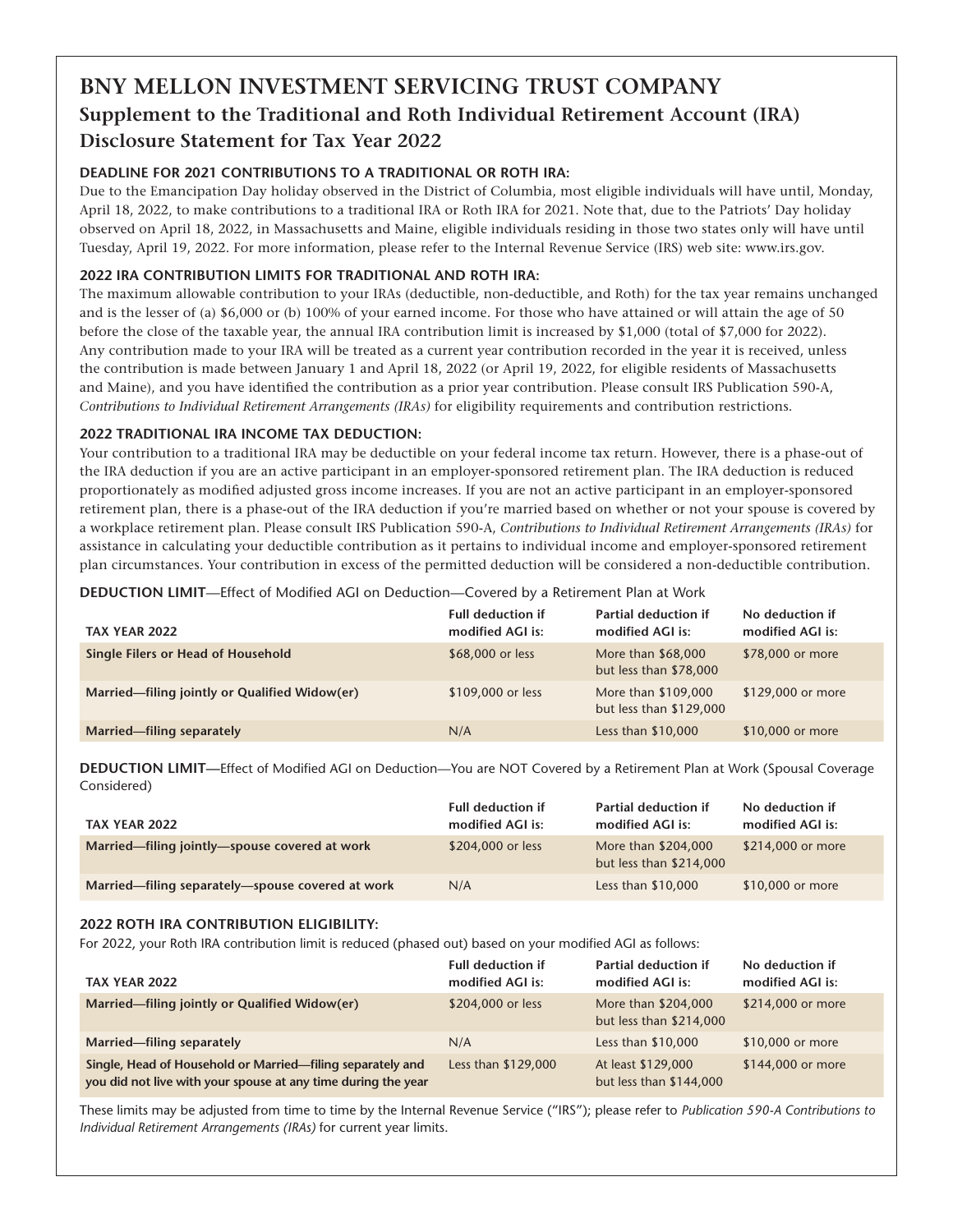### **BNY MELLON INVESTMENT SERVICING TRUST COMPANY Supplement to the Traditional and Roth Individual Retirement Account (IRA) Disclosure Statement for Tax Year 2022**

#### **DEADLINE FOR 2021 CONTRIBUTIONS TO A TRADITIONAL OR ROTH IRA:**

Due to the Emancipation Day holiday observed in the District of Columbia, most eligible individuals will have until, Monday, April 18, 2022, to make contributions to a traditional IRA or Roth IRA for 2021. Note that, due to the Patriots' Day holiday observed on April 18, 2022, in Massachusetts and Maine, eligible individuals residing in those two states only will have until Tuesday, April 19, 2022. For more information, please refer to the Internal Revenue Service (IRS) web site: www.irs.gov.

#### **2022 IRA CONTRIBUTION LIMITS FOR TRADITIONAL AND ROTH IRA:**

The maximum allowable contribution to your IRAs (deductible, non-deductible, and Roth) for the tax year remains unchanged and is the lesser of (a) \$6,000 or (b) 100% of your earned income. For those who have attained or will attain the age of 50 before the close of the taxable year, the annual IRA contribution limit is increased by \$1,000 (total of \$7,000 for 2022). Any contribution made to your IRA will be treated as a current year contribution recorded in the year it is received, unless the contribution is made between January 1 and April 18, 2022 (or April 19, 2022, for eligible residents of Massachusetts and Maine), and you have identified the contribution as a prior year contribution. Please consult IRS Publication 590-A, *Contributions to Individual Retirement Arrangements (IRAs)* for eligibility requirements and contribution restrictions.

#### **2022 TRADITIONAL IRA INCOME TAX DEDUCTION:**

Your contribution to a traditional IRA may be deductible on your federal income tax return. However, there is a phase-out of the IRA deduction if you are an active participant in an employer-sponsored retirement plan. The IRA deduction is reduced proportionately as modified adjusted gross income increases. If you are not an active participant in an employer-sponsored retirement plan, there is a phase-out of the IRA deduction if you're married based on whether or not your spouse is covered by a workplace retirement plan. Please consult IRS Publication 590-A, *Contributions to Individual Retirement Arrangements (IRAs)* for assistance in calculating your deductible contribution as it pertains to individual income and employer-sponsored retirement plan circumstances. Your contribution in excess of the permitted deduction will be considered a non-deductible contribution.

**DEDUCTION LIMIT**—Effect of Modified AGI on Deduction—Covered by a Retirement Plan at Work

| TAX YEAR 2022                                 | <b>Full deduction if</b><br>modified AGI is: | <b>Partial deduction if</b><br>modified AGI is: | No deduction if<br>modified AGI is: |
|-----------------------------------------------|----------------------------------------------|-------------------------------------------------|-------------------------------------|
| Single Filers or Head of Household            | \$68,000 or less                             | More than \$68,000<br>but less than \$78,000    | \$78,000 or more                    |
| Married-filing jointly or Qualified Widow(er) | \$109,000 or less                            | More than \$109,000<br>but less than \$129,000  | \$129,000 or more                   |
| Married-filing separately                     | N/A                                          | Less than \$10,000                              | \$10,000 or more                    |

**DEDUCTION LIMIT—**Effect of Modified AGI on Deduction—You are NOT Covered by a Retirement Plan at Work (Spousal Coverage Considered)

| TAX YEAR 2022                                    | <b>Full deduction if</b><br>modified AGI is: | <b>Partial deduction if</b><br>modified AGI is: | No deduction if<br>modified AGI is: |
|--------------------------------------------------|----------------------------------------------|-------------------------------------------------|-------------------------------------|
| Married—filing jointly—spouse covered at work    | \$204,000 or less                            | More than \$204,000<br>but less than \$214,000  | \$214,000 or more                   |
| Married—filing separately—spouse covered at work | N/A                                          | Less than \$10,000                              | \$10,000 or more                    |

#### **2022 ROTH IRA CONTRIBUTION ELIGIBILITY:**

For 2022, your Roth IRA contribution limit is reduced (phased out) based on your modified AGI as follows:

| TAX YEAR 2022                                                                                                               | <b>Full deduction if</b><br>modified AGI is: | <b>Partial deduction if</b><br>modified AGI is: | No deduction if<br>modified AGI is: |
|-----------------------------------------------------------------------------------------------------------------------------|----------------------------------------------|-------------------------------------------------|-------------------------------------|
| Married—filing jointly or Qualified Widow(er)                                                                               | \$204,000 or less                            | More than \$204,000<br>but less than \$214,000  | \$214,000 or more                   |
| Married-filing separately                                                                                                   | N/A                                          | Less than \$10,000                              | \$10,000 or more                    |
| Single, Head of Household or Married-filing separately and<br>you did not live with your spouse at any time during the year | Less than \$129,000                          | At least \$129,000<br>but less than \$144,000   | \$144,000 or more                   |

These limits may be adjusted from time to time by the Internal Revenue Service ("IRS"); please refer to *Publication 590-A Contributions to Individual Retirement Arrangements (IRAs)* for current year limits.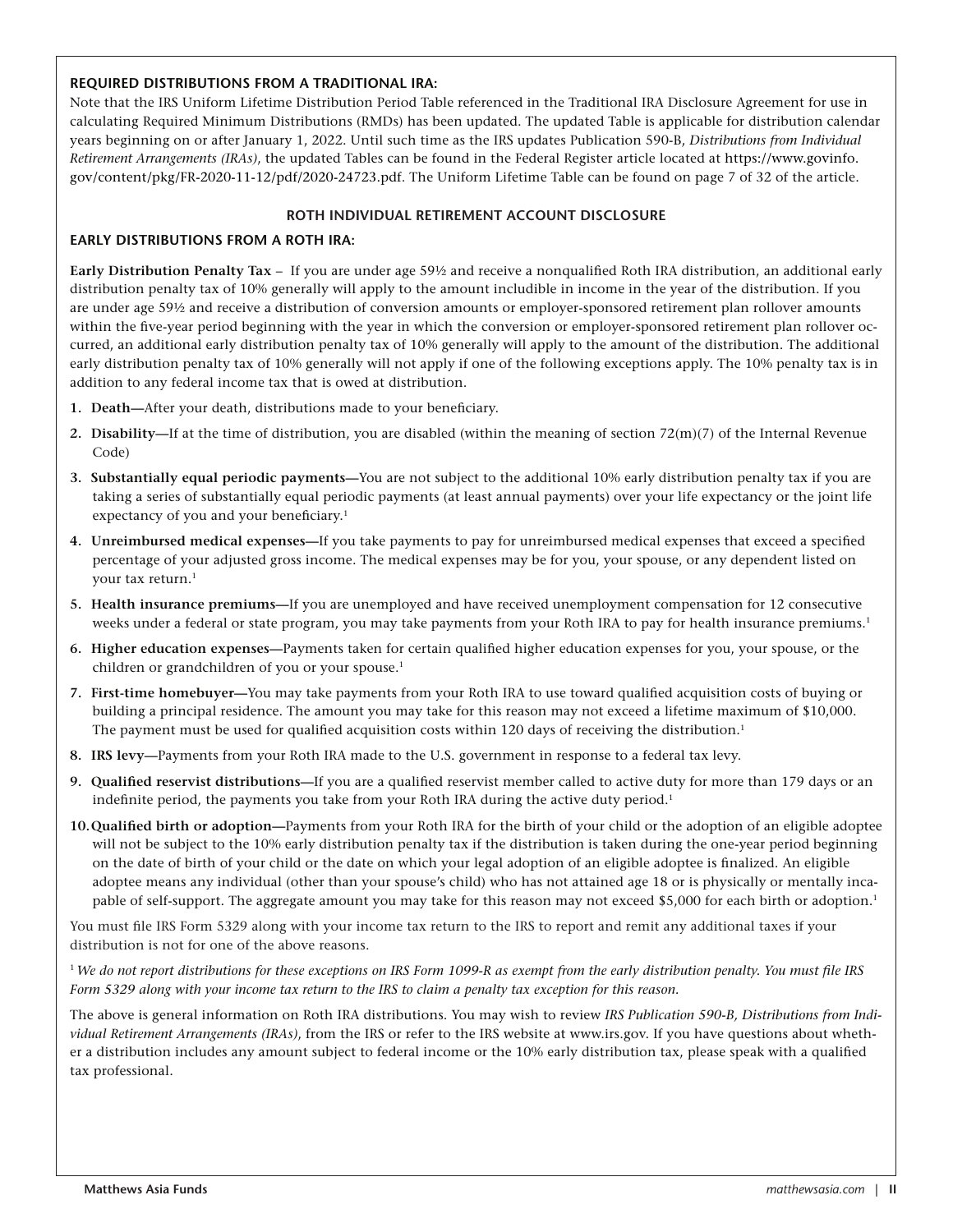#### **REQUIRED DISTRIBUTIONS FROM A TRADITIONAL IRA:**

Note that the IRS Uniform Lifetime Distribution Period Table referenced in the Traditional IRA Disclosure Agreement for use in calculating Required Minimum Distributions (RMDs) has been updated. The updated Table is applicable for distribution calendar years beginning on or after January 1, 2022. Until such time as the IRS updates Publication 590-B, *Distributions from Individual Retirement Arrangements (IRAs)*, the updated Tables can be found in the Federal Register article located at https://www.govinfo. gov/content/pkg/FR-2020-11-12/pdf/2020-24723.pdf. The Uniform Lifetime Table can be found on page 7 of 32 of the article.

#### **ROTH INDIVIDUAL RETIREMENT ACCOUNT DISCLOSURE**

#### **EARLY DISTRIBUTIONS FROM A ROTH IRA:**

**Early Distribution Penalty Tax** – If you are under age 59½ and receive a nonqualified Roth IRA distribution, an additional early distribution penalty tax of 10% generally will apply to the amount includible in income in the year of the distribution. If you are under age 59½ and receive a distribution of conversion amounts or employer-sponsored retirement plan rollover amounts within the five-year period beginning with the year in which the conversion or employer-sponsored retirement plan rollover occurred, an additional early distribution penalty tax of 10% generally will apply to the amount of the distribution. The additional early distribution penalty tax of 10% generally will not apply if one of the following exceptions apply. The 10% penalty tax is in addition to any federal income tax that is owed at distribution.

- **1. Death—**After your death, distributions made to your beneficiary.
- **2. Disability—**If at the time of distribution, you are disabled (within the meaning of section 72(m)(7) of the Internal Revenue Code)
- **3. Substantially equal periodic payments—**You are not subject to the additional 10% early distribution penalty tax if you are taking a series of substantially equal periodic payments (at least annual payments) over your life expectancy or the joint life expectancy of you and your beneficiary.<sup>1</sup>
- **4. Unreimbursed medical expenses—**If you take payments to pay for unreimbursed medical expenses that exceed a specified percentage of your adjusted gross income. The medical expenses may be for you, your spouse, or any dependent listed on your tax return.<sup>1</sup>
- **5. Health insurance premiums—**If you are unemployed and have received unemployment compensation for 12 consecutive weeks under a federal or state program, you may take payments from your Roth IRA to pay for health insurance premiums.1
- **6. Higher education expenses—**Payments taken for certain qualified higher education expenses for you, your spouse, or the children or grandchildren of you or your spouse.<sup>1</sup>
- **7. First-time homebuyer—**You may take payments from your Roth IRA to use toward qualified acquisition costs of buying or building a principal residence. The amount you may take for this reason may not exceed a lifetime maximum of \$10,000. The payment must be used for qualified acquisition costs within 120 days of receiving the distribution.<sup>1</sup>
- **8. IRS levy—**Payments from your Roth IRA made to the U.S. government in response to a federal tax levy.
- **9. Qualified reservist distributions—**If you are a qualified reservist member called to active duty for more than 179 days or an indefinite period, the payments you take from your Roth IRA during the active duty period.<sup>1</sup>
- **10.Qualified birth or adoption—**Payments from your Roth IRA for the birth of your child or the adoption of an eligible adoptee will not be subject to the 10% early distribution penalty tax if the distribution is taken during the one-year period beginning on the date of birth of your child or the date on which your legal adoption of an eligible adoptee is finalized. An eligible adoptee means any individual (other than your spouse's child) who has not attained age 18 or is physically or mentally incapable of self-support. The aggregate amount you may take for this reason may not exceed \$5,000 for each birth or adoption.<sup>1</sup>

You must file IRS Form 5329 along with your income tax return to the IRS to report and remit any additional taxes if your distribution is not for one of the above reasons.

<sup>1</sup>*We do not report distributions for these exceptions on IRS Form 1099-R as exempt from the early distribution penalty. You must file IRS Form 5329 along with your income tax return to the IRS to claim a penalty tax exception for this reason.*

The above is general information on Roth IRA distributions. You may wish to review *IRS Publication 590-B, Distributions from Individual Retirement Arrangements (IRAs)*, from the IRS or refer to the IRS website at www.irs.gov. If you have questions about whether a distribution includes any amount subject to federal income or the 10% early distribution tax, please speak with a qualified tax professional.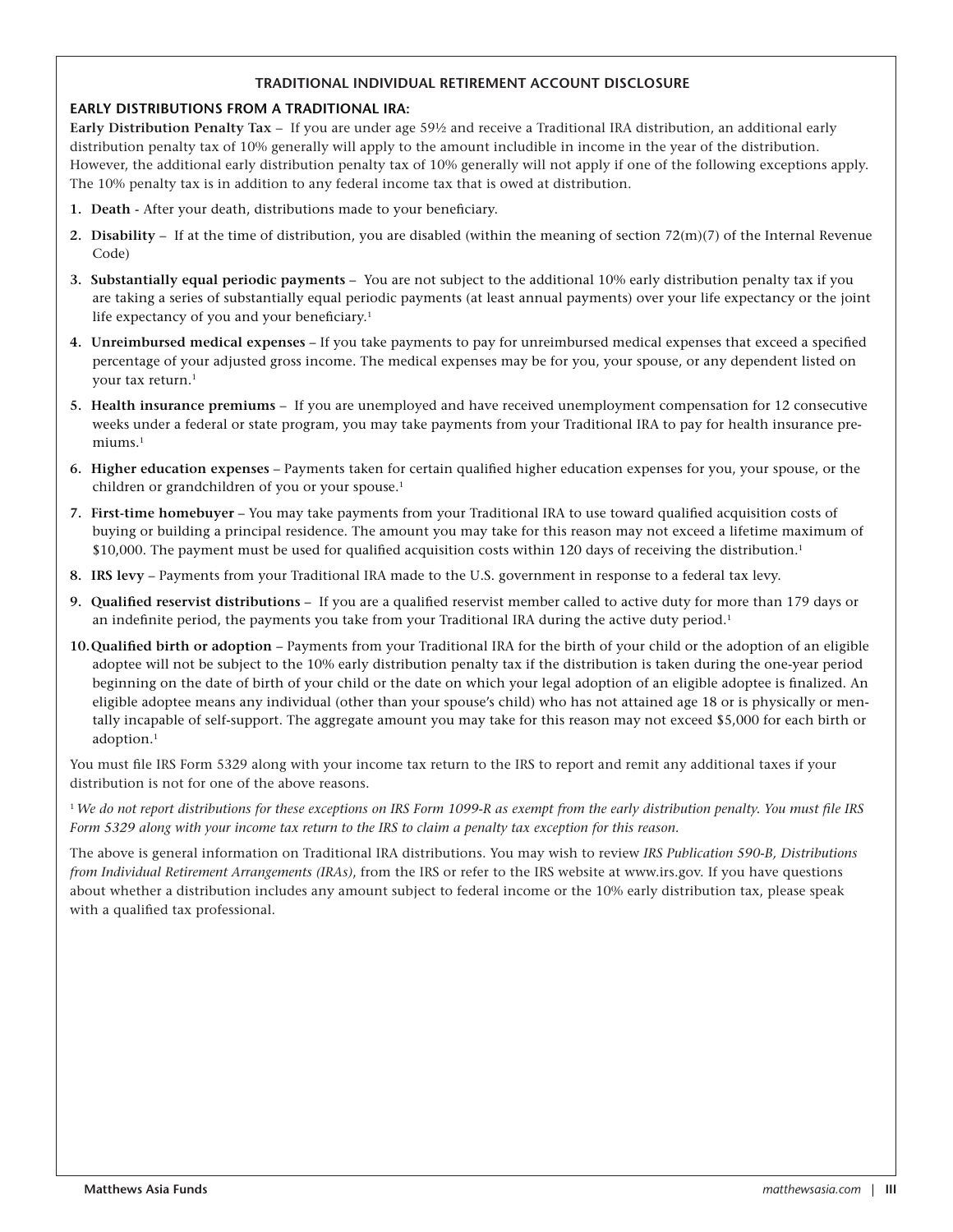#### **TRADITIONAL INDIVIDUAL RETIREMENT ACCOUNT DISCLOSURE**

#### **EARLY DISTRIBUTIONS FROM A TRADITIONAL IRA:**

**Early Distribution Penalty Tax** – If you are under age 59½ and receive a Traditional IRA distribution, an additional early distribution penalty tax of 10% generally will apply to the amount includible in income in the year of the distribution. However, the additional early distribution penalty tax of 10% generally will not apply if one of the following exceptions apply. The 10% penalty tax is in addition to any federal income tax that is owed at distribution.

- **1. Death**  After your death, distributions made to your beneficiary.
- **2. Disability**  If at the time of distribution, you are disabled (within the meaning of section 72(m)(7) of the Internal Revenue Code)
- **3. Substantially equal periodic payments** You are not subject to the additional 10% early distribution penalty tax if you are taking a series of substantially equal periodic payments (at least annual payments) over your life expectancy or the joint life expectancy of you and your beneficiary.<sup>1</sup>
- **4. Unreimbursed medical expenses** If you take payments to pay for unreimbursed medical expenses that exceed a specified percentage of your adjusted gross income. The medical expenses may be for you, your spouse, or any dependent listed on your tax return.<sup>1</sup>
- **5. Health insurance premiums**  If you are unemployed and have received unemployment compensation for 12 consecutive weeks under a federal or state program, you may take payments from your Traditional IRA to pay for health insurance premiums.1
- **6. Higher education expenses**  Payments taken for certain qualified higher education expenses for you, your spouse, or the children or grandchildren of you or your spouse.<sup>1</sup>
- **7. First-time homebuyer**  You may take payments from your Traditional IRA to use toward qualified acquisition costs of buying or building a principal residence. The amount you may take for this reason may not exceed a lifetime maximum of \$10,000. The payment must be used for qualified acquisition costs within 120 days of receiving the distribution.1
- **8. IRS levy** Payments from your Traditional IRA made to the U.S. government in response to a federal tax levy.
- **9. Qualified reservist distributions** If you are a qualified reservist member called to active duty for more than 179 days or an indefinite period, the payments you take from your Traditional IRA during the active duty period.<sup>1</sup>
- **10.Qualified birth or adoption**  Payments from your Traditional IRA for the birth of your child or the adoption of an eligible adoptee will not be subject to the 10% early distribution penalty tax if the distribution is taken during the one-year period beginning on the date of birth of your child or the date on which your legal adoption of an eligible adoptee is finalized. An eligible adoptee means any individual (other than your spouse's child) who has not attained age 18 or is physically or mentally incapable of self-support. The aggregate amount you may take for this reason may not exceed \$5,000 for each birth or adoption.1

You must file IRS Form 5329 along with your income tax return to the IRS to report and remit any additional taxes if your distribution is not for one of the above reasons.

<sup>1</sup>*We do not report distributions for these exceptions on IRS Form 1099-R as exempt from the early distribution penalty. You must file IRS Form 5329 along with your income tax return to the IRS to claim a penalty tax exception for this reason.* 

The above is general information on Traditional IRA distributions. You may wish to review *IRS Publication 590-B, Distributions from Individual Retirement Arrangements (IRAs)*, from the IRS or refer to the IRS website at www.irs.gov. If you have questions about whether a distribution includes any amount subject to federal income or the 10% early distribution tax, please speak with a qualified tax professional.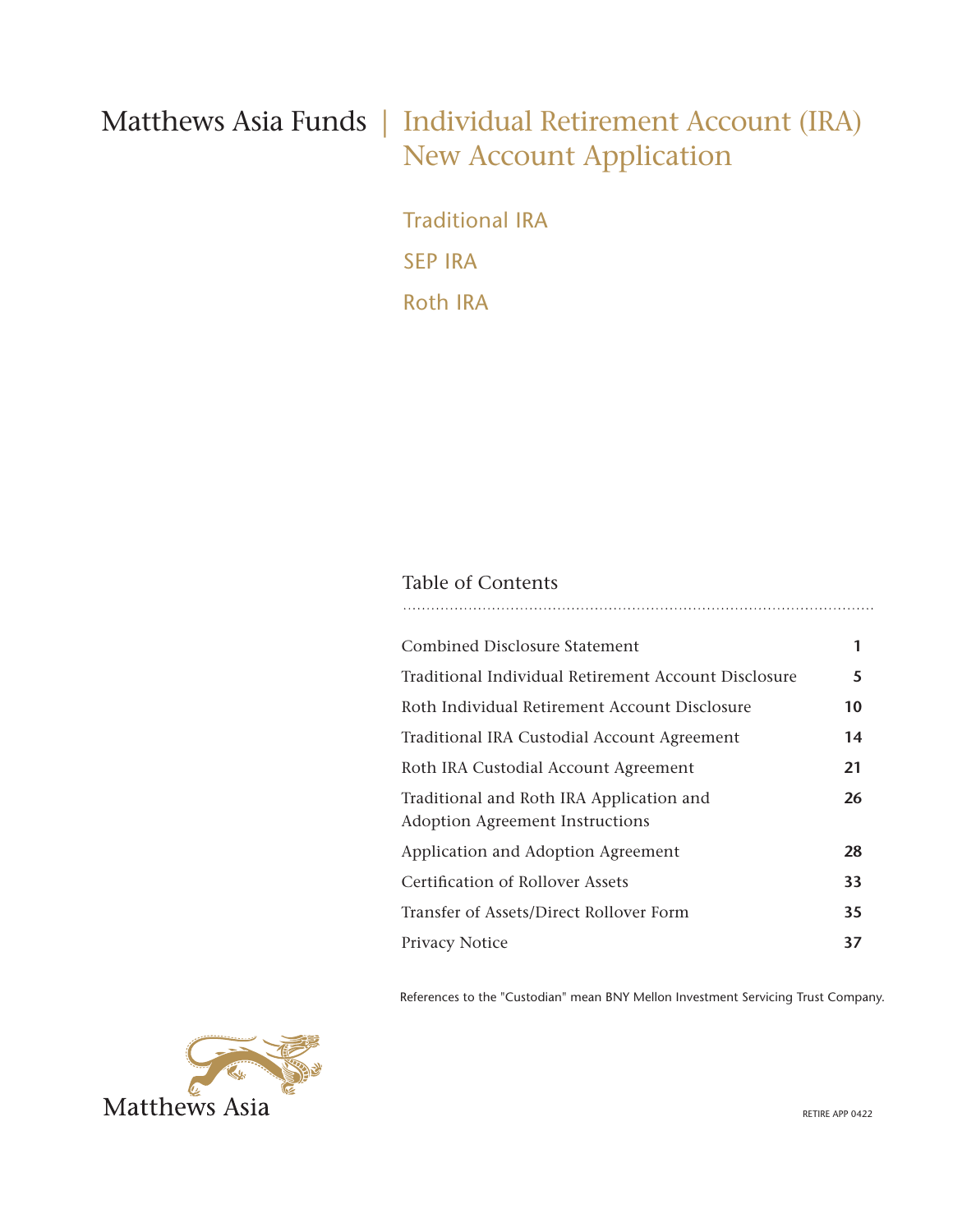### Matthews Asia Funds | Individual Retirement Account (IRA) New Account Application

Traditional IRA SEP IRA Roth IRA

### Table of Contents

| <b>Combined Disclosure Statement</b>                                               | 1  |
|------------------------------------------------------------------------------------|----|
| Traditional Individual Retirement Account Disclosure                               | 5  |
| Roth Individual Retirement Account Disclosure                                      | 10 |
| Traditional IRA Custodial Account Agreement                                        | 14 |
| Roth IRA Custodial Account Agreement                                               | 21 |
| Traditional and Roth IRA Application and<br><b>Adoption Agreement Instructions</b> | 26 |
| Application and Adoption Agreement                                                 | 28 |
| Certification of Rollover Assets                                                   | 33 |
| Transfer of Assets/Direct Rollover Form                                            | 35 |
| <b>Privacy Notice</b>                                                              | 37 |

References to the "Custodian" mean BNY Mellon Investment Servicing Trust Company.

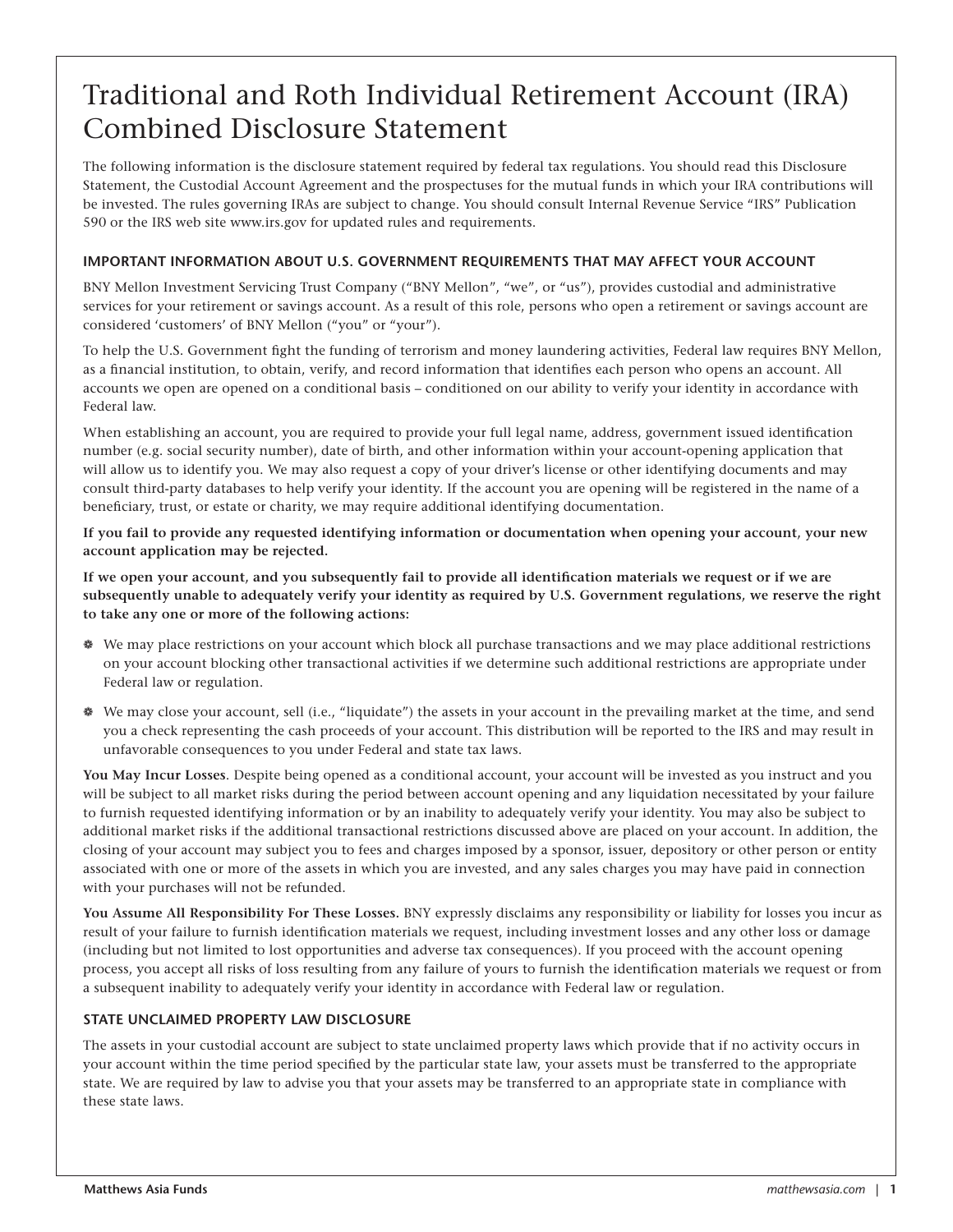## Traditional and Roth Individual Retirement Account (IRA) Combined Disclosure Statement

The following information is the disclosure statement required by federal tax regulations. You should read this Disclosure Statement, the Custodial Account Agreement and the prospectuses for the mutual funds in which your IRA contributions will be invested. The rules governing IRAs are subject to change. You should consult Internal Revenue Service "IRS" Publication 590 or the IRS web site www.irs.gov for updated rules and requirements.

#### **IMPORTANT INFORMATION ABOUT U.S. GOVERNMENT REQUIREMENTS THAT MAY AFFECT YOUR ACCOUNT**

BNY Mellon Investment Servicing Trust Company ("BNY Mellon", "we", or "us"), provides custodial and administrative services for your retirement or savings account. As a result of this role, persons who open a retirement or savings account are considered 'customers' of BNY Mellon ("you" or "your").

To help the U.S. Government fight the funding of terrorism and money laundering activities, Federal law requires BNY Mellon, as a financial institution, to obtain, verify, and record information that identifies each person who opens an account. All accounts we open are opened on a conditional basis – conditioned on our ability to verify your identity in accordance with Federal law.

When establishing an account, you are required to provide your full legal name, address, government issued identification number (e.g. social security number), date of birth, and other information within your account-opening application that will allow us to identify you. We may also request a copy of your driver's license or other identifying documents and may consult third-party databases to help verify your identity. If the account you are opening will be registered in the name of a beneficiary, trust, or estate or charity, we may require additional identifying documentation.

**If you fail to provide any requested identifying information or documentation when opening your account, your new account application may be rejected.**

**If we open your account, and you subsequently fail to provide all identification materials we request or if we are subsequently unable to adequately verify your identity as required by U.S. Government regulations, we reserve the right to take any one or more of the following actions:**

- ❁ We may place restrictions on your account which block all purchase transactions and we may place additional restrictions on your account blocking other transactional activities if we determine such additional restrictions are appropriate under Federal law or regulation.
- ❁ We may close your account, sell (i.e., "liquidate") the assets in your account in the prevailing market at the time, and send you a check representing the cash proceeds of your account. This distribution will be reported to the IRS and may result in unfavorable consequences to you under Federal and state tax laws.

**You May Incur Losses**. Despite being opened as a conditional account, your account will be invested as you instruct and you will be subject to all market risks during the period between account opening and any liquidation necessitated by your failure to furnish requested identifying information or by an inability to adequately verify your identity. You may also be subject to additional market risks if the additional transactional restrictions discussed above are placed on your account. In addition, the closing of your account may subject you to fees and charges imposed by a sponsor, issuer, depository or other person or entity associated with one or more of the assets in which you are invested, and any sales charges you may have paid in connection with your purchases will not be refunded.

**You Assume All Responsibility For These Losses.** BNY expressly disclaims any responsibility or liability for losses you incur as result of your failure to furnish identification materials we request, including investment losses and any other loss or damage (including but not limited to lost opportunities and adverse tax consequences). If you proceed with the account opening process, you accept all risks of loss resulting from any failure of yours to furnish the identification materials we request or from a subsequent inability to adequately verify your identity in accordance with Federal law or regulation.

#### **STATE UNCLAIMED PROPERTY LAW DISCLOSURE**

The assets in your custodial account are subject to state unclaimed property laws which provide that if no activity occurs in your account within the time period specified by the particular state law, your assets must be transferred to the appropriate state. We are required by law to advise you that your assets may be transferred to an appropriate state in compliance with these state laws.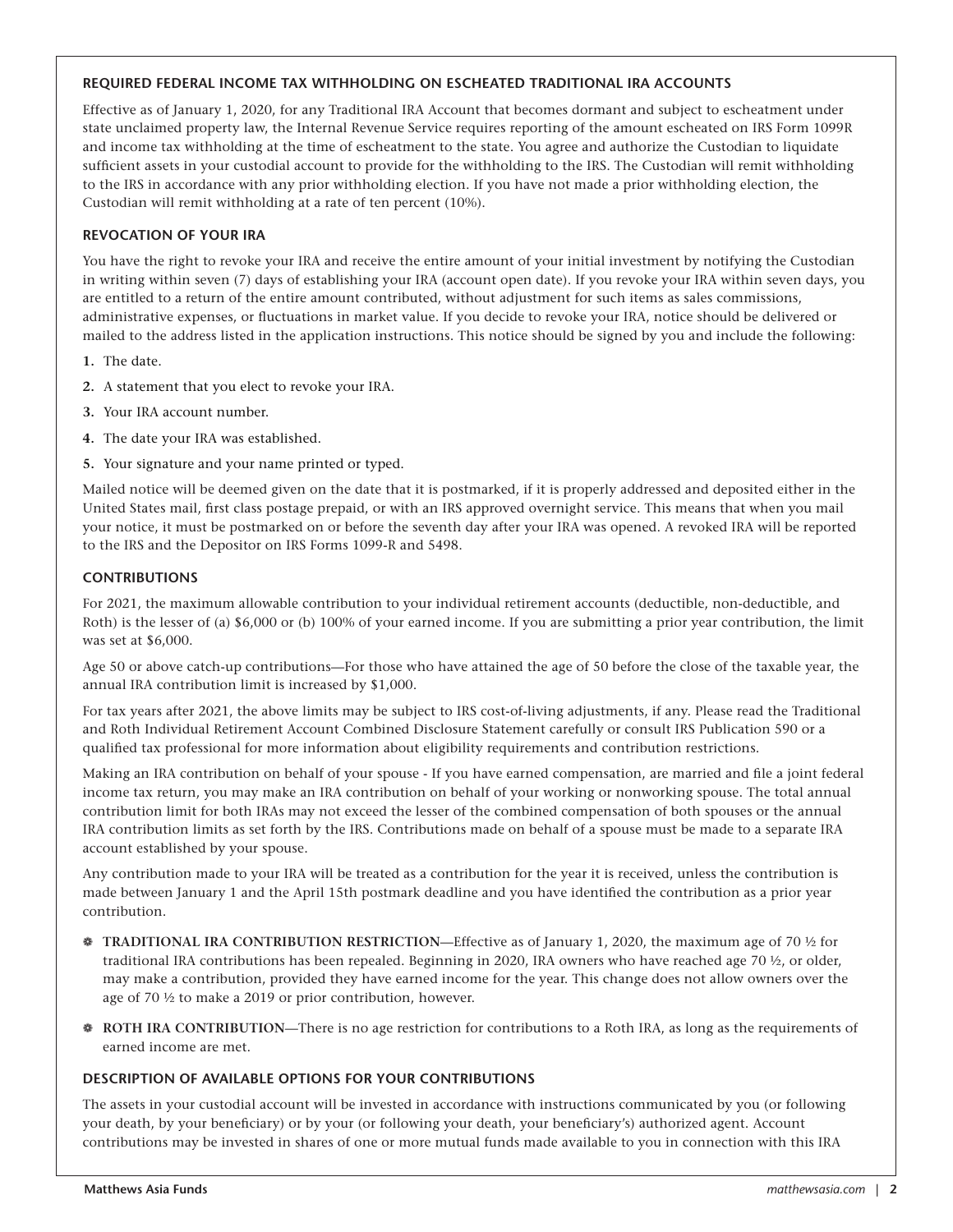#### **REQUIRED FEDERAL INCOME TAX WITHHOLDING ON ESCHEATED TRADITIONAL IRA ACCOUNTS**

Effective as of January 1, 2020, for any Traditional IRA Account that becomes dormant and subject to escheatment under state unclaimed property law, the Internal Revenue Service requires reporting of the amount escheated on IRS Form 1099R and income tax withholding at the time of escheatment to the state. You agree and authorize the Custodian to liquidate sufficient assets in your custodial account to provide for the withholding to the IRS. The Custodian will remit withholding to the IRS in accordance with any prior withholding election. If you have not made a prior withholding election, the Custodian will remit withholding at a rate of ten percent (10%).

#### **REVOCATION OF YOUR IRA**

You have the right to revoke your IRA and receive the entire amount of your initial investment by notifying the Custodian in writing within seven (7) days of establishing your IRA (account open date). If you revoke your IRA within seven days, you are entitled to a return of the entire amount contributed, without adjustment for such items as sales commissions, administrative expenses, or fluctuations in market value. If you decide to revoke your IRA, notice should be delivered or mailed to the address listed in the application instructions. This notice should be signed by you and include the following:

- **1.** The date.
- **2.** A statement that you elect to revoke your IRA.
- **3.** Your IRA account number.
- **4.** The date your IRA was established.
- **5.** Your signature and your name printed or typed.

Mailed notice will be deemed given on the date that it is postmarked, if it is properly addressed and deposited either in the United States mail, first class postage prepaid, or with an IRS approved overnight service. This means that when you mail your notice, it must be postmarked on or before the seventh day after your IRA was opened. A revoked IRA will be reported to the IRS and the Depositor on IRS Forms 1099-R and 5498.

#### **CONTRIBUTIONS**

For 2021, the maximum allowable contribution to your individual retirement accounts (deductible, non-deductible, and Roth) is the lesser of (a) \$6,000 or (b) 100% of your earned income. If you are submitting a prior year contribution, the limit was set at \$6,000.

Age 50 or above catch-up contributions—For those who have attained the age of 50 before the close of the taxable year, the annual IRA contribution limit is increased by \$1,000.

For tax years after 2021, the above limits may be subject to IRS cost-of-living adjustments, if any. Please read the Traditional and Roth Individual Retirement Account Combined Disclosure Statement carefully or consult IRS Publication 590 or a qualified tax professional for more information about eligibility requirements and contribution restrictions.

Making an IRA contribution on behalf of your spouse - If you have earned compensation, are married and file a joint federal income tax return, you may make an IRA contribution on behalf of your working or nonworking spouse. The total annual contribution limit for both IRAs may not exceed the lesser of the combined compensation of both spouses or the annual IRA contribution limits as set forth by the IRS. Contributions made on behalf of a spouse must be made to a separate IRA account established by your spouse.

Any contribution made to your IRA will be treated as a contribution for the year it is received, unless the contribution is made between January 1 and the April 15th postmark deadline and you have identified the contribution as a prior year contribution.

- ❁ **TRADITIONAL IRA CONTRIBUTION RESTRICTION**—Effective as of January 1, 2020, the maximum age of 70 ½ for traditional IRA contributions has been repealed. Beginning in 2020, IRA owners who have reached age 70 ½, or older, may make a contribution, provided they have earned income for the year. This change does not allow owners over the age of 70 ½ to make a 2019 or prior contribution, however.
- ❁ **ROTH IRA CONTRIBUTION**—There is no age restriction for contributions to a Roth IRA, as long as the requirements of earned income are met.

#### **DESCRIPTION OF AVAILABLE OPTIONS FOR YOUR CONTRIBUTIONS**

The assets in your custodial account will be invested in accordance with instructions communicated by you (or following your death, by your beneficiary) or by your (or following your death, your beneficiary's) authorized agent. Account contributions may be invested in shares of one or more mutual funds made available to you in connection with this IRA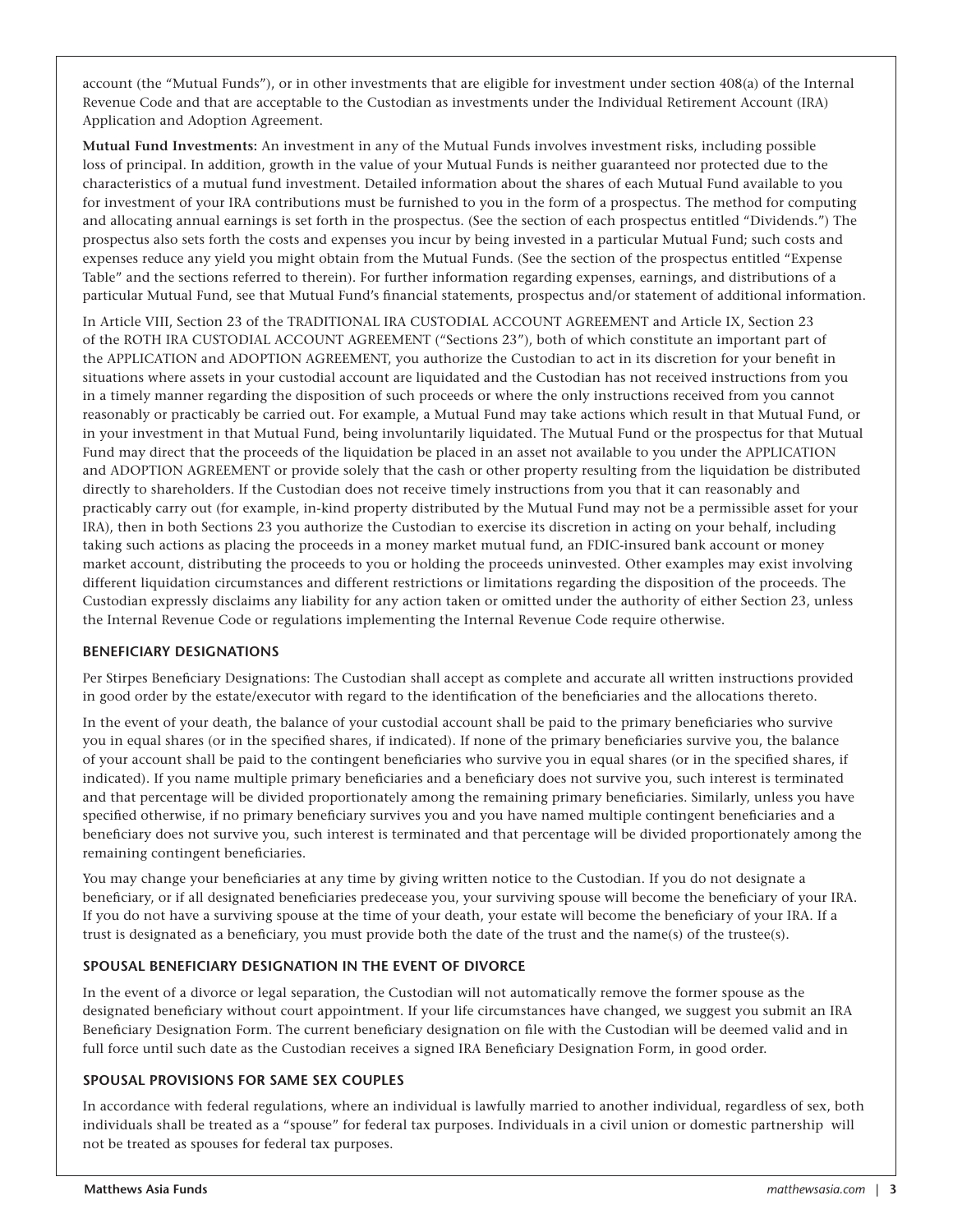account (the "Mutual Funds"), or in other investments that are eligible for investment under section 408(a) of the Internal Revenue Code and that are acceptable to the Custodian as investments under the Individual Retirement Account (IRA) Application and Adoption Agreement.

**Mutual Fund Investments:** An investment in any of the Mutual Funds involves investment risks, including possible loss of principal. In addition, growth in the value of your Mutual Funds is neither guaranteed nor protected due to the characteristics of a mutual fund investment. Detailed information about the shares of each Mutual Fund available to you for investment of your IRA contributions must be furnished to you in the form of a prospectus. The method for computing and allocating annual earnings is set forth in the prospectus. (See the section of each prospectus entitled "Dividends.") The prospectus also sets forth the costs and expenses you incur by being invested in a particular Mutual Fund; such costs and expenses reduce any yield you might obtain from the Mutual Funds. (See the section of the prospectus entitled "Expense Table" and the sections referred to therein). For further information regarding expenses, earnings, and distributions of a particular Mutual Fund, see that Mutual Fund's financial statements, prospectus and/or statement of additional information.

In Article VIII, Section 23 of the TRADITIONAL IRA CUSTODIAL ACCOUNT AGREEMENT and Article IX, Section 23 of the ROTH IRA CUSTODIAL ACCOUNT AGREEMENT ("Sections 23"), both of which constitute an important part of the APPLICATION and ADOPTION AGREEMENT, you authorize the Custodian to act in its discretion for your benefit in situations where assets in your custodial account are liquidated and the Custodian has not received instructions from you in a timely manner regarding the disposition of such proceeds or where the only instructions received from you cannot reasonably or practicably be carried out. For example, a Mutual Fund may take actions which result in that Mutual Fund, or in your investment in that Mutual Fund, being involuntarily liquidated. The Mutual Fund or the prospectus for that Mutual Fund may direct that the proceeds of the liquidation be placed in an asset not available to you under the APPLICATION and ADOPTION AGREEMENT or provide solely that the cash or other property resulting from the liquidation be distributed directly to shareholders. If the Custodian does not receive timely instructions from you that it can reasonably and practicably carry out (for example, in-kind property distributed by the Mutual Fund may not be a permissible asset for your IRA), then in both Sections 23 you authorize the Custodian to exercise its discretion in acting on your behalf, including taking such actions as placing the proceeds in a money market mutual fund, an FDIC-insured bank account or money market account, distributing the proceeds to you or holding the proceeds uninvested. Other examples may exist involving different liquidation circumstances and different restrictions or limitations regarding the disposition of the proceeds. The Custodian expressly disclaims any liability for any action taken or omitted under the authority of either Section 23, unless the Internal Revenue Code or regulations implementing the Internal Revenue Code require otherwise.

#### **BENEFICIARY DESIGNATIONS**

Per Stirpes Beneficiary Designations: The Custodian shall accept as complete and accurate all written instructions provided in good order by the estate/executor with regard to the identification of the beneficiaries and the allocations thereto.

In the event of your death, the balance of your custodial account shall be paid to the primary beneficiaries who survive you in equal shares (or in the specified shares, if indicated). If none of the primary beneficiaries survive you, the balance of your account shall be paid to the contingent beneficiaries who survive you in equal shares (or in the specified shares, if indicated). If you name multiple primary beneficiaries and a beneficiary does not survive you, such interest is terminated and that percentage will be divided proportionately among the remaining primary beneficiaries. Similarly, unless you have specified otherwise, if no primary beneficiary survives you and you have named multiple contingent beneficiaries and a beneficiary does not survive you, such interest is terminated and that percentage will be divided proportionately among the remaining contingent beneficiaries.

You may change your beneficiaries at any time by giving written notice to the Custodian. If you do not designate a beneficiary, or if all designated beneficiaries predecease you, your surviving spouse will become the beneficiary of your IRA. If you do not have a surviving spouse at the time of your death, your estate will become the beneficiary of your IRA. If a trust is designated as a beneficiary, you must provide both the date of the trust and the name(s) of the trustee(s).

#### **SPOUSAL BENEFICIARY DESIGNATION IN THE EVENT OF DIVORCE**

In the event of a divorce or legal separation, the Custodian will not automatically remove the former spouse as the designated beneficiary without court appointment. If your life circumstances have changed, we suggest you submit an IRA Beneficiary Designation Form. The current beneficiary designation on file with the Custodian will be deemed valid and in full force until such date as the Custodian receives a signed IRA Beneficiary Designation Form, in good order.

#### **SPOUSAL PROVISIONS FOR SAME SEX COUPLES**

In accordance with federal regulations, where an individual is lawfully married to another individual, regardless of sex, both individuals shall be treated as a "spouse" for federal tax purposes. Individuals in a civil union or domestic partnership will not be treated as spouses for federal tax purposes.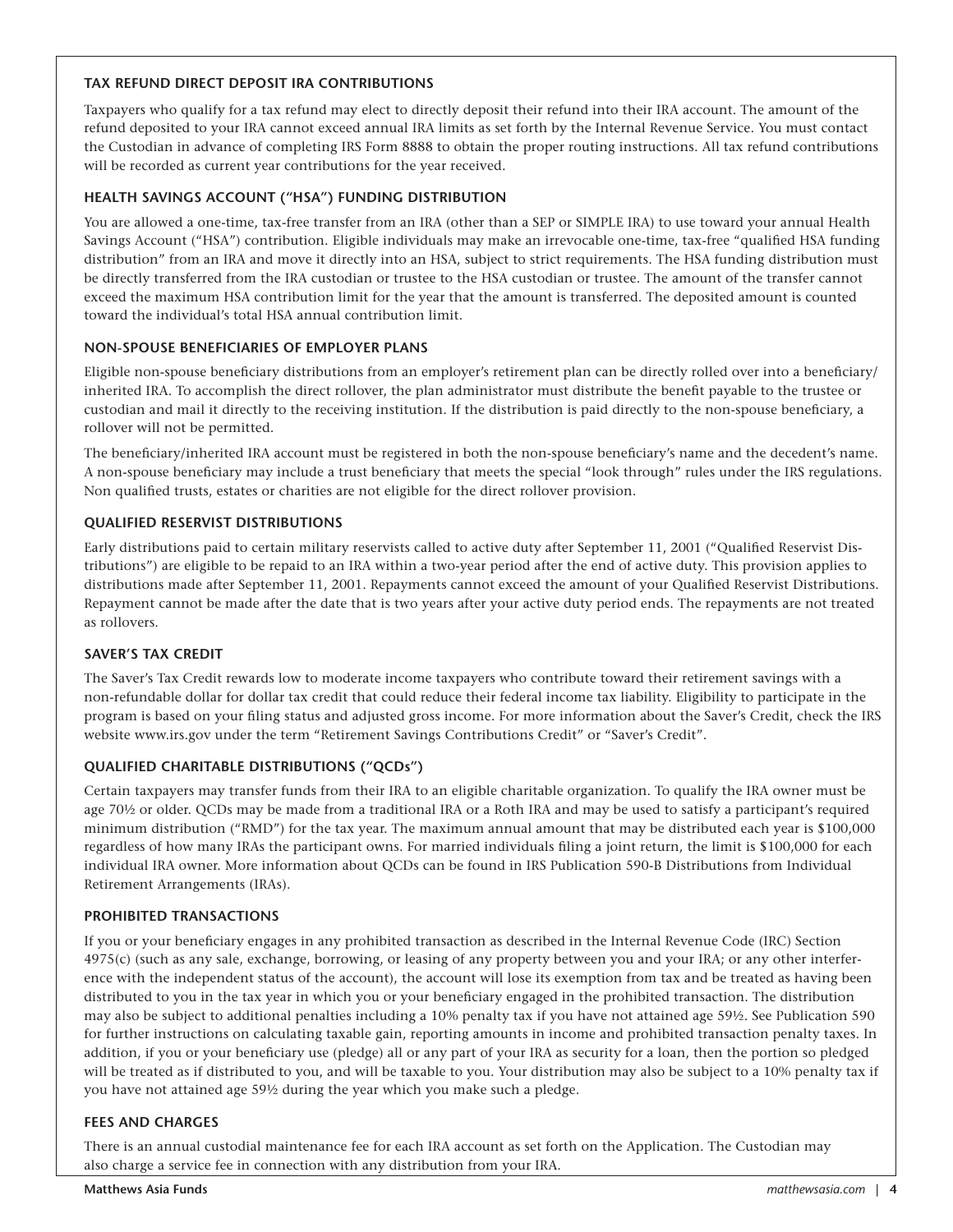#### **TAX REFUND DIRECT DEPOSIT IRA CONTRIBUTIONS**

Taxpayers who qualify for a tax refund may elect to directly deposit their refund into their IRA account. The amount of the refund deposited to your IRA cannot exceed annual IRA limits as set forth by the Internal Revenue Service. You must contact the Custodian in advance of completing IRS Form 8888 to obtain the proper routing instructions. All tax refund contributions will be recorded as current year contributions for the year received.

#### **HEALTH SAVINGS ACCOUNT ("HSA") FUNDING DISTRIBUTION**

You are allowed a one-time, tax-free transfer from an IRA (other than a SEP or SIMPLE IRA) to use toward your annual Health Savings Account ("HSA") contribution. Eligible individuals may make an irrevocable one-time, tax-free "qualified HSA funding distribution" from an IRA and move it directly into an HSA, subject to strict requirements. The HSA funding distribution must be directly transferred from the IRA custodian or trustee to the HSA custodian or trustee. The amount of the transfer cannot exceed the maximum HSA contribution limit for the year that the amount is transferred. The deposited amount is counted toward the individual's total HSA annual contribution limit.

#### **NON-SPOUSE BENEFICIARIES OF EMPLOYER PLANS**

Eligible non-spouse beneficiary distributions from an employer's retirement plan can be directly rolled over into a beneficiary/ inherited IRA. To accomplish the direct rollover, the plan administrator must distribute the benefit payable to the trustee or custodian and mail it directly to the receiving institution. If the distribution is paid directly to the non-spouse beneficiary, a rollover will not be permitted.

The beneficiary/inherited IRA account must be registered in both the non-spouse beneficiary's name and the decedent's name. A non-spouse beneficiary may include a trust beneficiary that meets the special "look through" rules under the IRS regulations. Non qualified trusts, estates or charities are not eligible for the direct rollover provision.

#### **QUALIFIED RESERVIST DISTRIBUTIONS**

Early distributions paid to certain military reservists called to active duty after September 11, 2001 ("Qualified Reservist Distributions") are eligible to be repaid to an IRA within a two-year period after the end of active duty. This provision applies to distributions made after September 11, 2001. Repayments cannot exceed the amount of your Qualified Reservist Distributions. Repayment cannot be made after the date that is two years after your active duty period ends. The repayments are not treated as rollovers.

#### **SAVER'S TAX CREDIT**

The Saver's Tax Credit rewards low to moderate income taxpayers who contribute toward their retirement savings with a non-refundable dollar for dollar tax credit that could reduce their federal income tax liability. Eligibility to participate in the program is based on your filing status and adjusted gross income. For more information about the Saver's Credit, check the IRS website www.irs.gov under the term "Retirement Savings Contributions Credit" or "Saver's Credit".

#### **QUALIFIED CHARITABLE DISTRIBUTIONS ("QCDs")**

Certain taxpayers may transfer funds from their IRA to an eligible charitable organization. To qualify the IRA owner must be age 70½ or older. QCDs may be made from a traditional IRA or a Roth IRA and may be used to satisfy a participant's required minimum distribution ("RMD") for the tax year. The maximum annual amount that may be distributed each year is \$100,000 regardless of how many IRAs the participant owns. For married individuals filing a joint return, the limit is \$100,000 for each individual IRA owner. More information about QCDs can be found in IRS Publication 590-B Distributions from Individual Retirement Arrangements (IRAs).

#### **PROHIBITED TRANSACTIONS**

If you or your beneficiary engages in any prohibited transaction as described in the Internal Revenue Code (IRC) Section 4975(c) (such as any sale, exchange, borrowing, or leasing of any property between you and your IRA; or any other interference with the independent status of the account), the account will lose its exemption from tax and be treated as having been distributed to you in the tax year in which you or your beneficiary engaged in the prohibited transaction. The distribution may also be subject to additional penalties including a 10% penalty tax if you have not attained age 59½. See Publication 590 for further instructions on calculating taxable gain, reporting amounts in income and prohibited transaction penalty taxes. In addition, if you or your beneficiary use (pledge) all or any part of your IRA as security for a loan, then the portion so pledged will be treated as if distributed to you, and will be taxable to you. Your distribution may also be subject to a 10% penalty tax if you have not attained age 59½ during the year which you make such a pledge.

#### **FEES AND CHARGES**

There is an annual custodial maintenance fee for each IRA account as set forth on the Application. The Custodian may also charge a service fee in connection with any distribution from your IRA.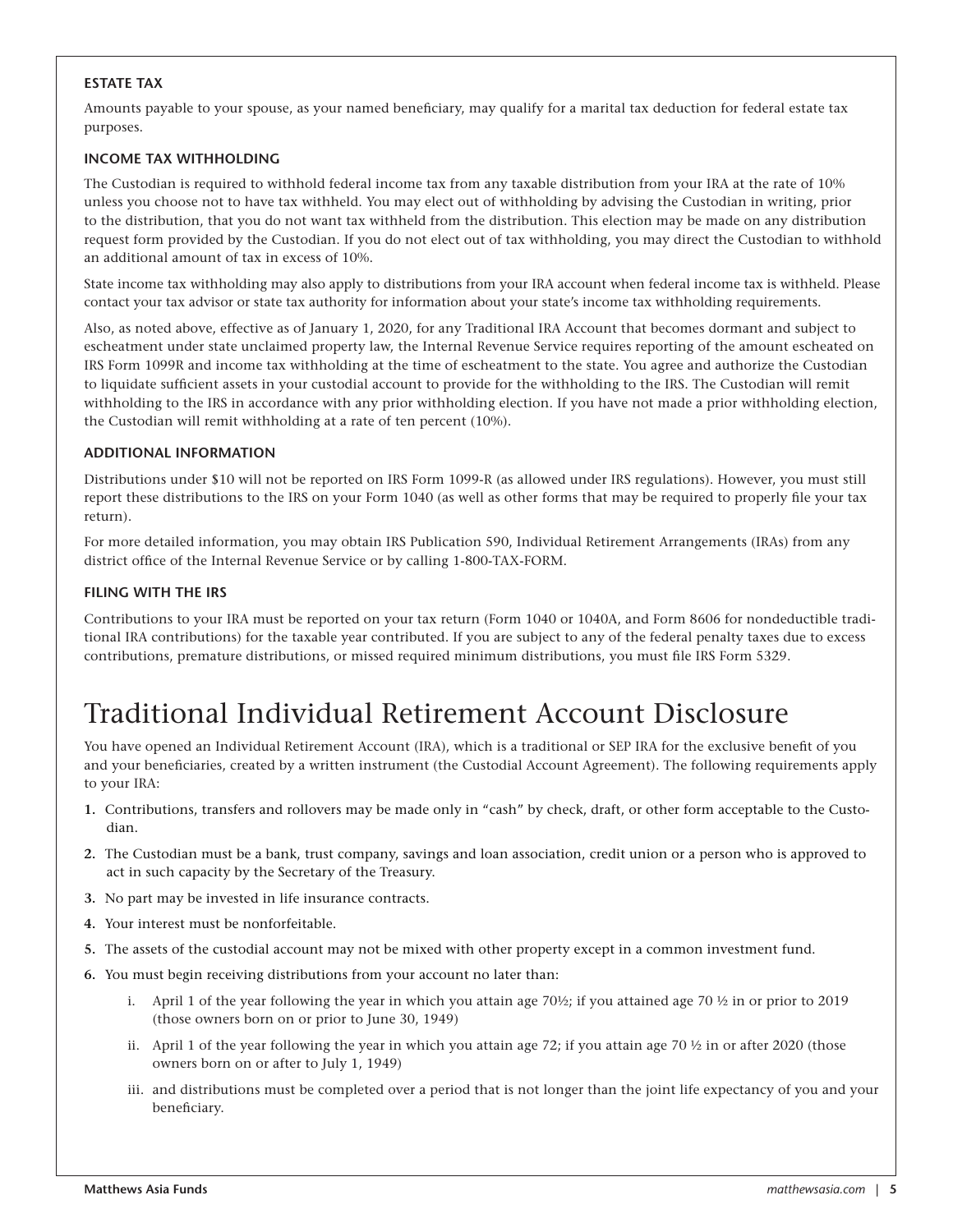#### **ESTATE TAX**

Amounts payable to your spouse, as your named beneficiary, may qualify for a marital tax deduction for federal estate tax purposes.

#### **INCOME TAX WITHHOLDING**

The Custodian is required to withhold federal income tax from any taxable distribution from your IRA at the rate of 10% unless you choose not to have tax withheld. You may elect out of withholding by advising the Custodian in writing, prior to the distribution, that you do not want tax withheld from the distribution. This election may be made on any distribution request form provided by the Custodian. If you do not elect out of tax withholding, you may direct the Custodian to withhold an additional amount of tax in excess of 10%.

State income tax withholding may also apply to distributions from your IRA account when federal income tax is withheld. Please contact your tax advisor or state tax authority for information about your state's income tax withholding requirements.

Also, as noted above, effective as of January 1, 2020, for any Traditional IRA Account that becomes dormant and subject to escheatment under state unclaimed property law, the Internal Revenue Service requires reporting of the amount escheated on IRS Form 1099R and income tax withholding at the time of escheatment to the state. You agree and authorize the Custodian to liquidate sufficient assets in your custodial account to provide for the withholding to the IRS. The Custodian will remit withholding to the IRS in accordance with any prior withholding election. If you have not made a prior withholding election, the Custodian will remit withholding at a rate of ten percent (10%).

#### **ADDITIONAL INFORMATION**

Distributions under \$10 will not be reported on IRS Form 1099-R (as allowed under IRS regulations). However, you must still report these distributions to the IRS on your Form 1040 (as well as other forms that may be required to properly file your tax return).

For more detailed information, you may obtain IRS Publication 590, Individual Retirement Arrangements (IRAs) from any district office of the Internal Revenue Service or by calling 1-800-TAX-FORM.

#### **FILING WITH THE IRS**

Contributions to your IRA must be reported on your tax return (Form 1040 or 1040A, and Form 8606 for nondeductible traditional IRA contributions) for the taxable year contributed. If you are subject to any of the federal penalty taxes due to excess contributions, premature distributions, or missed required minimum distributions, you must file IRS Form 5329.

### Traditional Individual Retirement Account Disclosure

You have opened an Individual Retirement Account (IRA), which is a traditional or SEP IRA for the exclusive benefit of you and your beneficiaries, created by a written instrument (the Custodial Account Agreement). The following requirements apply to your IRA:

- **1.** Contributions, transfers and rollovers may be made only in "cash" by check, draft, or other form acceptable to the Custodian.
- **2.** The Custodian must be a bank, trust company, savings and loan association, credit union or a person who is approved to act in such capacity by the Secretary of the Treasury.
- **3.** No part may be invested in life insurance contracts.
- **4.** Your interest must be nonforfeitable.
- **5.** The assets of the custodial account may not be mixed with other property except in a common investment fund.
- **6.** You must begin receiving distributions from your account no later than:
	- i. April 1 of the year following the year in which you attain age  $70\frac{1}{2}$ ; if you attained age  $70\frac{1}{2}$  in or prior to 2019 (those owners born on or prior to June 30, 1949)
	- ii. April 1 of the year following the year in which you attain age 72; if you attain age 70  $\frac{1}{2}$  in or after 2020 (those owners born on or after to July 1, 1949)
	- iii. and distributions must be completed over a period that is not longer than the joint life expectancy of you and your beneficiary.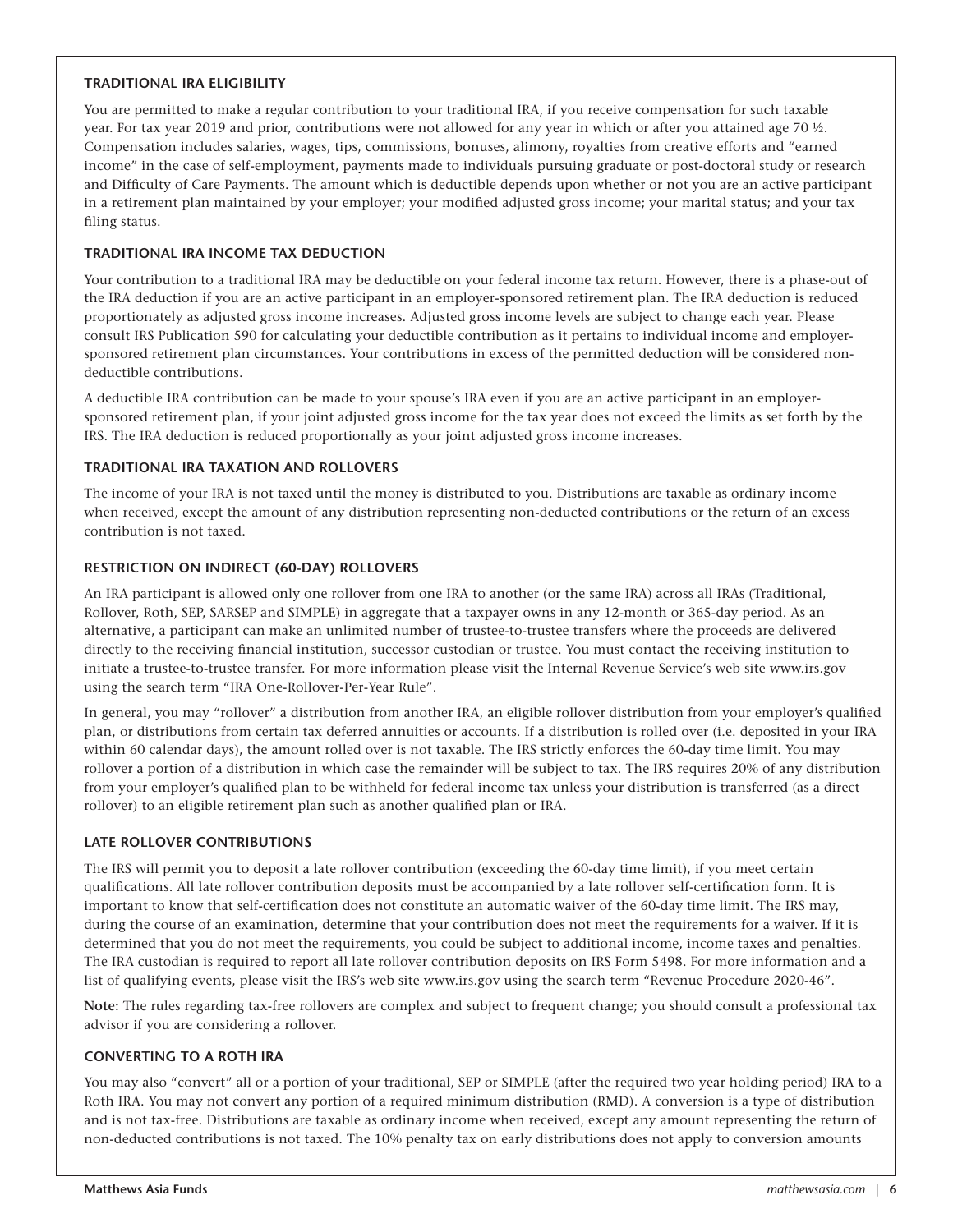#### **TRADITIONAL IRA ELIGIBILITY**

You are permitted to make a regular contribution to your traditional IRA, if you receive compensation for such taxable year. For tax year 2019 and prior, contributions were not allowed for any year in which or after you attained age 70  $\frac{1}{2}$ . Compensation includes salaries, wages, tips, commissions, bonuses, alimony, royalties from creative efforts and "earned income" in the case of self-employment, payments made to individuals pursuing graduate or post-doctoral study or research and Difficulty of Care Payments. The amount which is deductible depends upon whether or not you are an active participant in a retirement plan maintained by your employer; your modified adjusted gross income; your marital status; and your tax filing status.

#### **TRADITIONAL IRA INCOME TAX DEDUCTION**

Your contribution to a traditional IRA may be deductible on your federal income tax return. However, there is a phase-out of the IRA deduction if you are an active participant in an employer-sponsored retirement plan. The IRA deduction is reduced proportionately as adjusted gross income increases. Adjusted gross income levels are subject to change each year. Please consult IRS Publication 590 for calculating your deductible contribution as it pertains to individual income and employersponsored retirement plan circumstances. Your contributions in excess of the permitted deduction will be considered nondeductible contributions.

A deductible IRA contribution can be made to your spouse's IRA even if you are an active participant in an employersponsored retirement plan, if your joint adjusted gross income for the tax year does not exceed the limits as set forth by the IRS. The IRA deduction is reduced proportionally as your joint adjusted gross income increases.

#### **TRADITIONAL IRA TAXATION AND ROLLOVERS**

The income of your IRA is not taxed until the money is distributed to you. Distributions are taxable as ordinary income when received, except the amount of any distribution representing non-deducted contributions or the return of an excess contribution is not taxed.

#### **RESTRICTION ON INDIRECT (60-DAY) ROLLOVERS**

An IRA participant is allowed only one rollover from one IRA to another (or the same IRA) across all IRAs (Traditional, Rollover, Roth, SEP, SARSEP and SIMPLE) in aggregate that a taxpayer owns in any 12-month or 365-day period. As an alternative, a participant can make an unlimited number of trustee-to-trustee transfers where the proceeds are delivered directly to the receiving financial institution, successor custodian or trustee. You must contact the receiving institution to initiate a trustee-to-trustee transfer. For more information please visit the Internal Revenue Service's web site www.irs.gov using the search term "IRA One-Rollover-Per-Year Rule".

In general, you may "rollover" a distribution from another IRA, an eligible rollover distribution from your employer's qualified plan, or distributions from certain tax deferred annuities or accounts. If a distribution is rolled over (i.e. deposited in your IRA within 60 calendar days), the amount rolled over is not taxable. The IRS strictly enforces the 60-day time limit. You may rollover a portion of a distribution in which case the remainder will be subject to tax. The IRS requires 20% of any distribution from your employer's qualified plan to be withheld for federal income tax unless your distribution is transferred (as a direct rollover) to an eligible retirement plan such as another qualified plan or IRA.

#### **LATE ROLLOVER CONTRIBUTIONS**

The IRS will permit you to deposit a late rollover contribution (exceeding the 60-day time limit), if you meet certain qualifications. All late rollover contribution deposits must be accompanied by a late rollover self-certification form. It is important to know that self-certification does not constitute an automatic waiver of the 60-day time limit. The IRS may, during the course of an examination, determine that your contribution does not meet the requirements for a waiver. If it is determined that you do not meet the requirements, you could be subject to additional income, income taxes and penalties. The IRA custodian is required to report all late rollover contribution deposits on IRS Form 5498. For more information and a list of qualifying events, please visit the IRS's web site www.irs.gov using the search term "Revenue Procedure 2020-46".

**Note:** The rules regarding tax-free rollovers are complex and subject to frequent change; you should consult a professional tax advisor if you are considering a rollover.

#### **CONVERTING TO A ROTH IRA**

You may also "convert" all or a portion of your traditional, SEP or SIMPLE (after the required two year holding period) IRA to a Roth IRA. You may not convert any portion of a required minimum distribution (RMD). A conversion is a type of distribution and is not tax-free. Distributions are taxable as ordinary income when received, except any amount representing the return of non-deducted contributions is not taxed. The 10% penalty tax on early distributions does not apply to conversion amounts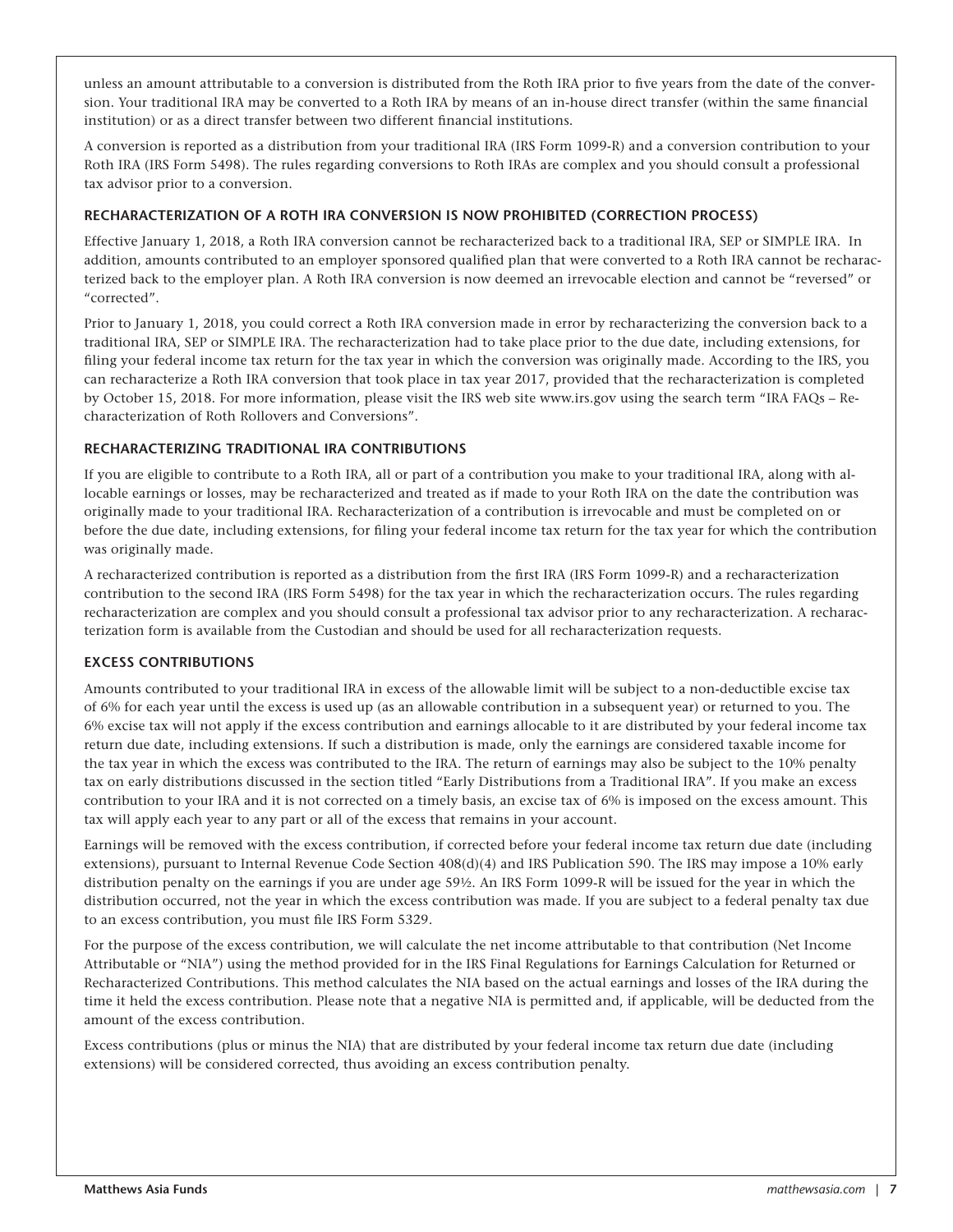unless an amount attributable to a conversion is distributed from the Roth IRA prior to five years from the date of the conversion. Your traditional IRA may be converted to a Roth IRA by means of an in-house direct transfer (within the same financial institution) or as a direct transfer between two different financial institutions.

A conversion is reported as a distribution from your traditional IRA (IRS Form 1099-R) and a conversion contribution to your Roth IRA (IRS Form 5498). The rules regarding conversions to Roth IRAs are complex and you should consult a professional tax advisor prior to a conversion.

#### **RECHARACTERIZATION OF A ROTH IRA CONVERSION IS NOW PROHIBITED (CORRECTION PROCESS)**

Effective January 1, 2018, a Roth IRA conversion cannot be recharacterized back to a traditional IRA, SEP or SIMPLE IRA. In addition, amounts contributed to an employer sponsored qualified plan that were converted to a Roth IRA cannot be recharacterized back to the employer plan. A Roth IRA conversion is now deemed an irrevocable election and cannot be "reversed" or "corrected".

Prior to January 1, 2018, you could correct a Roth IRA conversion made in error by recharacterizing the conversion back to a traditional IRA, SEP or SIMPLE IRA. The recharacterization had to take place prior to the due date, including extensions, for filing your federal income tax return for the tax year in which the conversion was originally made. According to the IRS, you can recharacterize a Roth IRA conversion that took place in tax year 2017, provided that the recharacterization is completed by October 15, 2018. For more information, please visit the IRS web site www.irs.gov using the search term "IRA FAQs – Recharacterization of Roth Rollovers and Conversions".

#### **RECHARACTERIZING TRADITIONAL IRA CONTRIBUTIONS**

If you are eligible to contribute to a Roth IRA, all or part of a contribution you make to your traditional IRA, along with allocable earnings or losses, may be recharacterized and treated as if made to your Roth IRA on the date the contribution was originally made to your traditional IRA. Recharacterization of a contribution is irrevocable and must be completed on or before the due date, including extensions, for filing your federal income tax return for the tax year for which the contribution was originally made.

A recharacterized contribution is reported as a distribution from the first IRA (IRS Form 1099-R) and a recharacterization contribution to the second IRA (IRS Form 5498) for the tax year in which the recharacterization occurs. The rules regarding recharacterization are complex and you should consult a professional tax advisor prior to any recharacterization. A recharacterization form is available from the Custodian and should be used for all recharacterization requests.

#### **EXCESS CONTRIBUTIONS**

Amounts contributed to your traditional IRA in excess of the allowable limit will be subject to a non-deductible excise tax of 6% for each year until the excess is used up (as an allowable contribution in a subsequent year) or returned to you. The 6% excise tax will not apply if the excess contribution and earnings allocable to it are distributed by your federal income tax return due date, including extensions. If such a distribution is made, only the earnings are considered taxable income for the tax year in which the excess was contributed to the IRA. The return of earnings may also be subject to the 10% penalty tax on early distributions discussed in the section titled "Early Distributions from a Traditional IRA". If you make an excess contribution to your IRA and it is not corrected on a timely basis, an excise tax of 6% is imposed on the excess amount. This tax will apply each year to any part or all of the excess that remains in your account.

Earnings will be removed with the excess contribution, if corrected before your federal income tax return due date (including extensions), pursuant to Internal Revenue Code Section 408(d)(4) and IRS Publication 590. The IRS may impose a 10% early distribution penalty on the earnings if you are under age 59½. An IRS Form 1099-R will be issued for the year in which the distribution occurred, not the year in which the excess contribution was made. If you are subject to a federal penalty tax due to an excess contribution, you must file IRS Form 5329.

For the purpose of the excess contribution, we will calculate the net income attributable to that contribution (Net Income Attributable or "NIA") using the method provided for in the IRS Final Regulations for Earnings Calculation for Returned or Recharacterized Contributions. This method calculates the NIA based on the actual earnings and losses of the IRA during the time it held the excess contribution. Please note that a negative NIA is permitted and, if applicable, will be deducted from the amount of the excess contribution.

Excess contributions (plus or minus the NIA) that are distributed by your federal income tax return due date (including extensions) will be considered corrected, thus avoiding an excess contribution penalty.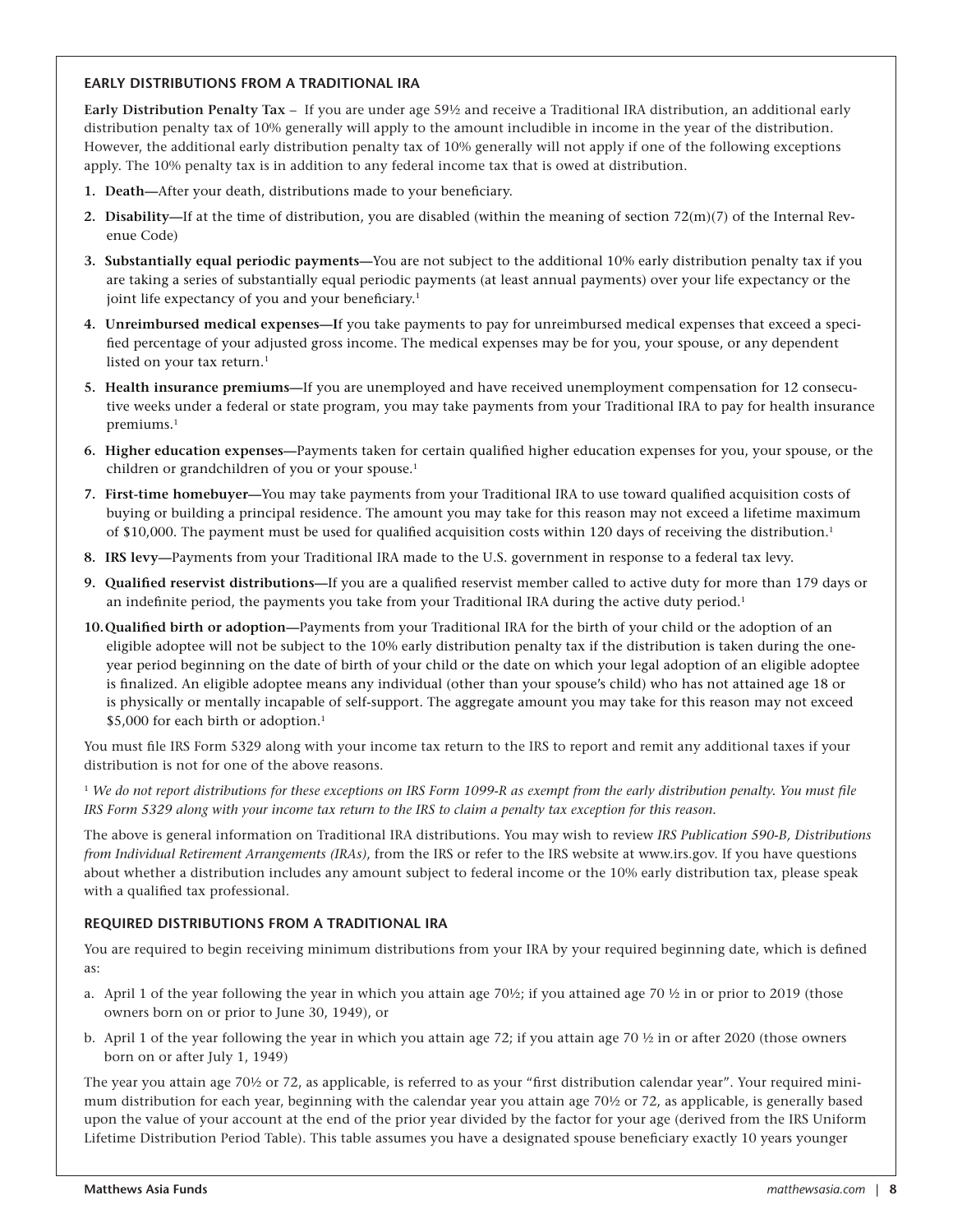#### **EARLY DISTRIBUTIONS FROM A TRADITIONAL IRA**

**Early Distribution Penalty Tax** – If you are under age 59½ and receive a Traditional IRA distribution, an additional early distribution penalty tax of 10% generally will apply to the amount includible in income in the year of the distribution. However, the additional early distribution penalty tax of 10% generally will not apply if one of the following exceptions apply. The 10% penalty tax is in addition to any federal income tax that is owed at distribution.

- **1. Death—**After your death, distributions made to your beneficiary.
- **2. Disability—**If at the time of distribution, you are disabled (within the meaning of section 72(m)(7) of the Internal Revenue Code)
- **3. Substantially equal periodic payments—**You are not subject to the additional 10% early distribution penalty tax if you are taking a series of substantially equal periodic payments (at least annual payments) over your life expectancy or the joint life expectancy of you and your beneficiary.<sup>1</sup>
- **4. Unreimbursed medical expenses—I**f you take payments to pay for unreimbursed medical expenses that exceed a specified percentage of your adjusted gross income. The medical expenses may be for you, your spouse, or any dependent listed on your tax return.<sup>1</sup>
- **5. Health insurance premiums—**If you are unemployed and have received unemployment compensation for 12 consecutive weeks under a federal or state program, you may take payments from your Traditional IRA to pay for health insurance premiums.<sup>1</sup>
- **6. Higher education expenses—**Payments taken for certain qualified higher education expenses for you, your spouse, or the children or grandchildren of you or your spouse.<sup>1</sup>
- **7. First-time homebuyer—**You may take payments from your Traditional IRA to use toward qualified acquisition costs of buying or building a principal residence. The amount you may take for this reason may not exceed a lifetime maximum of \$10,000. The payment must be used for qualified acquisition costs within 120 days of receiving the distribution.1
- **8. IRS levy—**Payments from your Traditional IRA made to the U.S. government in response to a federal tax levy.
- **9. Qualified reservist distributions—**If you are a qualified reservist member called to active duty for more than 179 days or an indefinite period, the payments you take from your Traditional IRA during the active duty period.1
- **10.Qualified birth or adoption—**Payments from your Traditional IRA for the birth of your child or the adoption of an eligible adoptee will not be subject to the 10% early distribution penalty tax if the distribution is taken during the oneyear period beginning on the date of birth of your child or the date on which your legal adoption of an eligible adoptee is finalized. An eligible adoptee means any individual (other than your spouse's child) who has not attained age 18 or is physically or mentally incapable of self-support. The aggregate amount you may take for this reason may not exceed \$5,000 for each birth or adoption.<sup>1</sup>

You must file IRS Form 5329 along with your income tax return to the IRS to report and remit any additional taxes if your distribution is not for one of the above reasons.

<sup>1</sup> *We do not report distributions for these exceptions on IRS Form 1099-R as exempt from the early distribution penalty. You must file IRS Form 5329 along with your income tax return to the IRS to claim a penalty tax exception for this reason.* 

The above is general information on Traditional IRA distributions. You may wish to review *IRS Publication 590-B, Distributions from Individual Retirement Arrangements (IRAs)*, from the IRS or refer to the IRS website at www.irs.gov. If you have questions about whether a distribution includes any amount subject to federal income or the 10% early distribution tax, please speak with a qualified tax professional.

#### **REQUIRED DISTRIBUTIONS FROM A TRADITIONAL IRA**

You are required to begin receiving minimum distributions from your IRA by your required beginning date, which is defined as:

- a. April 1 of the year following the year in which you attain age 70½; if you attained age 70 ½ in or prior to 2019 (those owners born on or prior to June 30, 1949), or
- b. April 1 of the year following the year in which you attain age 72; if you attain age 70 ½ in or after 2020 (those owners born on or after July 1, 1949)

The year you attain age 70½ or 72, as applicable, is referred to as your "first distribution calendar year". Your required minimum distribution for each year, beginning with the calendar year you attain age 70½ or 72, as applicable, is generally based upon the value of your account at the end of the prior year divided by the factor for your age (derived from the IRS Uniform Lifetime Distribution Period Table). This table assumes you have a designated spouse beneficiary exactly 10 years younger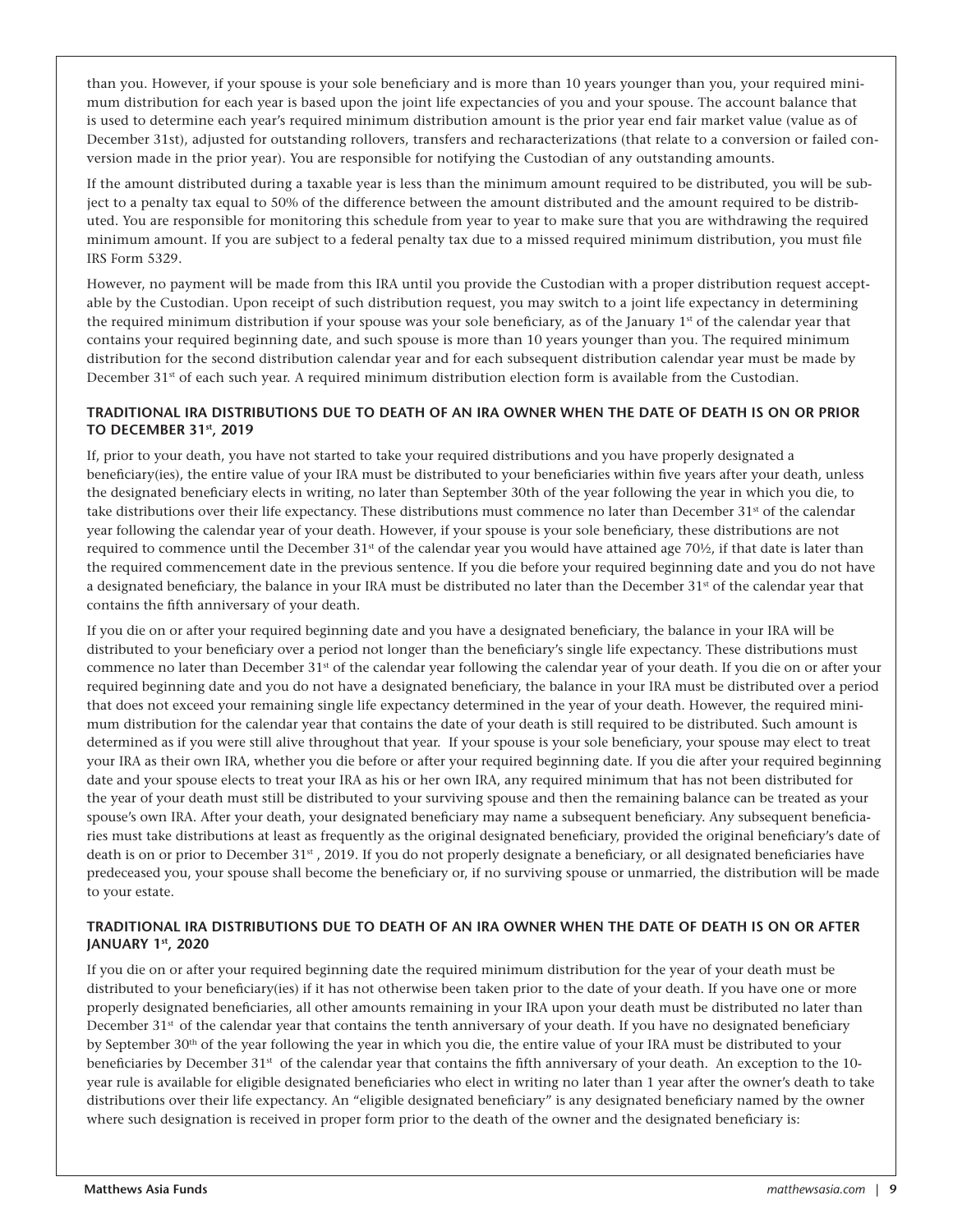than you. However, if your spouse is your sole beneficiary and is more than 10 years younger than you, your required minimum distribution for each year is based upon the joint life expectancies of you and your spouse. The account balance that is used to determine each year's required minimum distribution amount is the prior year end fair market value (value as of December 31st), adjusted for outstanding rollovers, transfers and recharacterizations (that relate to a conversion or failed conversion made in the prior year). You are responsible for notifying the Custodian of any outstanding amounts.

If the amount distributed during a taxable year is less than the minimum amount required to be distributed, you will be subject to a penalty tax equal to 50% of the difference between the amount distributed and the amount required to be distributed. You are responsible for monitoring this schedule from year to year to make sure that you are withdrawing the required minimum amount. If you are subject to a federal penalty tax due to a missed required minimum distribution, you must file IRS Form 5329.

However, no payment will be made from this IRA until you provide the Custodian with a proper distribution request acceptable by the Custodian. Upon receipt of such distribution request, you may switch to a joint life expectancy in determining the required minimum distribution if your spouse was your sole beneficiary, as of the January 1<sup>st</sup> of the calendar year that contains your required beginning date, and such spouse is more than 10 years younger than you. The required minimum distribution for the second distribution calendar year and for each subsequent distribution calendar year must be made by December 31<sup>st</sup> of each such year. A required minimum distribution election form is available from the Custodian.

#### **TRADITIONAL IRA DISTRIBUTIONS DUE TO DEATH OF AN IRA OWNER WHEN THE DATE OF DEATH IS ON OR PRIOR TO DECEMBER 31st, 2019**

If, prior to your death, you have not started to take your required distributions and you have properly designated a beneficiary(ies), the entire value of your IRA must be distributed to your beneficiaries within five years after your death, unless the designated beneficiary elects in writing, no later than September 30th of the year following the year in which you die, to take distributions over their life expectancy. These distributions must commence no later than December 31<sup>st</sup> of the calendar year following the calendar year of your death. However, if your spouse is your sole beneficiary, these distributions are not required to commence until the December  $31<sup>st</sup>$  of the calendar year you would have attained age  $70<sup>ly</sup>$ , if that date is later than the required commencement date in the previous sentence. If you die before your required beginning date and you do not have a designated beneficiary, the balance in your IRA must be distributed no later than the December 31<sup>st</sup> of the calendar year that contains the fifth anniversary of your death.

If you die on or after your required beginning date and you have a designated beneficiary, the balance in your IRA will be distributed to your beneficiary over a period not longer than the beneficiary's single life expectancy. These distributions must commence no later than December 31<sup>st</sup> of the calendar year following the calendar year of your death. If you die on or after your required beginning date and you do not have a designated beneficiary, the balance in your IRA must be distributed over a period that does not exceed your remaining single life expectancy determined in the year of your death. However, the required minimum distribution for the calendar year that contains the date of your death is still required to be distributed. Such amount is determined as if you were still alive throughout that year. If your spouse is your sole beneficiary, your spouse may elect to treat your IRA as their own IRA, whether you die before or after your required beginning date. If you die after your required beginning date and your spouse elects to treat your IRA as his or her own IRA, any required minimum that has not been distributed for the year of your death must still be distributed to your surviving spouse and then the remaining balance can be treated as your spouse's own IRA. After your death, your designated beneficiary may name a subsequent beneficiary. Any subsequent beneficiaries must take distributions at least as frequently as the original designated beneficiary, provided the original beneficiary's date of death is on or prior to December 31<sup>st</sup>, 2019. If you do not properly designate a beneficiary, or all designated beneficiaries have predeceased you, your spouse shall become the beneficiary or, if no surviving spouse or unmarried, the distribution will be made to your estate.

#### **TRADITIONAL IRA DISTRIBUTIONS DUE TO DEATH OF AN IRA OWNER WHEN THE DATE OF DEATH IS ON OR AFTER JANUARY 1st, 2020**

If you die on or after your required beginning date the required minimum distribution for the year of your death must be distributed to your beneficiary(ies) if it has not otherwise been taken prior to the date of your death. If you have one or more properly designated beneficiaries, all other amounts remaining in your IRA upon your death must be distributed no later than December 31<sup>st</sup> of the calendar year that contains the tenth anniversary of your death. If you have no designated beneficiary by September 30<sup>th</sup> of the year following the year in which you die, the entire value of your IRA must be distributed to your beneficiaries by December 31<sup>st</sup> of the calendar year that contains the fifth anniversary of your death. An exception to the 10year rule is available for eligible designated beneficiaries who elect in writing no later than 1 year after the owner's death to take distributions over their life expectancy. An "eligible designated beneficiary" is any designated beneficiary named by the owner where such designation is received in proper form prior to the death of the owner and the designated beneficiary is: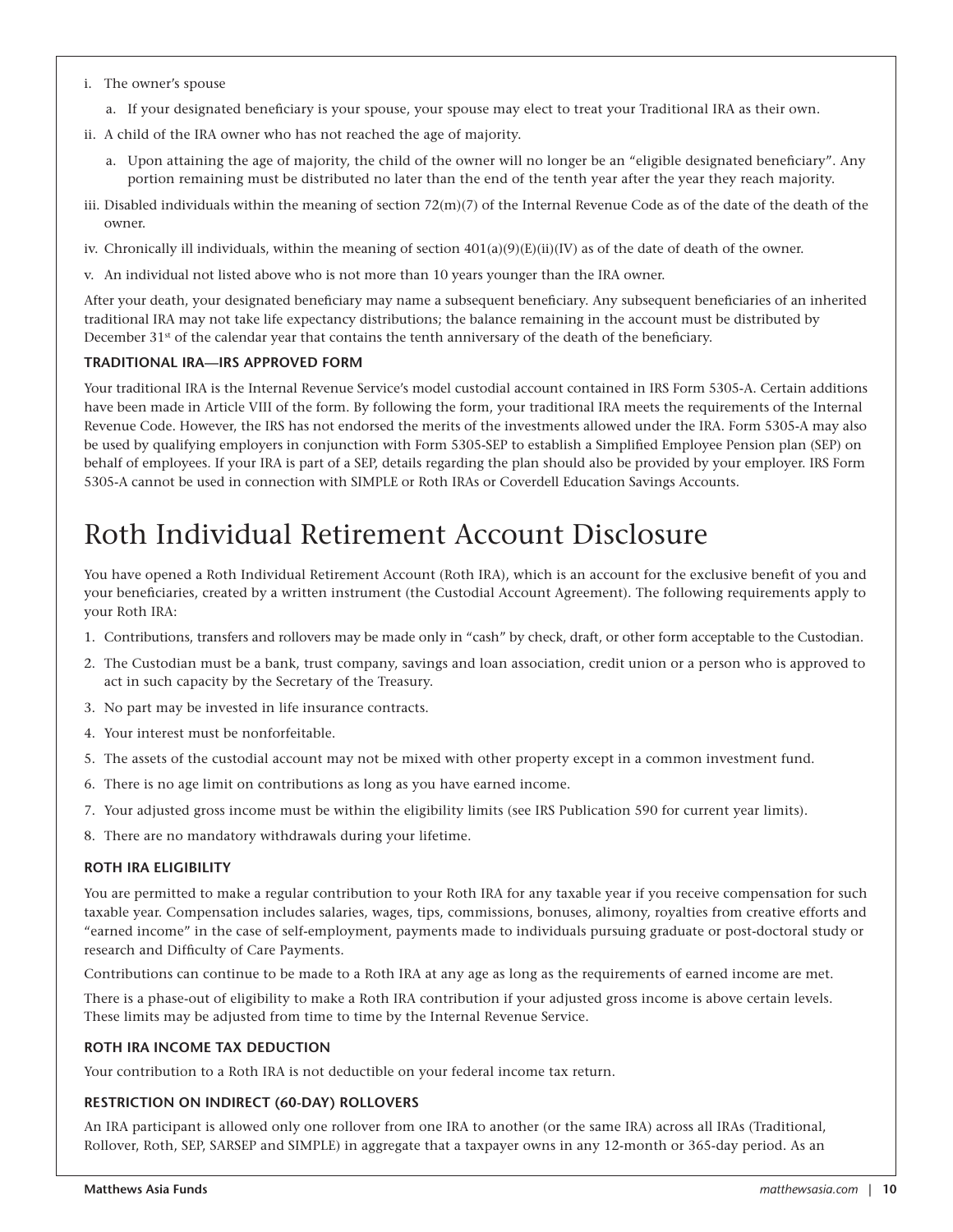- i. The owner's spouse
	- a. If your designated beneficiary is your spouse, your spouse may elect to treat your Traditional IRA as their own.
- ii. A child of the IRA owner who has not reached the age of majority.
	- a. Upon attaining the age of majority, the child of the owner will no longer be an "eligible designated beneficiary". Any portion remaining must be distributed no later than the end of the tenth year after the year they reach majority.
- iii. Disabled individuals within the meaning of section  $72(m)(7)$  of the Internal Revenue Code as of the date of the death of the owner.
- iv. Chronically ill individuals, within the meaning of section  $401(a)(9)(E)(ii)(IV)$  as of the date of death of the owner.
- v. An individual not listed above who is not more than 10 years younger than the IRA owner.

After your death, your designated beneficiary may name a subsequent beneficiary. Any subsequent beneficiaries of an inherited traditional IRA may not take life expectancy distributions; the balance remaining in the account must be distributed by December 31<sup>st</sup> of the calendar year that contains the tenth anniversary of the death of the beneficiary.

#### **TRADITIONAL IRA—IRS APPROVED FORM**

Your traditional IRA is the Internal Revenue Service's model custodial account contained in IRS Form 5305-A. Certain additions have been made in Article VIII of the form. By following the form, your traditional IRA meets the requirements of the Internal Revenue Code. However, the IRS has not endorsed the merits of the investments allowed under the IRA. Form 5305-A may also be used by qualifying employers in conjunction with Form 5305-SEP to establish a Simplified Employee Pension plan (SEP) on behalf of employees. If your IRA is part of a SEP, details regarding the plan should also be provided by your employer. IRS Form 5305-A cannot be used in connection with SIMPLE or Roth IRAs or Coverdell Education Savings Accounts.

### Roth Individual Retirement Account Disclosure

You have opened a Roth Individual Retirement Account (Roth IRA), which is an account for the exclusive benefit of you and your beneficiaries, created by a written instrument (the Custodial Account Agreement). The following requirements apply to your Roth IRA:

- 1. Contributions, transfers and rollovers may be made only in "cash" by check, draft, or other form acceptable to the Custodian.
- 2. The Custodian must be a bank, trust company, savings and loan association, credit union or a person who is approved to act in such capacity by the Secretary of the Treasury.
- 3. No part may be invested in life insurance contracts.
- 4. Your interest must be nonforfeitable.
- 5. The assets of the custodial account may not be mixed with other property except in a common investment fund.
- 6. There is no age limit on contributions as long as you have earned income.
- 7. Your adjusted gross income must be within the eligibility limits (see IRS Publication 590 for current year limits).
- 8. There are no mandatory withdrawals during your lifetime.

#### **ROTH IRA ELIGIBILITY**

You are permitted to make a regular contribution to your Roth IRA for any taxable year if you receive compensation for such taxable year. Compensation includes salaries, wages, tips, commissions, bonuses, alimony, royalties from creative efforts and "earned income" in the case of self-employment, payments made to individuals pursuing graduate or post-doctoral study or research and Difficulty of Care Payments.

Contributions can continue to be made to a Roth IRA at any age as long as the requirements of earned income are met.

There is a phase-out of eligibility to make a Roth IRA contribution if your adjusted gross income is above certain levels. These limits may be adjusted from time to time by the Internal Revenue Service.

#### **ROTH IRA INCOME TAX DEDUCTION**

Your contribution to a Roth IRA is not deductible on your federal income tax return.

#### **RESTRICTION ON INDIRECT (60-DAY) ROLLOVERS**

An IRA participant is allowed only one rollover from one IRA to another (or the same IRA) across all IRAs (Traditional, Rollover, Roth, SEP, SARSEP and SIMPLE) in aggregate that a taxpayer owns in any 12-month or 365-day period. As an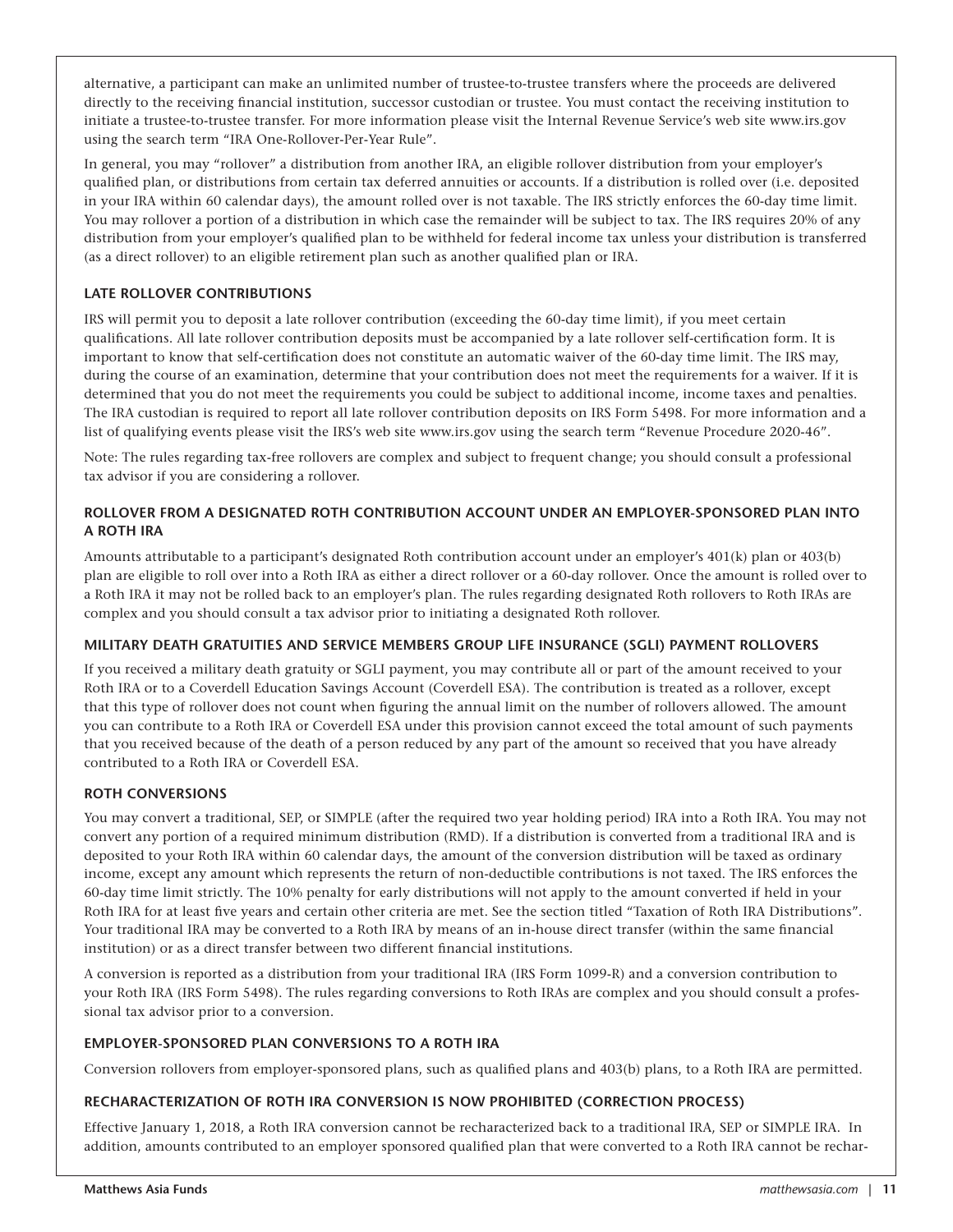alternative, a participant can make an unlimited number of trustee-to-trustee transfers where the proceeds are delivered directly to the receiving financial institution, successor custodian or trustee. You must contact the receiving institution to initiate a trustee-to-trustee transfer. For more information please visit the Internal Revenue Service's web site www.irs.gov using the search term "IRA One-Rollover-Per-Year Rule".

In general, you may "rollover" a distribution from another IRA, an eligible rollover distribution from your employer's qualified plan, or distributions from certain tax deferred annuities or accounts. If a distribution is rolled over (i.e. deposited in your IRA within 60 calendar days), the amount rolled over is not taxable. The IRS strictly enforces the 60-day time limit. You may rollover a portion of a distribution in which case the remainder will be subject to tax. The IRS requires 20% of any distribution from your employer's qualified plan to be withheld for federal income tax unless your distribution is transferred (as a direct rollover) to an eligible retirement plan such as another qualified plan or IRA.

#### **LATE ROLLOVER CONTRIBUTIONS**

IRS will permit you to deposit a late rollover contribution (exceeding the 60-day time limit), if you meet certain qualifications. All late rollover contribution deposits must be accompanied by a late rollover self-certification form. It is important to know that self-certification does not constitute an automatic waiver of the 60-day time limit. The IRS may, during the course of an examination, determine that your contribution does not meet the requirements for a waiver. If it is determined that you do not meet the requirements you could be subject to additional income, income taxes and penalties. The IRA custodian is required to report all late rollover contribution deposits on IRS Form 5498. For more information and a list of qualifying events please visit the IRS's web site www.irs.gov using the search term "Revenue Procedure 2020-46".

Note: The rules regarding tax-free rollovers are complex and subject to frequent change; you should consult a professional tax advisor if you are considering a rollover.

#### **ROLLOVER FROM A DESIGNATED ROTH CONTRIBUTION ACCOUNT UNDER AN EMPLOYER-SPONSORED PLAN INTO A ROTH IRA**

Amounts attributable to a participant's designated Roth contribution account under an employer's 401(k) plan or 403(b) plan are eligible to roll over into a Roth IRA as either a direct rollover or a 60-day rollover. Once the amount is rolled over to a Roth IRA it may not be rolled back to an employer's plan. The rules regarding designated Roth rollovers to Roth IRAs are complex and you should consult a tax advisor prior to initiating a designated Roth rollover.

#### **MILITARY DEATH GRATUITIES AND SERVICE MEMBERS GROUP LIFE INSURANCE (SGLI) PAYMENT ROLLOVERS**

If you received a military death gratuity or SGLI payment, you may contribute all or part of the amount received to your Roth IRA or to a Coverdell Education Savings Account (Coverdell ESA). The contribution is treated as a rollover, except that this type of rollover does not count when figuring the annual limit on the number of rollovers allowed. The amount you can contribute to a Roth IRA or Coverdell ESA under this provision cannot exceed the total amount of such payments that you received because of the death of a person reduced by any part of the amount so received that you have already contributed to a Roth IRA or Coverdell ESA.

#### **ROTH CONVERSIONS**

You may convert a traditional, SEP, or SIMPLE (after the required two year holding period) IRA into a Roth IRA. You may not convert any portion of a required minimum distribution (RMD). If a distribution is converted from a traditional IRA and is deposited to your Roth IRA within 60 calendar days, the amount of the conversion distribution will be taxed as ordinary income, except any amount which represents the return of non-deductible contributions is not taxed. The IRS enforces the 60-day time limit strictly. The 10% penalty for early distributions will not apply to the amount converted if held in your Roth IRA for at least five years and certain other criteria are met. See the section titled "Taxation of Roth IRA Distributions". Your traditional IRA may be converted to a Roth IRA by means of an in-house direct transfer (within the same financial institution) or as a direct transfer between two different financial institutions.

A conversion is reported as a distribution from your traditional IRA (IRS Form 1099-R) and a conversion contribution to your Roth IRA (IRS Form 5498). The rules regarding conversions to Roth IRAs are complex and you should consult a professional tax advisor prior to a conversion.

#### **EMPLOYER-SPONSORED PLAN CONVERSIONS TO A ROTH IRA**

Conversion rollovers from employer-sponsored plans, such as qualified plans and 403(b) plans, to a Roth IRA are permitted.

#### **RECHARACTERIZATION OF ROTH IRA CONVERSION IS NOW PROHIBITED (CORRECTION PROCESS)**

Effective January 1, 2018, a Roth IRA conversion cannot be recharacterized back to a traditional IRA, SEP or SIMPLE IRA. In addition, amounts contributed to an employer sponsored qualified plan that were converted to a Roth IRA cannot be rechar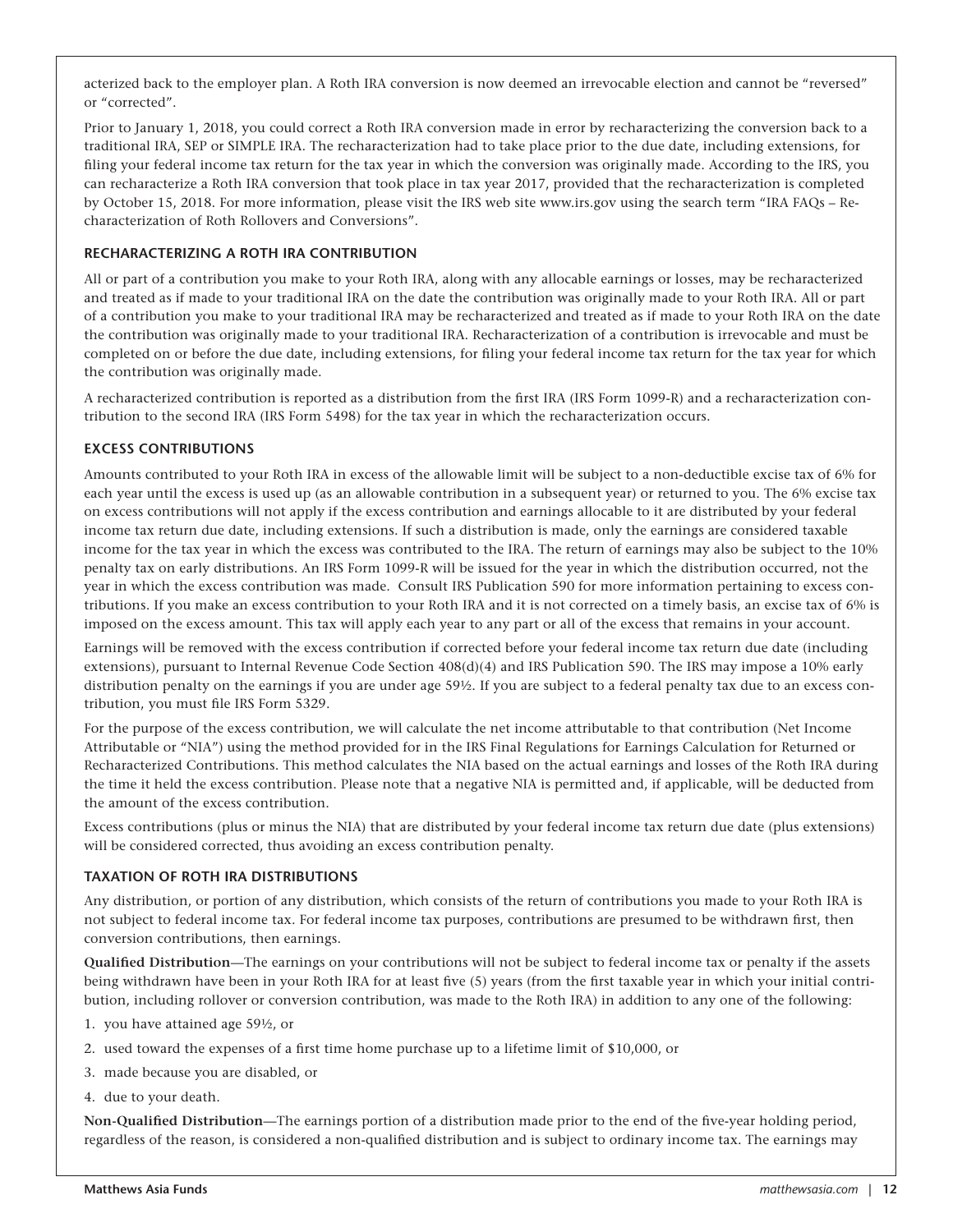acterized back to the employer plan. A Roth IRA conversion is now deemed an irrevocable election and cannot be "reversed" or "corrected".

Prior to January 1, 2018, you could correct a Roth IRA conversion made in error by recharacterizing the conversion back to a traditional IRA, SEP or SIMPLE IRA. The recharacterization had to take place prior to the due date, including extensions, for filing your federal income tax return for the tax year in which the conversion was originally made. According to the IRS, you can recharacterize a Roth IRA conversion that took place in tax year 2017, provided that the recharacterization is completed by October 15, 2018. For more information, please visit the IRS web site www.irs.gov using the search term "IRA FAQs – Recharacterization of Roth Rollovers and Conversions".

#### **RECHARACTERIZING A ROTH IRA CONTRIBUTION**

All or part of a contribution you make to your Roth IRA, along with any allocable earnings or losses, may be recharacterized and treated as if made to your traditional IRA on the date the contribution was originally made to your Roth IRA. All or part of a contribution you make to your traditional IRA may be recharacterized and treated as if made to your Roth IRA on the date the contribution was originally made to your traditional IRA. Recharacterization of a contribution is irrevocable and must be completed on or before the due date, including extensions, for filing your federal income tax return for the tax year for which the contribution was originally made.

A recharacterized contribution is reported as a distribution from the first IRA (IRS Form 1099-R) and a recharacterization contribution to the second IRA (IRS Form 5498) for the tax year in which the recharacterization occurs.

#### **EXCESS CONTRIBUTIONS**

Amounts contributed to your Roth IRA in excess of the allowable limit will be subject to a non-deductible excise tax of 6% for each year until the excess is used up (as an allowable contribution in a subsequent year) or returned to you. The 6% excise tax on excess contributions will not apply if the excess contribution and earnings allocable to it are distributed by your federal income tax return due date, including extensions. If such a distribution is made, only the earnings are considered taxable income for the tax year in which the excess was contributed to the IRA. The return of earnings may also be subject to the 10% penalty tax on early distributions. An IRS Form 1099-R will be issued for the year in which the distribution occurred, not the year in which the excess contribution was made. Consult IRS Publication 590 for more information pertaining to excess contributions. If you make an excess contribution to your Roth IRA and it is not corrected on a timely basis, an excise tax of 6% is imposed on the excess amount. This tax will apply each year to any part or all of the excess that remains in your account.

Earnings will be removed with the excess contribution if corrected before your federal income tax return due date (including extensions), pursuant to Internal Revenue Code Section 408(d)(4) and IRS Publication 590. The IRS may impose a 10% early distribution penalty on the earnings if you are under age 59½. If you are subject to a federal penalty tax due to an excess contribution, you must file IRS Form 5329.

For the purpose of the excess contribution, we will calculate the net income attributable to that contribution (Net Income Attributable or "NIA") using the method provided for in the IRS Final Regulations for Earnings Calculation for Returned or Recharacterized Contributions. This method calculates the NIA based on the actual earnings and losses of the Roth IRA during the time it held the excess contribution. Please note that a negative NIA is permitted and, if applicable, will be deducted from the amount of the excess contribution.

Excess contributions (plus or minus the NIA) that are distributed by your federal income tax return due date (plus extensions) will be considered corrected, thus avoiding an excess contribution penalty.

#### **TAXATION OF ROTH IRA DISTRIBUTIONS**

Any distribution, or portion of any distribution, which consists of the return of contributions you made to your Roth IRA is not subject to federal income tax. For federal income tax purposes, contributions are presumed to be withdrawn first, then conversion contributions, then earnings.

**Qualified Distribution**—The earnings on your contributions will not be subject to federal income tax or penalty if the assets being withdrawn have been in your Roth IRA for at least five (5) years (from the first taxable year in which your initial contribution, including rollover or conversion contribution, was made to the Roth IRA) in addition to any one of the following:

- 1. you have attained age 59½, or
- 2. used toward the expenses of a first time home purchase up to a lifetime limit of \$10,000, or
- 3. made because you are disabled, or
- 4. due to your death.

**Non-Qualified Distribution**—The earnings portion of a distribution made prior to the end of the five-year holding period, regardless of the reason, is considered a non-qualified distribution and is subject to ordinary income tax. The earnings may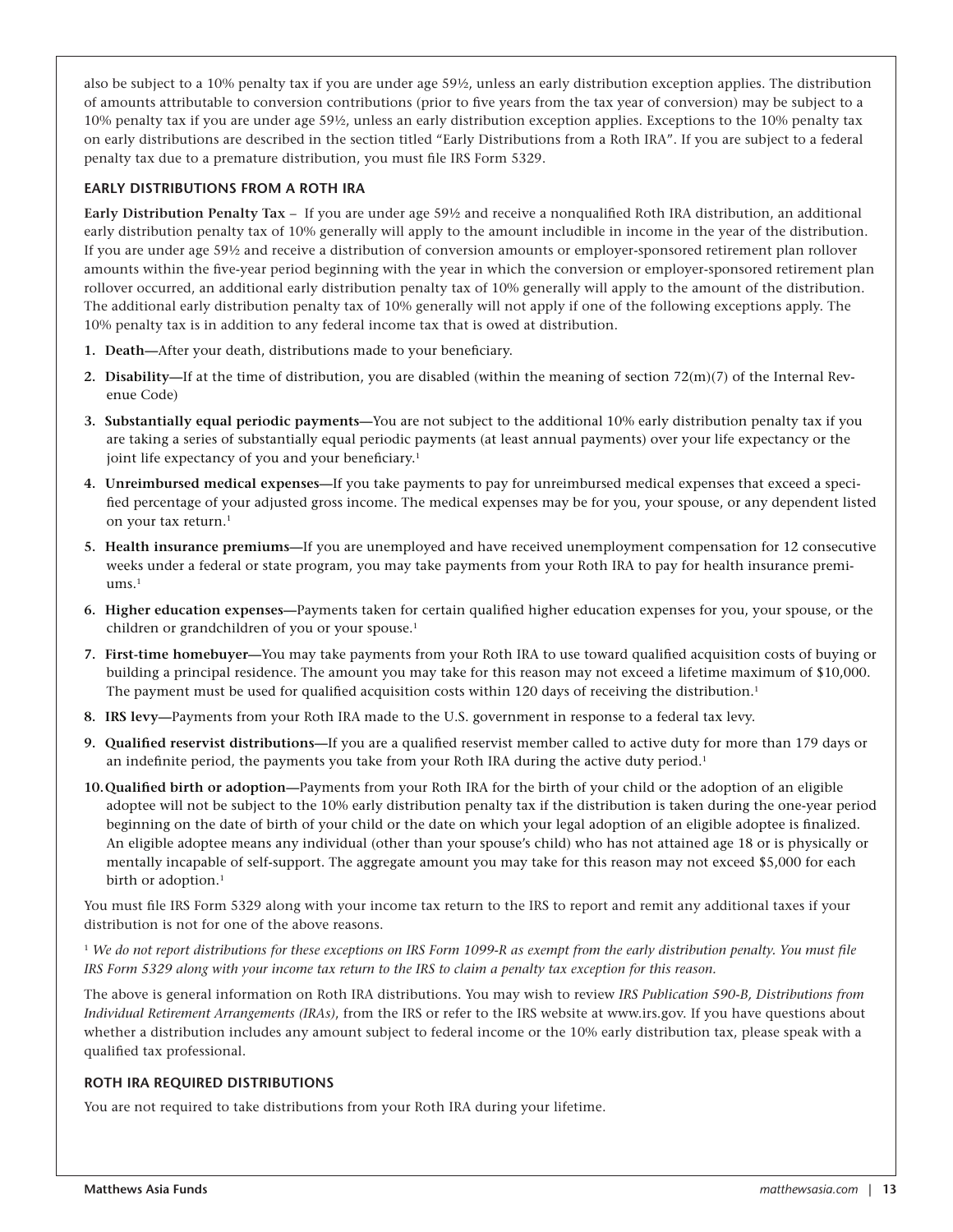also be subject to a 10% penalty tax if you are under age 59½, unless an early distribution exception applies. The distribution of amounts attributable to conversion contributions (prior to five years from the tax year of conversion) may be subject to a 10% penalty tax if you are under age 59½, unless an early distribution exception applies. Exceptions to the 10% penalty tax on early distributions are described in the section titled "Early Distributions from a Roth IRA". If you are subject to a federal penalty tax due to a premature distribution, you must file IRS Form 5329.

#### **EARLY DISTRIBUTIONS FROM A ROTH IRA**

**Early Distribution Penalty Tax** – If you are under age 59½ and receive a nonqualified Roth IRA distribution, an additional early distribution penalty tax of 10% generally will apply to the amount includible in income in the year of the distribution. If you are under age 59½ and receive a distribution of conversion amounts or employer-sponsored retirement plan rollover amounts within the five-year period beginning with the year in which the conversion or employer-sponsored retirement plan rollover occurred, an additional early distribution penalty tax of 10% generally will apply to the amount of the distribution. The additional early distribution penalty tax of 10% generally will not apply if one of the following exceptions apply. The 10% penalty tax is in addition to any federal income tax that is owed at distribution.

- **1. Death—**After your death, distributions made to your beneficiary.
- **2. Disability—**If at the time of distribution, you are disabled (within the meaning of section 72(m)(7) of the Internal Revenue Code)
- **3. Substantially equal periodic payments—**You are not subject to the additional 10% early distribution penalty tax if you are taking a series of substantially equal periodic payments (at least annual payments) over your life expectancy or the joint life expectancy of you and your beneficiary.<sup>1</sup>
- **4. Unreimbursed medical expenses—**If you take payments to pay for unreimbursed medical expenses that exceed a specified percentage of your adjusted gross income. The medical expenses may be for you, your spouse, or any dependent listed on your tax return.<sup>1</sup>
- **5. Health insurance premiums—**If you are unemployed and have received unemployment compensation for 12 consecutive weeks under a federal or state program, you may take payments from your Roth IRA to pay for health insurance premi $ums.<sup>1</sup>$
- **6. Higher education expenses—**Payments taken for certain qualified higher education expenses for you, your spouse, or the children or grandchildren of you or your spouse.<sup>1</sup>
- **7. First-time homebuyer—**You may take payments from your Roth IRA to use toward qualified acquisition costs of buying or building a principal residence. The amount you may take for this reason may not exceed a lifetime maximum of \$10,000. The payment must be used for qualified acquisition costs within 120 days of receiving the distribution.<sup>1</sup>
- **8. IRS levy—**Payments from your Roth IRA made to the U.S. government in response to a federal tax levy.
- **9. Qualified reservist distributions—**If you are a qualified reservist member called to active duty for more than 179 days or an indefinite period, the payments you take from your Roth IRA during the active duty period.<sup>1</sup>
- **10.Qualified birth or adoption—**Payments from your Roth IRA for the birth of your child or the adoption of an eligible adoptee will not be subject to the 10% early distribution penalty tax if the distribution is taken during the one-year period beginning on the date of birth of your child or the date on which your legal adoption of an eligible adoptee is finalized. An eligible adoptee means any individual (other than your spouse's child) who has not attained age 18 or is physically or mentally incapable of self-support. The aggregate amount you may take for this reason may not exceed \$5,000 for each birth or adoption.<sup>1</sup>

You must file IRS Form 5329 along with your income tax return to the IRS to report and remit any additional taxes if your distribution is not for one of the above reasons.

<sup>1</sup> *We do not report distributions for these exceptions on IRS Form 1099-R as exempt from the early distribution penalty. You must file IRS Form 5329 along with your income tax return to the IRS to claim a penalty tax exception for this reason.* 

The above is general information on Roth IRA distributions. You may wish to review *IRS Publication 590-B, Distributions from Individual Retirement Arrangements (IRAs)*, from the IRS or refer to the IRS website at www.irs.gov. If you have questions about whether a distribution includes any amount subject to federal income or the 10% early distribution tax, please speak with a qualified tax professional.

#### **ROTH IRA REQUIRED DISTRIBUTIONS**

You are not required to take distributions from your Roth IRA during your lifetime.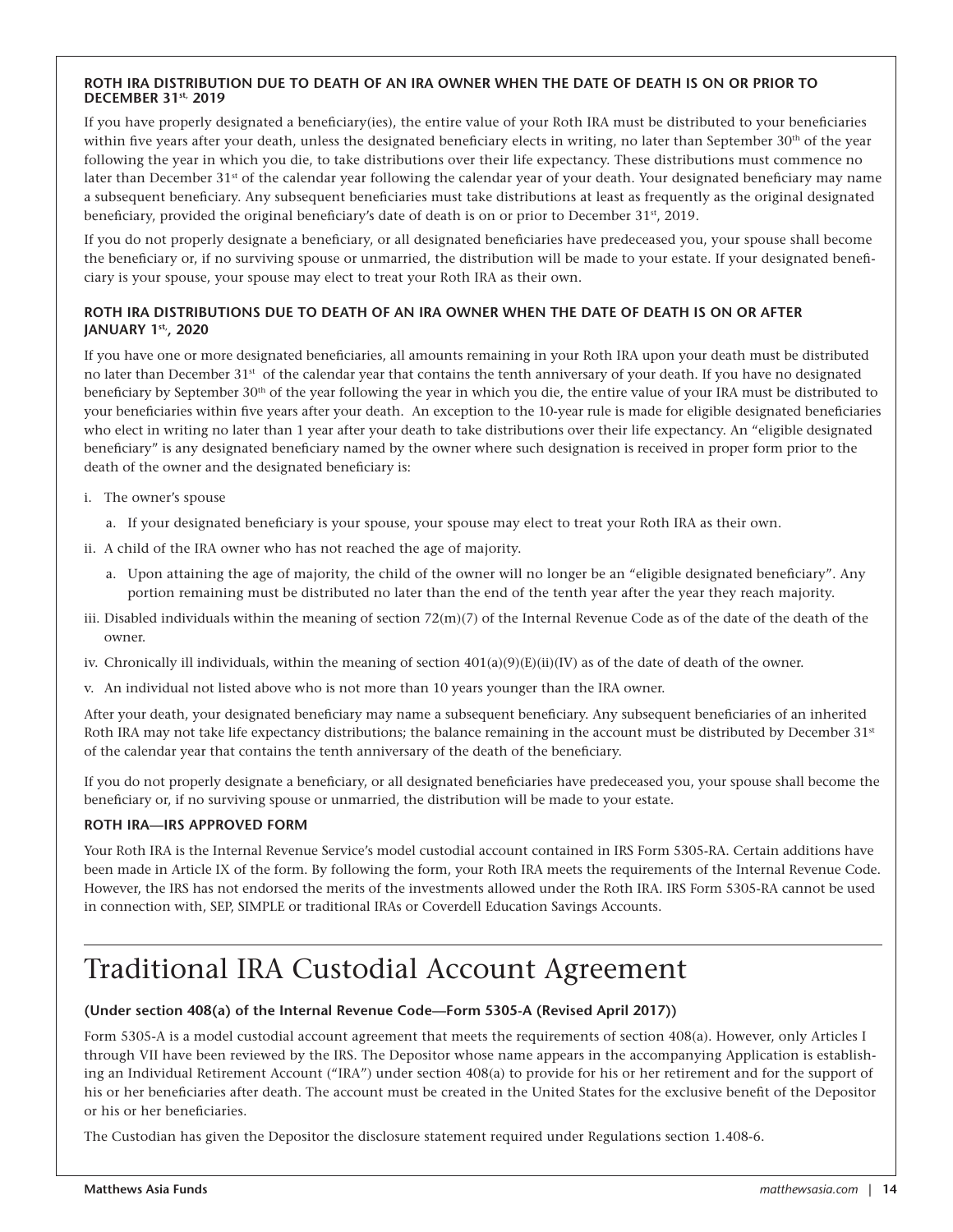#### **ROTH IRA DISTRIBUTION DUE TO DEATH OF AN IRA OWNER WHEN THE DATE OF DEATH IS ON OR PRIOR TO DECEMBER 31st, 2019**

If you have properly designated a beneficiary(ies), the entire value of your Roth IRA must be distributed to your beneficiaries within five years after your death, unless the designated beneficiary elects in writing, no later than September  $30<sup>th</sup>$  of the year following the year in which you die, to take distributions over their life expectancy. These distributions must commence no later than December 31<sup>st</sup> of the calendar year following the calendar year of your death. Your designated beneficiary may name a subsequent beneficiary. Any subsequent beneficiaries must take distributions at least as frequently as the original designated beneficiary, provided the original beneficiary's date of death is on or prior to December  $31<sup>st</sup>$ , 2019.

If you do not properly designate a beneficiary, or all designated beneficiaries have predeceased you, your spouse shall become the beneficiary or, if no surviving spouse or unmarried, the distribution will be made to your estate. If your designated beneficiary is your spouse, your spouse may elect to treat your Roth IRA as their own.

#### **ROTH IRA DISTRIBUTIONS DUE TO DEATH OF AN IRA OWNER WHEN THE DATE OF DEATH IS ON OR AFTER JANUARY 1st,, 2020**

If you have one or more designated beneficiaries, all amounts remaining in your Roth IRA upon your death must be distributed no later than December 31<sup>st</sup> of the calendar year that contains the tenth anniversary of your death. If you have no designated beneficiary by September 30<sup>th</sup> of the year following the year in which you die, the entire value of your IRA must be distributed to your beneficiaries within five years after your death. An exception to the 10-year rule is made for eligible designated beneficiaries who elect in writing no later than 1 year after your death to take distributions over their life expectancy. An "eligible designated beneficiary" is any designated beneficiary named by the owner where such designation is received in proper form prior to the death of the owner and the designated beneficiary is:

- i. The owner's spouse
	- a. If your designated beneficiary is your spouse, your spouse may elect to treat your Roth IRA as their own.
- ii. A child of the IRA owner who has not reached the age of majority.
	- a. Upon attaining the age of majority, the child of the owner will no longer be an "eligible designated beneficiary". Any portion remaining must be distributed no later than the end of the tenth year after the year they reach majority.
- iii. Disabled individuals within the meaning of section  $72(m)(7)$  of the Internal Revenue Code as of the date of the death of the owner.
- iv. Chronically ill individuals, within the meaning of section  $401(a)(9)(E)(ii)(IV)$  as of the date of death of the owner.
- v. An individual not listed above who is not more than 10 years younger than the IRA owner.

After your death, your designated beneficiary may name a subsequent beneficiary. Any subsequent beneficiaries of an inherited Roth IRA may not take life expectancy distributions; the balance remaining in the account must be distributed by December 31<sup>st</sup> of the calendar year that contains the tenth anniversary of the death of the beneficiary.

If you do not properly designate a beneficiary, or all designated beneficiaries have predeceased you, your spouse shall become the beneficiary or, if no surviving spouse or unmarried, the distribution will be made to your estate.

#### **ROTH IRA—IRS APPROVED FORM**

Your Roth IRA is the Internal Revenue Service's model custodial account contained in IRS Form 5305-RA. Certain additions have been made in Article IX of the form. By following the form, your Roth IRA meets the requirements of the Internal Revenue Code. However, the IRS has not endorsed the merits of the investments allowed under the Roth IRA. IRS Form 5305-RA cannot be used in connection with, SEP, SIMPLE or traditional IRAs or Coverdell Education Savings Accounts.

### Traditional IRA Custodial Account Agreement

#### **(Under section 408(a) of the Internal Revenue Code—Form 5305-A (Revised April 2017))**

Form 5305-A is a model custodial account agreement that meets the requirements of section 408(a). However, only Articles I through VII have been reviewed by the IRS. The Depositor whose name appears in the accompanying Application is establishing an Individual Retirement Account ("IRA") under section 408(a) to provide for his or her retirement and for the support of his or her beneficiaries after death. The account must be created in the United States for the exclusive benefit of the Depositor or his or her beneficiaries.

The Custodian has given the Depositor the disclosure statement required under Regulations section 1.408-6.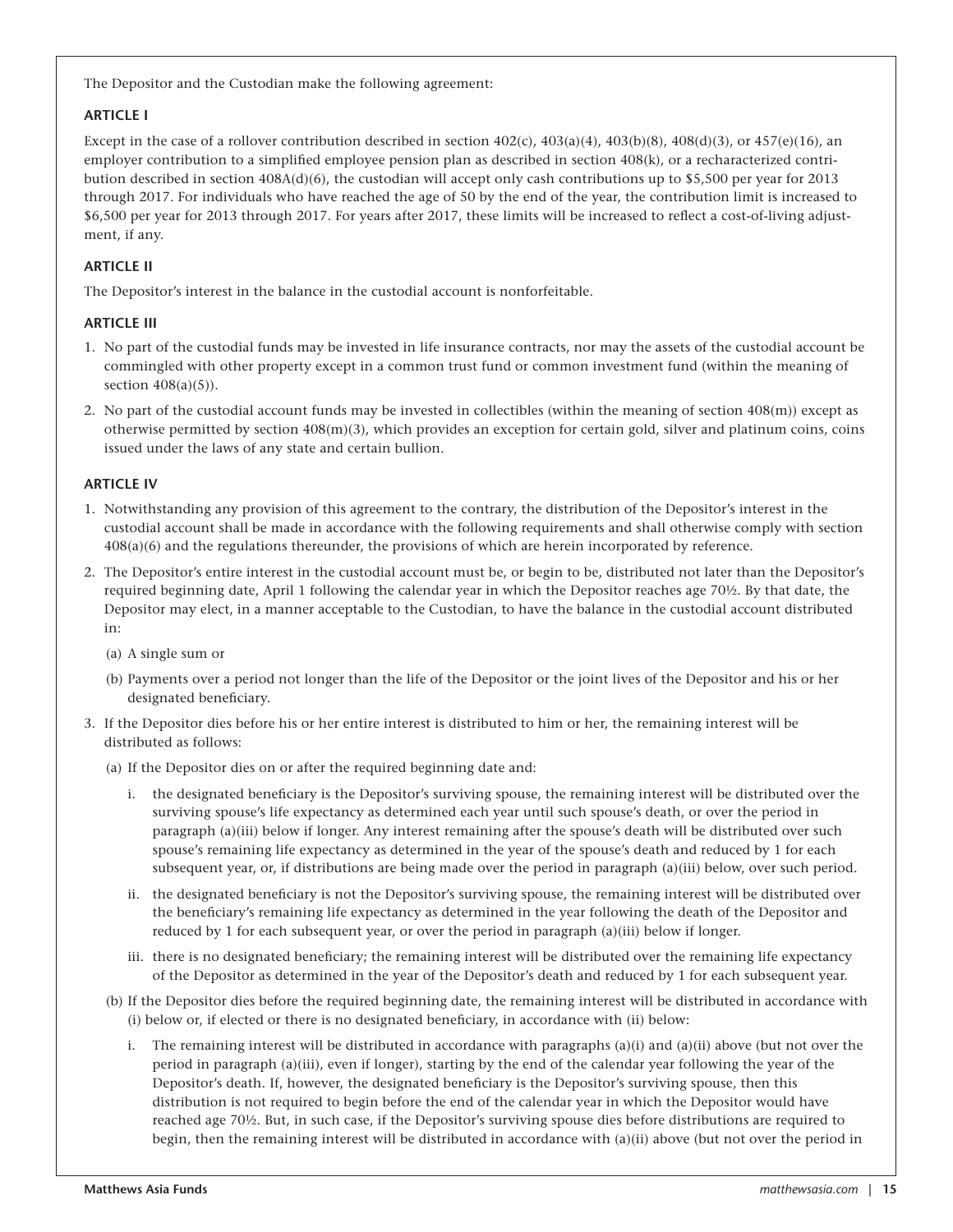The Depositor and the Custodian make the following agreement:

#### **ARTICLE I**

Except in the case of a rollover contribution described in section  $402(c)$ ,  $403(a)(4)$ ,  $403(b)(8)$ ,  $408(d)(3)$ , or  $457(e)(16)$ , an employer contribution to a simplified employee pension plan as described in section 408(k), or a recharacterized contribution described in section 408A(d)(6), the custodian will accept only cash contributions up to \$5,500 per year for 2013 through 2017. For individuals who have reached the age of 50 by the end of the year, the contribution limit is increased to \$6,500 per year for 2013 through 2017. For years after 2017, these limits will be increased to reflect a cost-of-living adjustment, if any.

#### **ARTICLE II**

The Depositor's interest in the balance in the custodial account is nonforfeitable.

#### **ARTICLE III**

- 1. No part of the custodial funds may be invested in life insurance contracts, nor may the assets of the custodial account be commingled with other property except in a common trust fund or common investment fund (within the meaning of section  $408(a)(5)$ ).
- 2. No part of the custodial account funds may be invested in collectibles (within the meaning of section 408(m)) except as otherwise permitted by section 408(m)(3), which provides an exception for certain gold, silver and platinum coins, coins issued under the laws of any state and certain bullion.

#### **ARTICLE IV**

- 1. Notwithstanding any provision of this agreement to the contrary, the distribution of the Depositor's interest in the custodial account shall be made in accordance with the following requirements and shall otherwise comply with section 408(a)(6) and the regulations thereunder, the provisions of which are herein incorporated by reference.
- 2. The Depositor's entire interest in the custodial account must be, or begin to be, distributed not later than the Depositor's required beginning date, April 1 following the calendar year in which the Depositor reaches age 70½. By that date, the Depositor may elect, in a manner acceptable to the Custodian, to have the balance in the custodial account distributed in:
	- (a) A single sum or
	- (b) Payments over a period not longer than the life of the Depositor or the joint lives of the Depositor and his or her designated beneficiary.
- 3. If the Depositor dies before his or her entire interest is distributed to him or her, the remaining interest will be distributed as follows:

(a) If the Depositor dies on or after the required beginning date and:

- i. the designated beneficiary is the Depositor's surviving spouse, the remaining interest will be distributed over the surviving spouse's life expectancy as determined each year until such spouse's death, or over the period in paragraph (a)(iii) below if longer. Any interest remaining after the spouse's death will be distributed over such spouse's remaining life expectancy as determined in the year of the spouse's death and reduced by 1 for each subsequent year, or, if distributions are being made over the period in paragraph (a)(iii) below, over such period.
- ii. the designated beneficiary is not the Depositor's surviving spouse, the remaining interest will be distributed over the beneficiary's remaining life expectancy as determined in the year following the death of the Depositor and reduced by 1 for each subsequent year, or over the period in paragraph (a)(iii) below if longer.
- iii. there is no designated beneficiary; the remaining interest will be distributed over the remaining life expectancy of the Depositor as determined in the year of the Depositor's death and reduced by 1 for each subsequent year.
- (b) If the Depositor dies before the required beginning date, the remaining interest will be distributed in accordance with (i) below or, if elected or there is no designated beneficiary, in accordance with (ii) below:
	- i. The remaining interest will be distributed in accordance with paragraphs (a)(i) and (a)(ii) above (but not over the period in paragraph (a)(iii), even if longer), starting by the end of the calendar year following the year of the Depositor's death. If, however, the designated beneficiary is the Depositor's surviving spouse, then this distribution is not required to begin before the end of the calendar year in which the Depositor would have reached age 70½. But, in such case, if the Depositor's surviving spouse dies before distributions are required to begin, then the remaining interest will be distributed in accordance with (a)(ii) above (but not over the period in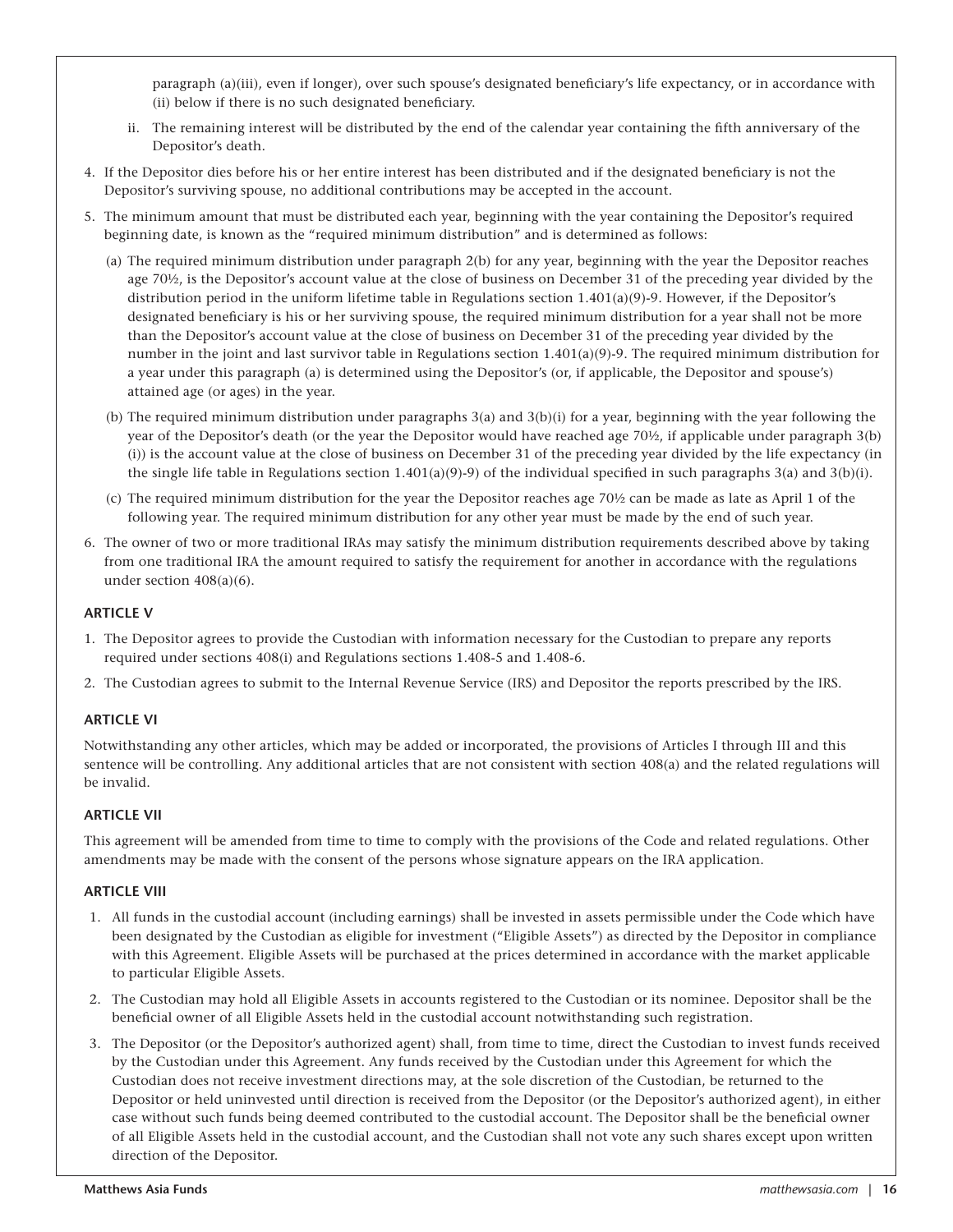paragraph (a)(iii), even if longer), over such spouse's designated beneficiary's life expectancy, or in accordance with (ii) below if there is no such designated beneficiary.

- ii. The remaining interest will be distributed by the end of the calendar year containing the fifth anniversary of the Depositor's death.
- 4. If the Depositor dies before his or her entire interest has been distributed and if the designated beneficiary is not the Depositor's surviving spouse, no additional contributions may be accepted in the account.
- 5. The minimum amount that must be distributed each year, beginning with the year containing the Depositor's required beginning date, is known as the "required minimum distribution" and is determined as follows:
	- (a) The required minimum distribution under paragraph 2(b) for any year, beginning with the year the Depositor reaches age 70½, is the Depositor's account value at the close of business on December 31 of the preceding year divided by the distribution period in the uniform lifetime table in Regulations section 1.401(a)(9)-9. However, if the Depositor's designated beneficiary is his or her surviving spouse, the required minimum distribution for a year shall not be more than the Depositor's account value at the close of business on December 31 of the preceding year divided by the number in the joint and last survivor table in Regulations section  $1.401(a)(9)$ -9. The required minimum distribution for a year under this paragraph (a) is determined using the Depositor's (or, if applicable, the Depositor and spouse's) attained age (or ages) in the year.
	- (b) The required minimum distribution under paragraphs 3(a) and 3(b)(i) for a year, beginning with the year following the year of the Depositor's death (or the year the Depositor would have reached age 70½, if applicable under paragraph 3(b) (i)) is the account value at the close of business on December 31 of the preceding year divided by the life expectancy (in the single life table in Regulations section  $1.401(a)(9)-9$  of the individual specified in such paragraphs 3(a) and 3(b)(i).
	- (c) The required minimum distribution for the year the Depositor reaches age 70½ can be made as late as April 1 of the following year. The required minimum distribution for any other year must be made by the end of such year.
- 6. The owner of two or more traditional IRAs may satisfy the minimum distribution requirements described above by taking from one traditional IRA the amount required to satisfy the requirement for another in accordance with the regulations under section 408(a)(6).

#### **ARTICLE V**

- 1. The Depositor agrees to provide the Custodian with information necessary for the Custodian to prepare any reports required under sections 408(i) and Regulations sections 1.408-5 and 1.408-6.
- 2. The Custodian agrees to submit to the Internal Revenue Service (IRS) and Depositor the reports prescribed by the IRS.

#### **ARTICLE VI**

Notwithstanding any other articles, which may be added or incorporated, the provisions of Articles I through III and this sentence will be controlling. Any additional articles that are not consistent with section 408(a) and the related regulations will be invalid.

#### **ARTICLE VII**

This agreement will be amended from time to time to comply with the provisions of the Code and related regulations. Other amendments may be made with the consent of the persons whose signature appears on the IRA application.

#### **ARTICLE VIII**

- 1. All funds in the custodial account (including earnings) shall be invested in assets permissible under the Code which have been designated by the Custodian as eligible for investment ("Eligible Assets") as directed by the Depositor in compliance with this Agreement. Eligible Assets will be purchased at the prices determined in accordance with the market applicable to particular Eligible Assets.
- 2. The Custodian may hold all Eligible Assets in accounts registered to the Custodian or its nominee. Depositor shall be the beneficial owner of all Eligible Assets held in the custodial account notwithstanding such registration.
- 3. The Depositor (or the Depositor's authorized agent) shall, from time to time, direct the Custodian to invest funds received by the Custodian under this Agreement. Any funds received by the Custodian under this Agreement for which the Custodian does not receive investment directions may, at the sole discretion of the Custodian, be returned to the Depositor or held uninvested until direction is received from the Depositor (or the Depositor's authorized agent), in either case without such funds being deemed contributed to the custodial account. The Depositor shall be the beneficial owner of all Eligible Assets held in the custodial account, and the Custodian shall not vote any such shares except upon written direction of the Depositor.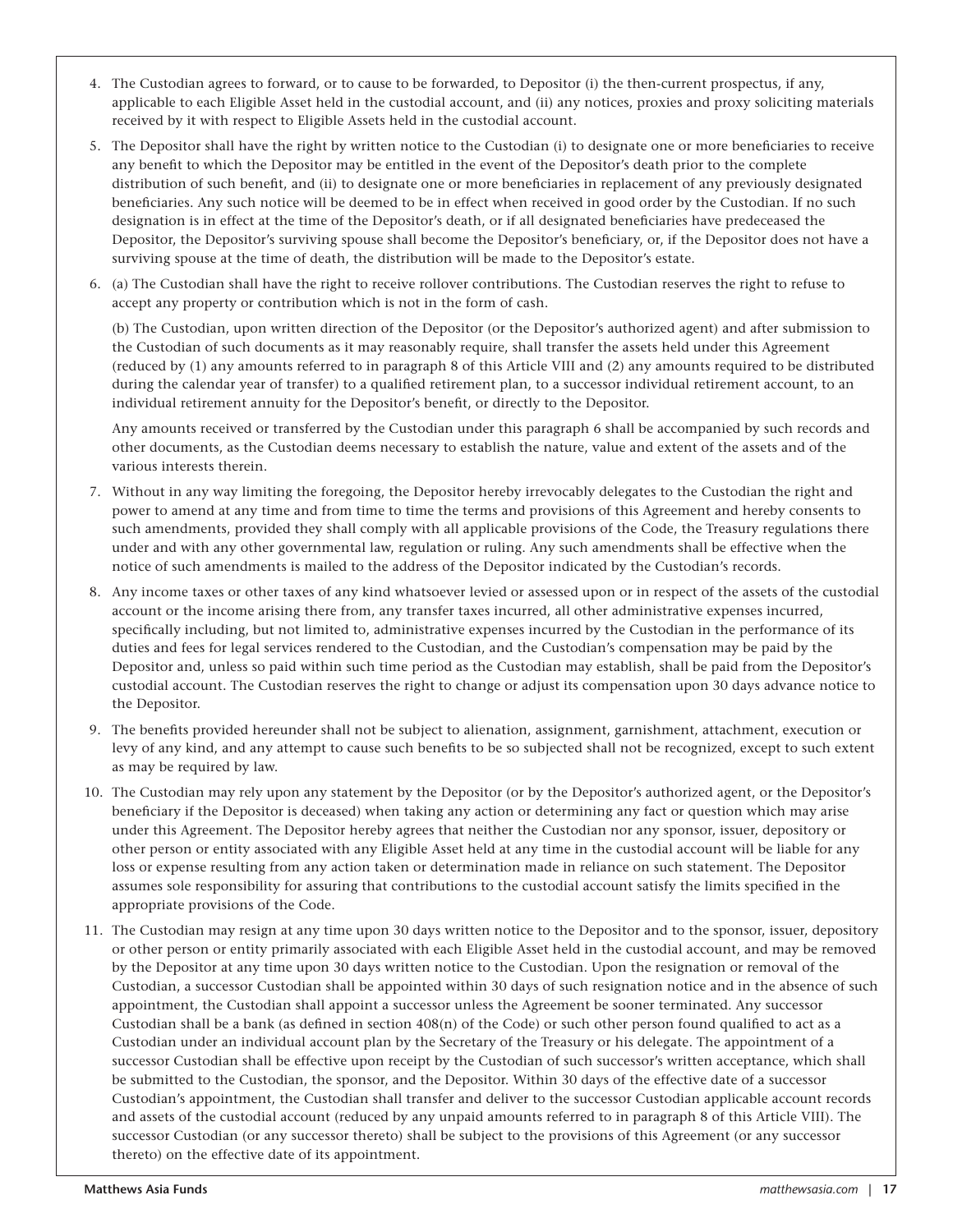- 4. The Custodian agrees to forward, or to cause to be forwarded, to Depositor (i) the then-current prospectus, if any, applicable to each Eligible Asset held in the custodial account, and (ii) any notices, proxies and proxy soliciting materials received by it with respect to Eligible Assets held in the custodial account.
- 5. The Depositor shall have the right by written notice to the Custodian (i) to designate one or more beneficiaries to receive any benefit to which the Depositor may be entitled in the event of the Depositor's death prior to the complete distribution of such benefit, and (ii) to designate one or more beneficiaries in replacement of any previously designated beneficiaries. Any such notice will be deemed to be in effect when received in good order by the Custodian. If no such designation is in effect at the time of the Depositor's death, or if all designated beneficiaries have predeceased the Depositor, the Depositor's surviving spouse shall become the Depositor's beneficiary, or, if the Depositor does not have a surviving spouse at the time of death, the distribution will be made to the Depositor's estate.
- 6. (a) The Custodian shall have the right to receive rollover contributions. The Custodian reserves the right to refuse to accept any property or contribution which is not in the form of cash.

 (b) The Custodian, upon written direction of the Depositor (or the Depositor's authorized agent) and after submission to the Custodian of such documents as it may reasonably require, shall transfer the assets held under this Agreement (reduced by (1) any amounts referred to in paragraph 8 of this Article VIII and (2) any amounts required to be distributed during the calendar year of transfer) to a qualified retirement plan, to a successor individual retirement account, to an individual retirement annuity for the Depositor's benefit, or directly to the Depositor.

 Any amounts received or transferred by the Custodian under this paragraph 6 shall be accompanied by such records and other documents, as the Custodian deems necessary to establish the nature, value and extent of the assets and of the various interests therein.

- 7. Without in any way limiting the foregoing, the Depositor hereby irrevocably delegates to the Custodian the right and power to amend at any time and from time to time the terms and provisions of this Agreement and hereby consents to such amendments, provided they shall comply with all applicable provisions of the Code, the Treasury regulations there under and with any other governmental law, regulation or ruling. Any such amendments shall be effective when the notice of such amendments is mailed to the address of the Depositor indicated by the Custodian's records.
- 8. Any income taxes or other taxes of any kind whatsoever levied or assessed upon or in respect of the assets of the custodial account or the income arising there from, any transfer taxes incurred, all other administrative expenses incurred, specifically including, but not limited to, administrative expenses incurred by the Custodian in the performance of its duties and fees for legal services rendered to the Custodian, and the Custodian's compensation may be paid by the Depositor and, unless so paid within such time period as the Custodian may establish, shall be paid from the Depositor's custodial account. The Custodian reserves the right to change or adjust its compensation upon 30 days advance notice to the Depositor.
- 9. The benefits provided hereunder shall not be subject to alienation, assignment, garnishment, attachment, execution or levy of any kind, and any attempt to cause such benefits to be so subjected shall not be recognized, except to such extent as may be required by law.
- 10. The Custodian may rely upon any statement by the Depositor (or by the Depositor's authorized agent, or the Depositor's beneficiary if the Depositor is deceased) when taking any action or determining any fact or question which may arise under this Agreement. The Depositor hereby agrees that neither the Custodian nor any sponsor, issuer, depository or other person or entity associated with any Eligible Asset held at any time in the custodial account will be liable for any loss or expense resulting from any action taken or determination made in reliance on such statement. The Depositor assumes sole responsibility for assuring that contributions to the custodial account satisfy the limits specified in the appropriate provisions of the Code.
- 11. The Custodian may resign at any time upon 30 days written notice to the Depositor and to the sponsor, issuer, depository or other person or entity primarily associated with each Eligible Asset held in the custodial account, and may be removed by the Depositor at any time upon 30 days written notice to the Custodian. Upon the resignation or removal of the Custodian, a successor Custodian shall be appointed within 30 days of such resignation notice and in the absence of such appointment, the Custodian shall appoint a successor unless the Agreement be sooner terminated. Any successor Custodian shall be a bank (as defined in section  $408(n)$  of the Code) or such other person found qualified to act as a Custodian under an individual account plan by the Secretary of the Treasury or his delegate. The appointment of a successor Custodian shall be effective upon receipt by the Custodian of such successor's written acceptance, which shall be submitted to the Custodian, the sponsor, and the Depositor. Within 30 days of the effective date of a successor Custodian's appointment, the Custodian shall transfer and deliver to the successor Custodian applicable account records and assets of the custodial account (reduced by any unpaid amounts referred to in paragraph 8 of this Article VIII). The successor Custodian (or any successor thereto) shall be subject to the provisions of this Agreement (or any successor thereto) on the effective date of its appointment.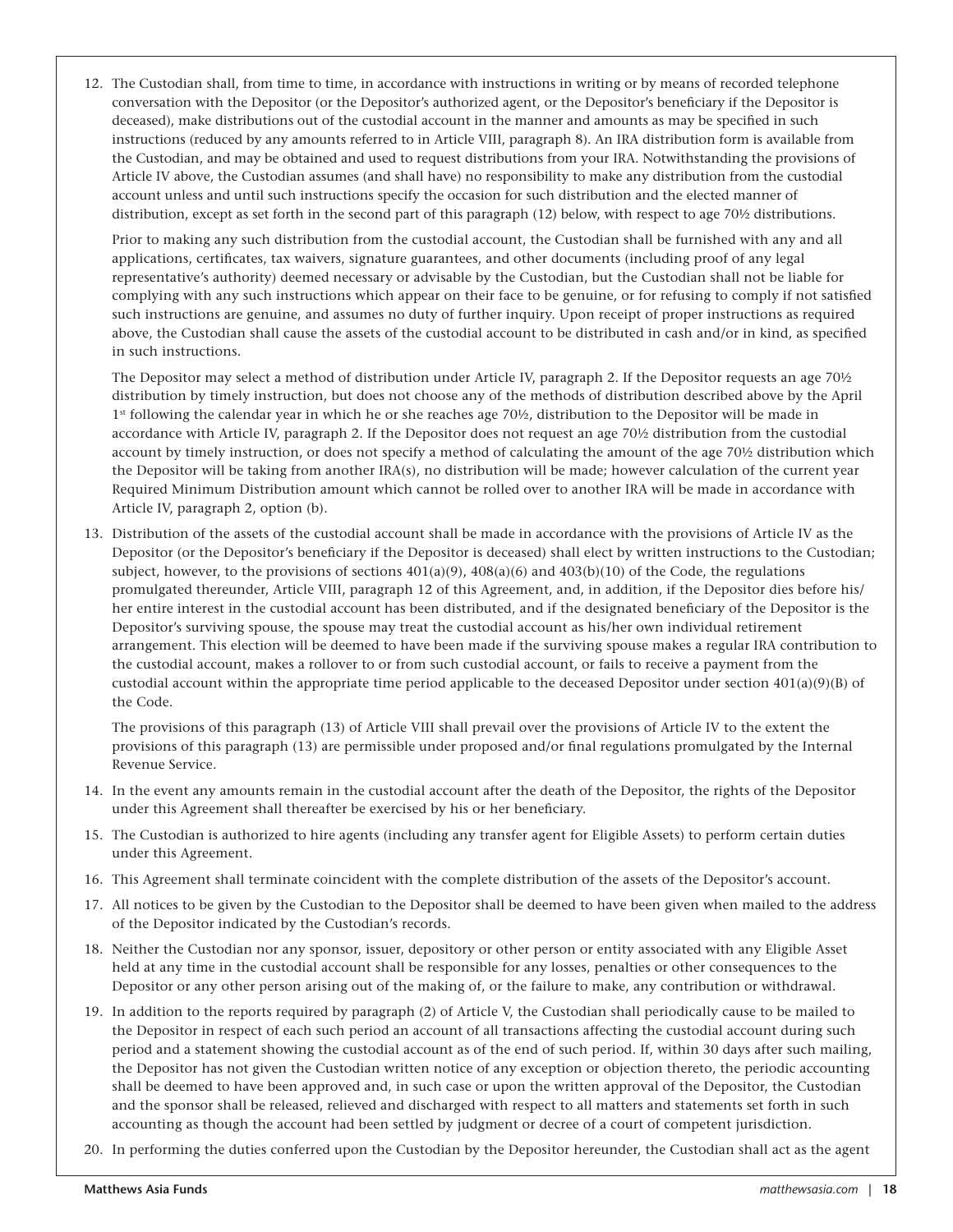12. The Custodian shall, from time to time, in accordance with instructions in writing or by means of recorded telephone conversation with the Depositor (or the Depositor's authorized agent, or the Depositor's beneficiary if the Depositor is deceased), make distributions out of the custodial account in the manner and amounts as may be specified in such instructions (reduced by any amounts referred to in Article VIII, paragraph 8). An IRA distribution form is available from the Custodian, and may be obtained and used to request distributions from your IRA. Notwithstanding the provisions of Article IV above, the Custodian assumes (and shall have) no responsibility to make any distribution from the custodial account unless and until such instructions specify the occasion for such distribution and the elected manner of distribution, except as set forth in the second part of this paragraph (12) below, with respect to age 70½ distributions.

Prior to making any such distribution from the custodial account, the Custodian shall be furnished with any and all applications, certificates, tax waivers, signature guarantees, and other documents (including proof of any legal representative's authority) deemed necessary or advisable by the Custodian, but the Custodian shall not be liable for complying with any such instructions which appear on their face to be genuine, or for refusing to comply if not satisfied such instructions are genuine, and assumes no duty of further inquiry. Upon receipt of proper instructions as required above, the Custodian shall cause the assets of the custodial account to be distributed in cash and/or in kind, as specified in such instructions.

The Depositor may select a method of distribution under Article IV, paragraph 2. If the Depositor requests an age 70½ distribution by timely instruction, but does not choose any of the methods of distribution described above by the April 1st following the calendar year in which he or she reaches age 70½, distribution to the Depositor will be made in accordance with Article IV, paragraph 2. If the Depositor does not request an age 70½ distribution from the custodial account by timely instruction, or does not specify a method of calculating the amount of the age 70½ distribution which the Depositor will be taking from another IRA(s), no distribution will be made; however calculation of the current year Required Minimum Distribution amount which cannot be rolled over to another IRA will be made in accordance with Article IV, paragraph 2, option (b).

13. Distribution of the assets of the custodial account shall be made in accordance with the provisions of Article IV as the Depositor (or the Depositor's beneficiary if the Depositor is deceased) shall elect by written instructions to the Custodian; subject, however, to the provisions of sections  $401(a)(9)$ ,  $408(a)(6)$  and  $403(b)(10)$  of the Code, the regulations promulgated thereunder, Article VIII, paragraph 12 of this Agreement, and, in addition, if the Depositor dies before his/ her entire interest in the custodial account has been distributed, and if the designated beneficiary of the Depositor is the Depositor's surviving spouse, the spouse may treat the custodial account as his/her own individual retirement arrangement. This election will be deemed to have been made if the surviving spouse makes a regular IRA contribution to the custodial account, makes a rollover to or from such custodial account, or fails to receive a payment from the custodial account within the appropriate time period applicable to the deceased Depositor under section 401(a)(9)(B) of the Code.

The provisions of this paragraph (13) of Article VIII shall prevail over the provisions of Article IV to the extent the provisions of this paragraph (13) are permissible under proposed and/or final regulations promulgated by the Internal Revenue Service.

- 14. In the event any amounts remain in the custodial account after the death of the Depositor, the rights of the Depositor under this Agreement shall thereafter be exercised by his or her beneficiary.
- 15. The Custodian is authorized to hire agents (including any transfer agent for Eligible Assets) to perform certain duties under this Agreement.
- 16. This Agreement shall terminate coincident with the complete distribution of the assets of the Depositor's account.
- 17. All notices to be given by the Custodian to the Depositor shall be deemed to have been given when mailed to the address of the Depositor indicated by the Custodian's records.
- 18. Neither the Custodian nor any sponsor, issuer, depository or other person or entity associated with any Eligible Asset held at any time in the custodial account shall be responsible for any losses, penalties or other consequences to the Depositor or any other person arising out of the making of, or the failure to make, any contribution or withdrawal.
- 19. In addition to the reports required by paragraph (2) of Article V, the Custodian shall periodically cause to be mailed to the Depositor in respect of each such period an account of all transactions affecting the custodial account during such period and a statement showing the custodial account as of the end of such period. If, within 30 days after such mailing, the Depositor has not given the Custodian written notice of any exception or objection thereto, the periodic accounting shall be deemed to have been approved and, in such case or upon the written approval of the Depositor, the Custodian and the sponsor shall be released, relieved and discharged with respect to all matters and statements set forth in such accounting as though the account had been settled by judgment or decree of a court of competent jurisdiction.
- 20. In performing the duties conferred upon the Custodian by the Depositor hereunder, the Custodian shall act as the agent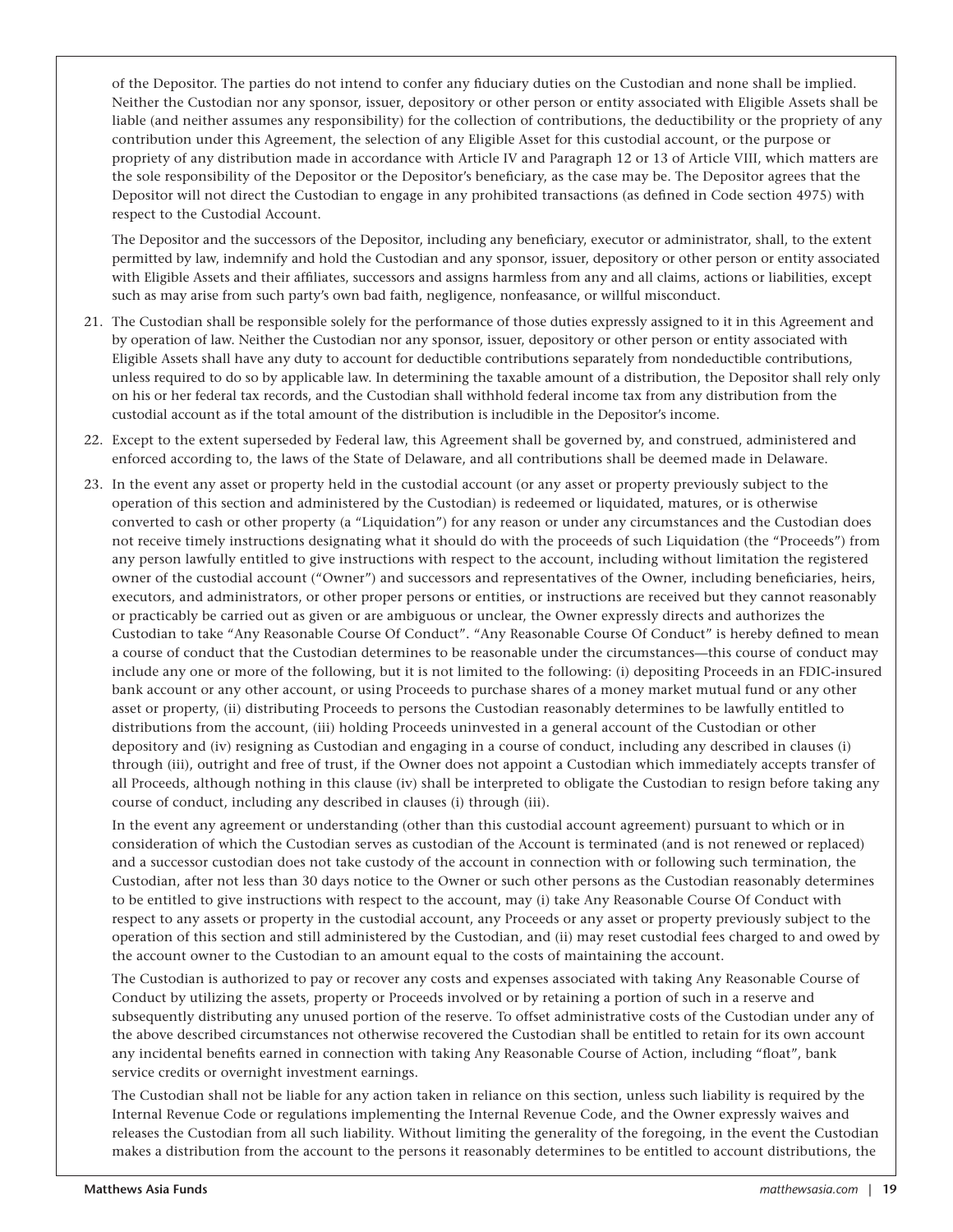of the Depositor. The parties do not intend to confer any fiduciary duties on the Custodian and none shall be implied. Neither the Custodian nor any sponsor, issuer, depository or other person or entity associated with Eligible Assets shall be liable (and neither assumes any responsibility) for the collection of contributions, the deductibility or the propriety of any contribution under this Agreement, the selection of any Eligible Asset for this custodial account, or the purpose or propriety of any distribution made in accordance with Article IV and Paragraph 12 or 13 of Article VIII, which matters are the sole responsibility of the Depositor or the Depositor's beneficiary, as the case may be. The Depositor agrees that the Depositor will not direct the Custodian to engage in any prohibited transactions (as defined in Code section 4975) with respect to the Custodial Account.

The Depositor and the successors of the Depositor, including any beneficiary, executor or administrator, shall, to the extent permitted by law, indemnify and hold the Custodian and any sponsor, issuer, depository or other person or entity associated with Eligible Assets and their affiliates, successors and assigns harmless from any and all claims, actions or liabilities, except such as may arise from such party's own bad faith, negligence, nonfeasance, or willful misconduct.

- 21. The Custodian shall be responsible solely for the performance of those duties expressly assigned to it in this Agreement and by operation of law. Neither the Custodian nor any sponsor, issuer, depository or other person or entity associated with Eligible Assets shall have any duty to account for deductible contributions separately from nondeductible contributions, unless required to do so by applicable law. In determining the taxable amount of a distribution, the Depositor shall rely only on his or her federal tax records, and the Custodian shall withhold federal income tax from any distribution from the custodial account as if the total amount of the distribution is includible in the Depositor's income.
- 22. Except to the extent superseded by Federal law, this Agreement shall be governed by, and construed, administered and enforced according to, the laws of the State of Delaware, and all contributions shall be deemed made in Delaware.
- 23. In the event any asset or property held in the custodial account (or any asset or property previously subject to the operation of this section and administered by the Custodian) is redeemed or liquidated, matures, or is otherwise converted to cash or other property (a "Liquidation") for any reason or under any circumstances and the Custodian does not receive timely instructions designating what it should do with the proceeds of such Liquidation (the "Proceeds") from any person lawfully entitled to give instructions with respect to the account, including without limitation the registered owner of the custodial account ("Owner") and successors and representatives of the Owner, including beneficiaries, heirs, executors, and administrators, or other proper persons or entities, or instructions are received but they cannot reasonably or practicably be carried out as given or are ambiguous or unclear, the Owner expressly directs and authorizes the Custodian to take "Any Reasonable Course Of Conduct". "Any Reasonable Course Of Conduct" is hereby defined to mean a course of conduct that the Custodian determines to be reasonable under the circumstances—this course of conduct may include any one or more of the following, but it is not limited to the following: (i) depositing Proceeds in an FDIC-insured bank account or any other account, or using Proceeds to purchase shares of a money market mutual fund or any other asset or property, (ii) distributing Proceeds to persons the Custodian reasonably determines to be lawfully entitled to distributions from the account, (iii) holding Proceeds uninvested in a general account of the Custodian or other depository and (iv) resigning as Custodian and engaging in a course of conduct, including any described in clauses (i) through (iii), outright and free of trust, if the Owner does not appoint a Custodian which immediately accepts transfer of all Proceeds, although nothing in this clause (iv) shall be interpreted to obligate the Custodian to resign before taking any course of conduct, including any described in clauses (i) through (iii).

In the event any agreement or understanding (other than this custodial account agreement) pursuant to which or in consideration of which the Custodian serves as custodian of the Account is terminated (and is not renewed or replaced) and a successor custodian does not take custody of the account in connection with or following such termination, the Custodian, after not less than 30 days notice to the Owner or such other persons as the Custodian reasonably determines to be entitled to give instructions with respect to the account, may (i) take Any Reasonable Course Of Conduct with respect to any assets or property in the custodial account, any Proceeds or any asset or property previously subject to the operation of this section and still administered by the Custodian, and (ii) may reset custodial fees charged to and owed by the account owner to the Custodian to an amount equal to the costs of maintaining the account.

The Custodian is authorized to pay or recover any costs and expenses associated with taking Any Reasonable Course of Conduct by utilizing the assets, property or Proceeds involved or by retaining a portion of such in a reserve and subsequently distributing any unused portion of the reserve. To offset administrative costs of the Custodian under any of the above described circumstances not otherwise recovered the Custodian shall be entitled to retain for its own account any incidental benefits earned in connection with taking Any Reasonable Course of Action, including "float", bank service credits or overnight investment earnings.

The Custodian shall not be liable for any action taken in reliance on this section, unless such liability is required by the Internal Revenue Code or regulations implementing the Internal Revenue Code, and the Owner expressly waives and releases the Custodian from all such liability. Without limiting the generality of the foregoing, in the event the Custodian makes a distribution from the account to the persons it reasonably determines to be entitled to account distributions, the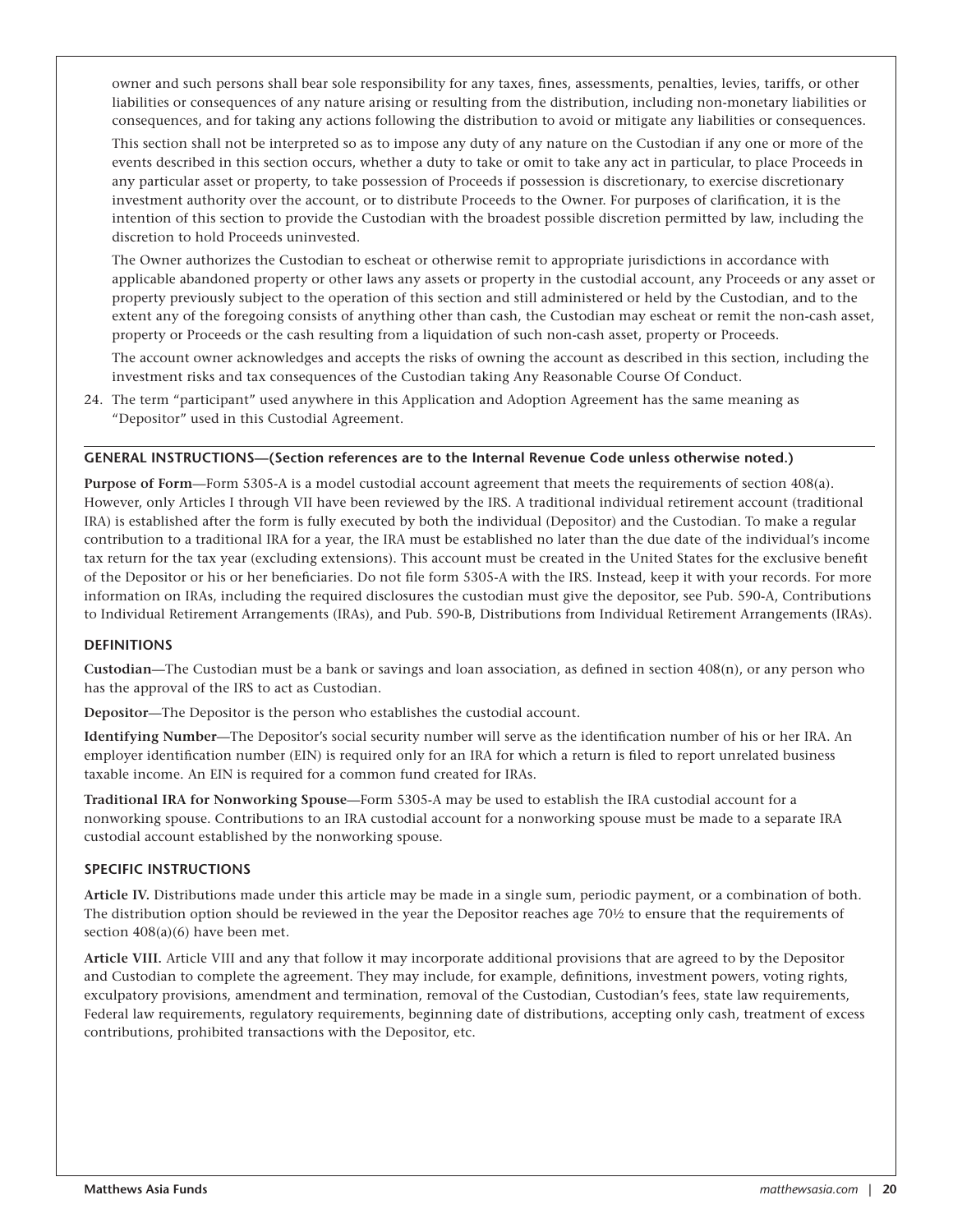owner and such persons shall bear sole responsibility for any taxes, fines, assessments, penalties, levies, tariffs, or other liabilities or consequences of any nature arising or resulting from the distribution, including non-monetary liabilities or consequences, and for taking any actions following the distribution to avoid or mitigate any liabilities or consequences.

This section shall not be interpreted so as to impose any duty of any nature on the Custodian if any one or more of the events described in this section occurs, whether a duty to take or omit to take any act in particular, to place Proceeds in any particular asset or property, to take possession of Proceeds if possession is discretionary, to exercise discretionary investment authority over the account, or to distribute Proceeds to the Owner. For purposes of clarification, it is the intention of this section to provide the Custodian with the broadest possible discretion permitted by law, including the discretion to hold Proceeds uninvested.

The Owner authorizes the Custodian to escheat or otherwise remit to appropriate jurisdictions in accordance with applicable abandoned property or other laws any assets or property in the custodial account, any Proceeds or any asset or property previously subject to the operation of this section and still administered or held by the Custodian, and to the extent any of the foregoing consists of anything other than cash, the Custodian may escheat or remit the non-cash asset, property or Proceeds or the cash resulting from a liquidation of such non-cash asset, property or Proceeds.

The account owner acknowledges and accepts the risks of owning the account as described in this section, including the investment risks and tax consequences of the Custodian taking Any Reasonable Course Of Conduct.

24. The term "participant" used anywhere in this Application and Adoption Agreement has the same meaning as "Depositor" used in this Custodial Agreement.

#### **GENERAL INSTRUCTIONS—(Section references are to the Internal Revenue Code unless otherwise noted.)**

**Purpose of Form**—Form 5305-A is a model custodial account agreement that meets the requirements of section 408(a). However, only Articles I through VII have been reviewed by the IRS. A traditional individual retirement account (traditional IRA) is established after the form is fully executed by both the individual (Depositor) and the Custodian. To make a regular contribution to a traditional IRA for a year, the IRA must be established no later than the due date of the individual's income tax return for the tax year (excluding extensions). This account must be created in the United States for the exclusive benefit of the Depositor or his or her beneficiaries. Do not file form 5305-A with the IRS. Instead, keep it with your records. For more information on IRAs, including the required disclosures the custodian must give the depositor, see Pub. 590-A, Contributions to Individual Retirement Arrangements (IRAs), and Pub. 590-B, Distributions from Individual Retirement Arrangements (IRAs).

#### **DEFINITIONS**

**Custodian**—The Custodian must be a bank or savings and loan association, as defined in section 408(n), or any person who has the approval of the IRS to act as Custodian.

**Depositor**—The Depositor is the person who establishes the custodial account.

**Identifying Number**—The Depositor's social security number will serve as the identification number of his or her IRA. An employer identification number (EIN) is required only for an IRA for which a return is filed to report unrelated business taxable income. An EIN is required for a common fund created for IRAs.

**Traditional IRA for Nonworking Spouse**—Form 5305-A may be used to establish the IRA custodial account for a nonworking spouse. Contributions to an IRA custodial account for a nonworking spouse must be made to a separate IRA custodial account established by the nonworking spouse.

#### **SPECIFIC INSTRUCTIONS**

**Article IV.** Distributions made under this article may be made in a single sum, periodic payment, or a combination of both. The distribution option should be reviewed in the year the Depositor reaches age 70½ to ensure that the requirements of section 408(a)(6) have been met.

**Article VIII.** Article VIII and any that follow it may incorporate additional provisions that are agreed to by the Depositor and Custodian to complete the agreement. They may include, for example, definitions, investment powers, voting rights, exculpatory provisions, amendment and termination, removal of the Custodian, Custodian's fees, state law requirements, Federal law requirements, regulatory requirements, beginning date of distributions, accepting only cash, treatment of excess contributions, prohibited transactions with the Depositor, etc.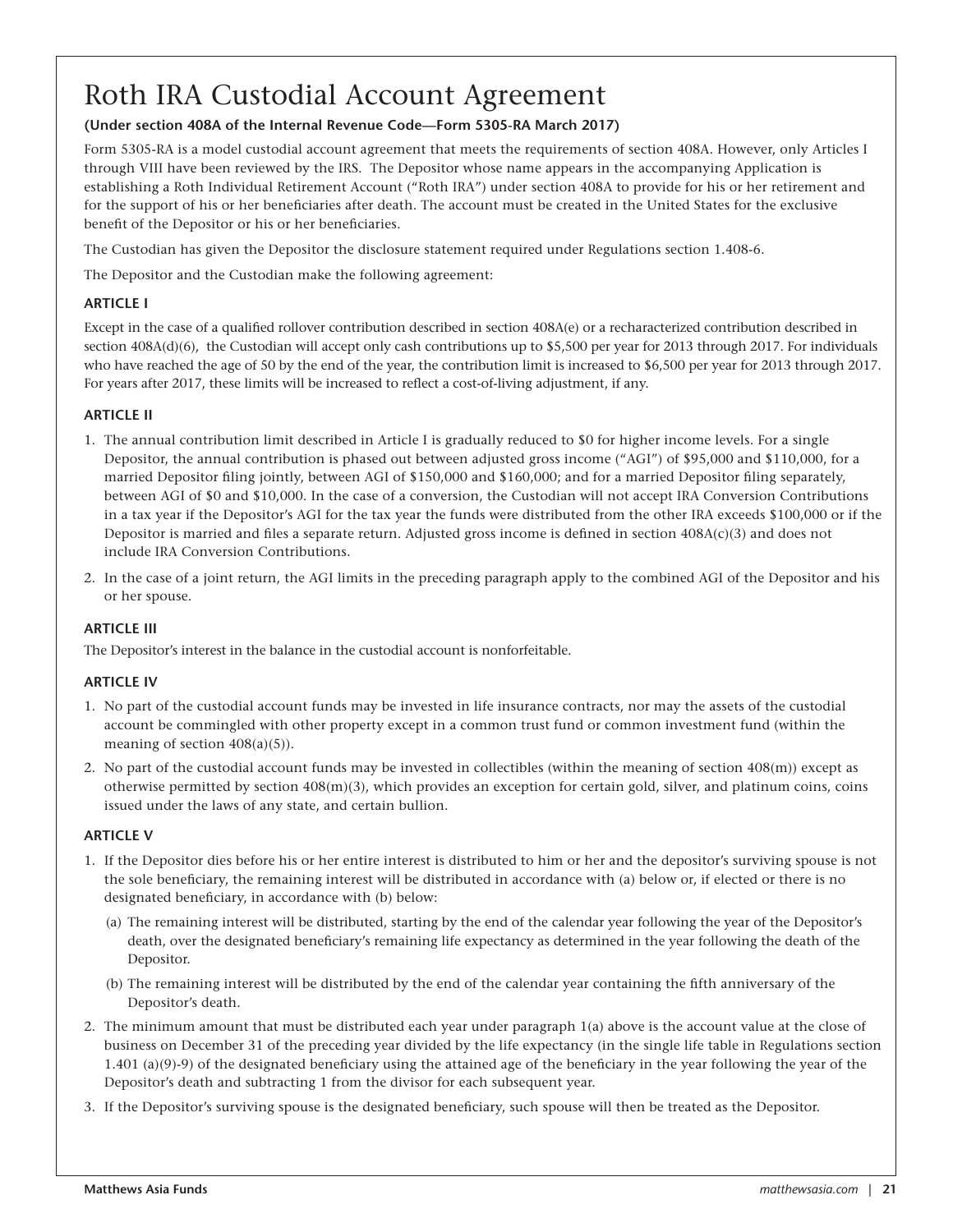# Roth IRA Custodial Account Agreement

#### **(Under section 408A of the Internal Revenue Code—Form 5305-RA March 2017)**

Form 5305-RA is a model custodial account agreement that meets the requirements of section 408A. However, only Articles I through VIII have been reviewed by the IRS. The Depositor whose name appears in the accompanying Application is establishing a Roth Individual Retirement Account ("Roth IRA") under section 408A to provide for his or her retirement and for the support of his or her beneficiaries after death. The account must be created in the United States for the exclusive benefit of the Depositor or his or her beneficiaries.

The Custodian has given the Depositor the disclosure statement required under Regulations section 1.408-6.

The Depositor and the Custodian make the following agreement:

#### **ARTICLE I**

Except in the case of a qualified rollover contribution described in section 408A(e) or a recharacterized contribution described in section 408A(d)(6), the Custodian will accept only cash contributions up to \$5,500 per year for 2013 through 2017. For individuals who have reached the age of 50 by the end of the year, the contribution limit is increased to \$6,500 per year for 2013 through 2017. For years after 2017, these limits will be increased to reflect a cost-of-living adjustment, if any.

#### **ARTICLE II**

- 1. The annual contribution limit described in Article I is gradually reduced to \$0 for higher income levels. For a single Depositor, the annual contribution is phased out between adjusted gross income ("AGI") of \$95,000 and \$110,000, for a married Depositor filing jointly, between AGI of \$150,000 and \$160,000; and for a married Depositor filing separately, between AGI of \$0 and \$10,000. In the case of a conversion, the Custodian will not accept IRA Conversion Contributions in a tax year if the Depositor's AGI for the tax year the funds were distributed from the other IRA exceeds \$100,000 or if the Depositor is married and files a separate return. Adjusted gross income is defined in section 408A(c)(3) and does not include IRA Conversion Contributions.
- 2. In the case of a joint return, the AGI limits in the preceding paragraph apply to the combined AGI of the Depositor and his or her spouse.

#### **ARTICLE III**

The Depositor's interest in the balance in the custodial account is nonforfeitable.

#### **ARTICLE IV**

- 1. No part of the custodial account funds may be invested in life insurance contracts, nor may the assets of the custodial account be commingled with other property except in a common trust fund or common investment fund (within the meaning of section 408(a)(5)).
- 2. No part of the custodial account funds may be invested in collectibles (within the meaning of section 408(m)) except as otherwise permitted by section 408(m)(3), which provides an exception for certain gold, silver, and platinum coins, coins issued under the laws of any state, and certain bullion.

#### **ARTICLE V**

- 1. If the Depositor dies before his or her entire interest is distributed to him or her and the depositor's surviving spouse is not the sole beneficiary, the remaining interest will be distributed in accordance with (a) below or, if elected or there is no designated beneficiary, in accordance with (b) below:
	- (a) The remaining interest will be distributed, starting by the end of the calendar year following the year of the Depositor's death, over the designated beneficiary's remaining life expectancy as determined in the year following the death of the Depositor.
	- (b) The remaining interest will be distributed by the end of the calendar year containing the fifth anniversary of the Depositor's death.
- 2. The minimum amount that must be distributed each year under paragraph 1(a) above is the account value at the close of business on December 31 of the preceding year divided by the life expectancy (in the single life table in Regulations section  $1.401$  (a)(9)-9) of the designated beneficiary using the attained age of the beneficiary in the year following the year of the Depositor's death and subtracting 1 from the divisor for each subsequent year.
- 3. If the Depositor's surviving spouse is the designated beneficiary, such spouse will then be treated as the Depositor.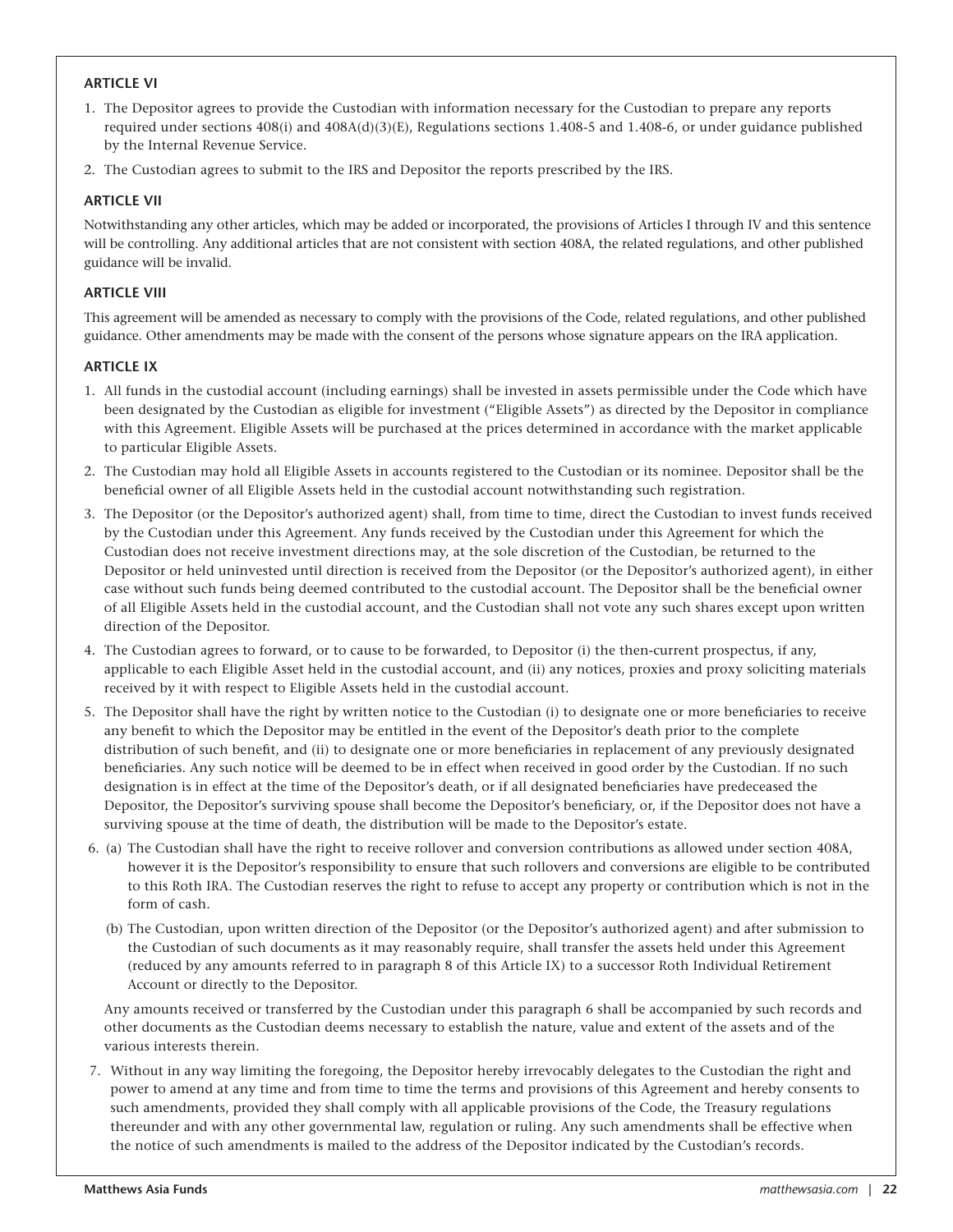#### **ARTICLE VI**

- 1. The Depositor agrees to provide the Custodian with information necessary for the Custodian to prepare any reports required under sections 408(i) and 408A(d)(3)(E), Regulations sections 1.408-5 and 1.408-6, or under guidance published by the Internal Revenue Service.
- 2. The Custodian agrees to submit to the IRS and Depositor the reports prescribed by the IRS.

#### **ARTICLE VII**

Notwithstanding any other articles, which may be added or incorporated, the provisions of Articles I through IV and this sentence will be controlling. Any additional articles that are not consistent with section 408A, the related regulations, and other published guidance will be invalid.

#### **ARTICLE VIII**

This agreement will be amended as necessary to comply with the provisions of the Code, related regulations, and other published guidance. Other amendments may be made with the consent of the persons whose signature appears on the IRA application.

#### **ARTICLE IX**

- 1. All funds in the custodial account (including earnings) shall be invested in assets permissible under the Code which have been designated by the Custodian as eligible for investment ("Eligible Assets") as directed by the Depositor in compliance with this Agreement. Eligible Assets will be purchased at the prices determined in accordance with the market applicable to particular Eligible Assets.
- 2. The Custodian may hold all Eligible Assets in accounts registered to the Custodian or its nominee. Depositor shall be the beneficial owner of all Eligible Assets held in the custodial account notwithstanding such registration.
- 3. The Depositor (or the Depositor's authorized agent) shall, from time to time, direct the Custodian to invest funds received by the Custodian under this Agreement. Any funds received by the Custodian under this Agreement for which the Custodian does not receive investment directions may, at the sole discretion of the Custodian, be returned to the Depositor or held uninvested until direction is received from the Depositor (or the Depositor's authorized agent), in either case without such funds being deemed contributed to the custodial account. The Depositor shall be the beneficial owner of all Eligible Assets held in the custodial account, and the Custodian shall not vote any such shares except upon written direction of the Depositor.
- 4. The Custodian agrees to forward, or to cause to be forwarded, to Depositor (i) the then-current prospectus, if any, applicable to each Eligible Asset held in the custodial account, and (ii) any notices, proxies and proxy soliciting materials received by it with respect to Eligible Assets held in the custodial account.
- 5. The Depositor shall have the right by written notice to the Custodian (i) to designate one or more beneficiaries to receive any benefit to which the Depositor may be entitled in the event of the Depositor's death prior to the complete distribution of such benefit, and (ii) to designate one or more beneficiaries in replacement of any previously designated beneficiaries. Any such notice will be deemed to be in effect when received in good order by the Custodian. If no such designation is in effect at the time of the Depositor's death, or if all designated beneficiaries have predeceased the Depositor, the Depositor's surviving spouse shall become the Depositor's beneficiary, or, if the Depositor does not have a surviving spouse at the time of death, the distribution will be made to the Depositor's estate.
- 6. (a) The Custodian shall have the right to receive rollover and conversion contributions as allowed under section 408A, however it is the Depositor's responsibility to ensure that such rollovers and conversions are eligible to be contributed to this Roth IRA. The Custodian reserves the right to refuse to accept any property or contribution which is not in the form of cash.
	- (b) The Custodian, upon written direction of the Depositor (or the Depositor's authorized agent) and after submission to the Custodian of such documents as it may reasonably require, shall transfer the assets held under this Agreement (reduced by any amounts referred to in paragraph 8 of this Article IX) to a successor Roth Individual Retirement Account or directly to the Depositor.

Any amounts received or transferred by the Custodian under this paragraph 6 shall be accompanied by such records and other documents as the Custodian deems necessary to establish the nature, value and extent of the assets and of the various interests therein.

7. Without in any way limiting the foregoing, the Depositor hereby irrevocably delegates to the Custodian the right and power to amend at any time and from time to time the terms and provisions of this Agreement and hereby consents to such amendments, provided they shall comply with all applicable provisions of the Code, the Treasury regulations thereunder and with any other governmental law, regulation or ruling. Any such amendments shall be effective when the notice of such amendments is mailed to the address of the Depositor indicated by the Custodian's records.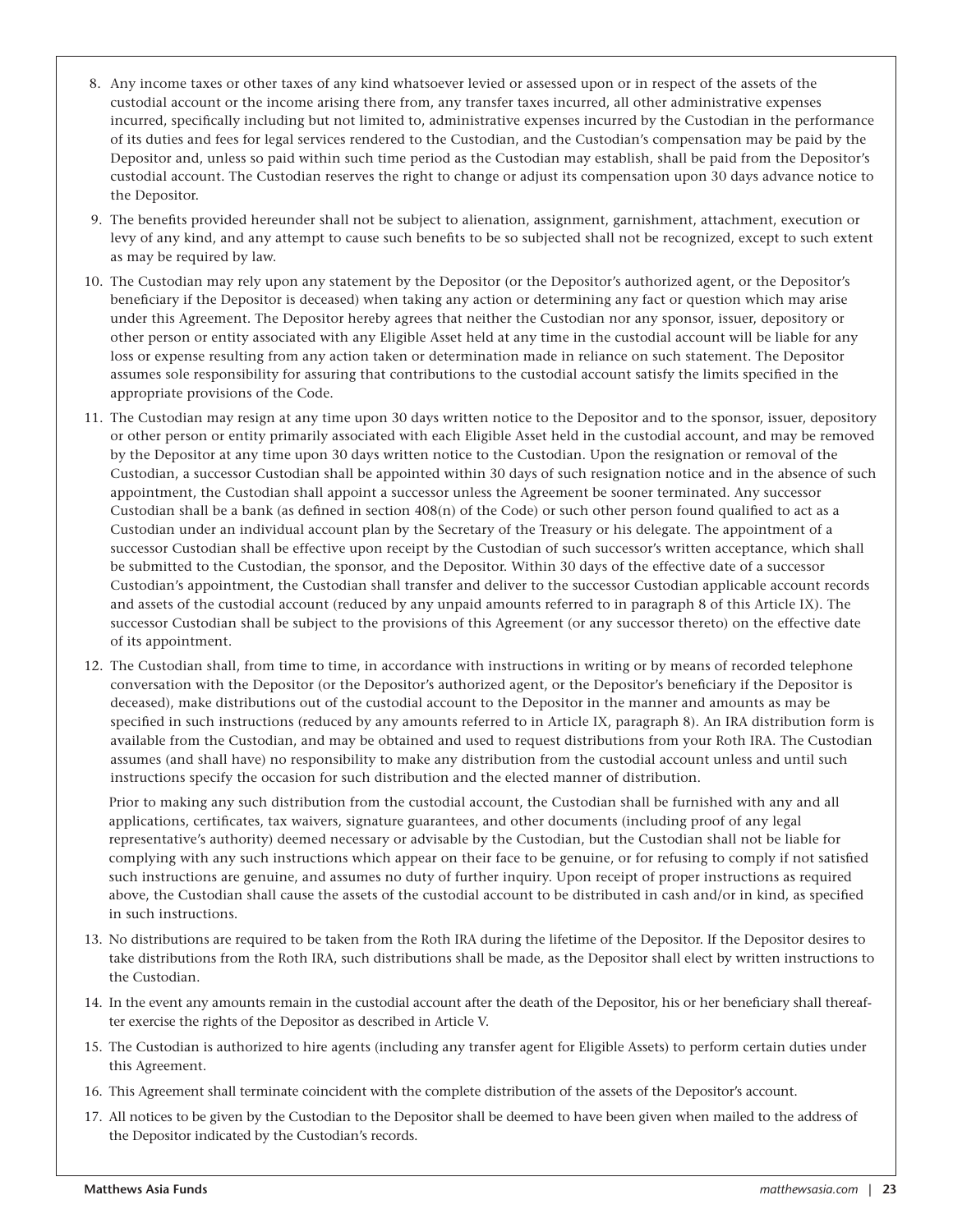- 8. Any income taxes or other taxes of any kind whatsoever levied or assessed upon or in respect of the assets of the custodial account or the income arising there from, any transfer taxes incurred, all other administrative expenses incurred, specifically including but not limited to, administrative expenses incurred by the Custodian in the performance of its duties and fees for legal services rendered to the Custodian, and the Custodian's compensation may be paid by the Depositor and, unless so paid within such time period as the Custodian may establish, shall be paid from the Depositor's custodial account. The Custodian reserves the right to change or adjust its compensation upon 30 days advance notice to the Depositor.
- 9. The benefits provided hereunder shall not be subject to alienation, assignment, garnishment, attachment, execution or levy of any kind, and any attempt to cause such benefits to be so subjected shall not be recognized, except to such extent as may be required by law.
- 10. The Custodian may rely upon any statement by the Depositor (or the Depositor's authorized agent, or the Depositor's beneficiary if the Depositor is deceased) when taking any action or determining any fact or question which may arise under this Agreement. The Depositor hereby agrees that neither the Custodian nor any sponsor, issuer, depository or other person or entity associated with any Eligible Asset held at any time in the custodial account will be liable for any loss or expense resulting from any action taken or determination made in reliance on such statement. The Depositor assumes sole responsibility for assuring that contributions to the custodial account satisfy the limits specified in the appropriate provisions of the Code.
- 11. The Custodian may resign at any time upon 30 days written notice to the Depositor and to the sponsor, issuer, depository or other person or entity primarily associated with each Eligible Asset held in the custodial account, and may be removed by the Depositor at any time upon 30 days written notice to the Custodian. Upon the resignation or removal of the Custodian, a successor Custodian shall be appointed within 30 days of such resignation notice and in the absence of such appointment, the Custodian shall appoint a successor unless the Agreement be sooner terminated. Any successor Custodian shall be a bank (as defined in section  $408(n)$  of the Code) or such other person found qualified to act as a Custodian under an individual account plan by the Secretary of the Treasury or his delegate. The appointment of a successor Custodian shall be effective upon receipt by the Custodian of such successor's written acceptance, which shall be submitted to the Custodian, the sponsor, and the Depositor. Within 30 days of the effective date of a successor Custodian's appointment, the Custodian shall transfer and deliver to the successor Custodian applicable account records and assets of the custodial account (reduced by any unpaid amounts referred to in paragraph 8 of this Article IX). The successor Custodian shall be subject to the provisions of this Agreement (or any successor thereto) on the effective date of its appointment.
- 12. The Custodian shall, from time to time, in accordance with instructions in writing or by means of recorded telephone conversation with the Depositor (or the Depositor's authorized agent, or the Depositor's beneficiary if the Depositor is deceased), make distributions out of the custodial account to the Depositor in the manner and amounts as may be specified in such instructions (reduced by any amounts referred to in Article IX, paragraph 8). An IRA distribution form is available from the Custodian, and may be obtained and used to request distributions from your Roth IRA. The Custodian assumes (and shall have) no responsibility to make any distribution from the custodial account unless and until such instructions specify the occasion for such distribution and the elected manner of distribution.

 Prior to making any such distribution from the custodial account, the Custodian shall be furnished with any and all applications, certificates, tax waivers, signature guarantees, and other documents (including proof of any legal representative's authority) deemed necessary or advisable by the Custodian, but the Custodian shall not be liable for complying with any such instructions which appear on their face to be genuine, or for refusing to comply if not satisfied such instructions are genuine, and assumes no duty of further inquiry. Upon receipt of proper instructions as required above, the Custodian shall cause the assets of the custodial account to be distributed in cash and/or in kind, as specified in such instructions.

- 13. No distributions are required to be taken from the Roth IRA during the lifetime of the Depositor. If the Depositor desires to take distributions from the Roth IRA, such distributions shall be made, as the Depositor shall elect by written instructions to the Custodian.
- 14. In the event any amounts remain in the custodial account after the death of the Depositor, his or her beneficiary shall thereafter exercise the rights of the Depositor as described in Article V.
- 15. The Custodian is authorized to hire agents (including any transfer agent for Eligible Assets) to perform certain duties under this Agreement.
- 16. This Agreement shall terminate coincident with the complete distribution of the assets of the Depositor's account.
- 17. All notices to be given by the Custodian to the Depositor shall be deemed to have been given when mailed to the address of the Depositor indicated by the Custodian's records.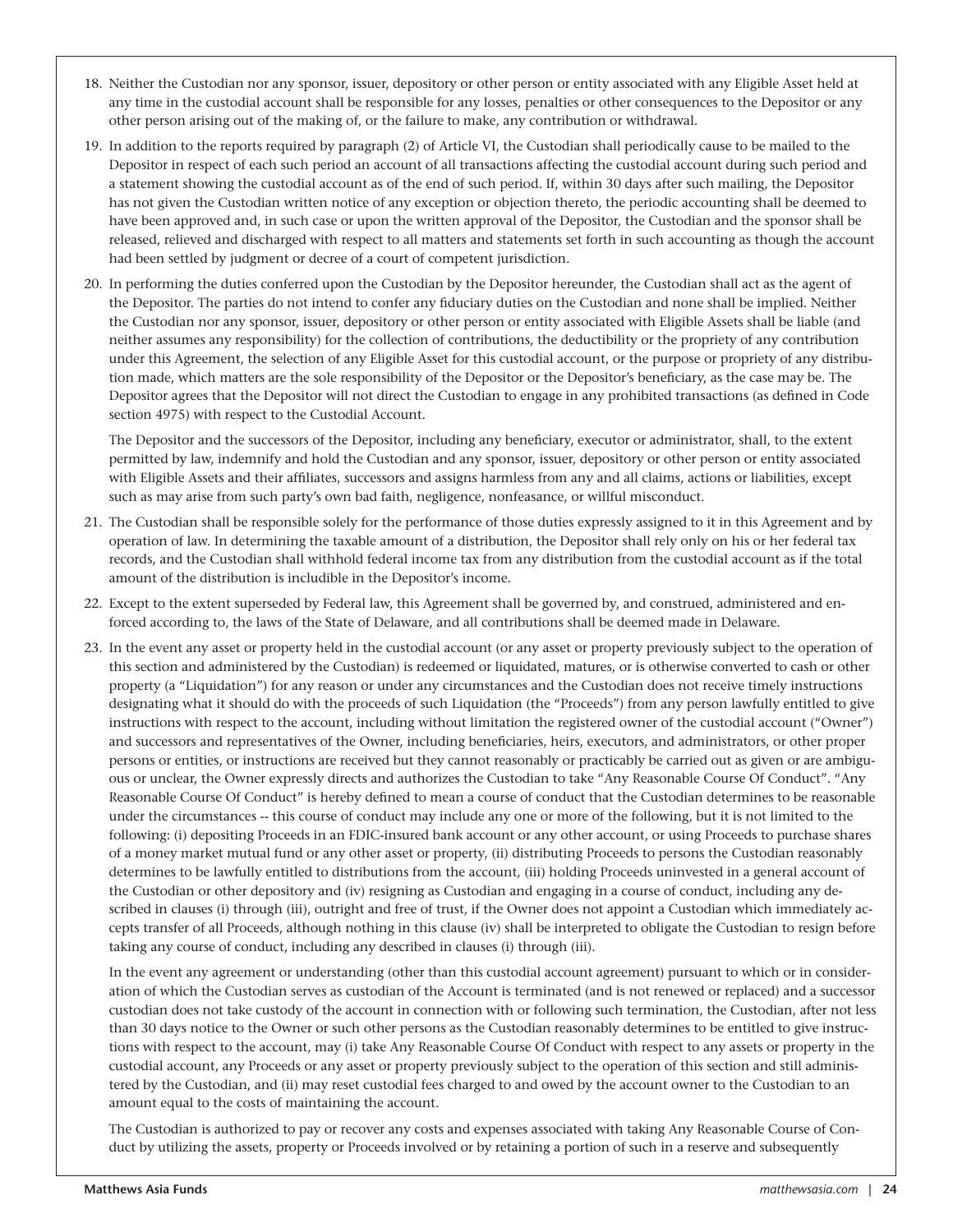- 18. Neither the Custodian nor any sponsor, issuer, depository or other person or entity associated with any Eligible Asset held at any time in the custodial account shall be responsible for any losses, penalties or other consequences to the Depositor or any other person arising out of the making of, or the failure to make, any contribution or withdrawal.
- 19. In addition to the reports required by paragraph (2) of Article VI, the Custodian shall periodically cause to be mailed to the Depositor in respect of each such period an account of all transactions affecting the custodial account during such period and a statement showing the custodial account as of the end of such period. If, within 30 days after such mailing, the Depositor has not given the Custodian written notice of any exception or objection thereto, the periodic accounting shall be deemed to have been approved and, in such case or upon the written approval of the Depositor, the Custodian and the sponsor shall be released, relieved and discharged with respect to all matters and statements set forth in such accounting as though the account had been settled by judgment or decree of a court of competent jurisdiction.
- 20. In performing the duties conferred upon the Custodian by the Depositor hereunder, the Custodian shall act as the agent of the Depositor. The parties do not intend to confer any fiduciary duties on the Custodian and none shall be implied. Neither the Custodian nor any sponsor, issuer, depository or other person or entity associated with Eligible Assets shall be liable (and neither assumes any responsibility) for the collection of contributions, the deductibility or the propriety of any contribution under this Agreement, the selection of any Eligible Asset for this custodial account, or the purpose or propriety of any distribution made, which matters are the sole responsibility of the Depositor or the Depositor's beneficiary, as the case may be. The Depositor agrees that the Depositor will not direct the Custodian to engage in any prohibited transactions (as defined in Code section 4975) with respect to the Custodial Account.

The Depositor and the successors of the Depositor, including any beneficiary, executor or administrator, shall, to the extent permitted by law, indemnify and hold the Custodian and any sponsor, issuer, depository or other person or entity associated with Eligible Assets and their affiliates, successors and assigns harmless from any and all claims, actions or liabilities, except such as may arise from such party's own bad faith, negligence, nonfeasance, or willful misconduct.

- 21. The Custodian shall be responsible solely for the performance of those duties expressly assigned to it in this Agreement and by operation of law. In determining the taxable amount of a distribution, the Depositor shall rely only on his or her federal tax records, and the Custodian shall withhold federal income tax from any distribution from the custodial account as if the total amount of the distribution is includible in the Depositor's income.
- 22. Except to the extent superseded by Federal law, this Agreement shall be governed by, and construed, administered and enforced according to, the laws of the State of Delaware, and all contributions shall be deemed made in Delaware.
- 23. In the event any asset or property held in the custodial account (or any asset or property previously subject to the operation of this section and administered by the Custodian) is redeemed or liquidated, matures, or is otherwise converted to cash or other property (a "Liquidation") for any reason or under any circumstances and the Custodian does not receive timely instructions designating what it should do with the proceeds of such Liquidation (the "Proceeds") from any person lawfully entitled to give instructions with respect to the account, including without limitation the registered owner of the custodial account ("Owner") and successors and representatives of the Owner, including beneficiaries, heirs, executors, and administrators, or other proper persons or entities, or instructions are received but they cannot reasonably or practicably be carried out as given or are ambiguous or unclear, the Owner expressly directs and authorizes the Custodian to take "Any Reasonable Course Of Conduct". "Any Reasonable Course Of Conduct" is hereby defined to mean a course of conduct that the Custodian determines to be reasonable under the circumstances -- this course of conduct may include any one or more of the following, but it is not limited to the following: (i) depositing Proceeds in an FDIC-insured bank account or any other account, or using Proceeds to purchase shares of a money market mutual fund or any other asset or property, (ii) distributing Proceeds to persons the Custodian reasonably determines to be lawfully entitled to distributions from the account, (iii) holding Proceeds uninvested in a general account of the Custodian or other depository and (iv) resigning as Custodian and engaging in a course of conduct, including any described in clauses (i) through (iii), outright and free of trust, if the Owner does not appoint a Custodian which immediately accepts transfer of all Proceeds, although nothing in this clause (iv) shall be interpreted to obligate the Custodian to resign before taking any course of conduct, including any described in clauses (i) through (iii).

In the event any agreement or understanding (other than this custodial account agreement) pursuant to which or in consideration of which the Custodian serves as custodian of the Account is terminated (and is not renewed or replaced) and a successor custodian does not take custody of the account in connection with or following such termination, the Custodian, after not less than 30 days notice to the Owner or such other persons as the Custodian reasonably determines to be entitled to give instructions with respect to the account, may (i) take Any Reasonable Course Of Conduct with respect to any assets or property in the custodial account, any Proceeds or any asset or property previously subject to the operation of this section and still administered by the Custodian, and (ii) may reset custodial fees charged to and owed by the account owner to the Custodian to an amount equal to the costs of maintaining the account.

The Custodian is authorized to pay or recover any costs and expenses associated with taking Any Reasonable Course of Conduct by utilizing the assets, property or Proceeds involved or by retaining a portion of such in a reserve and subsequently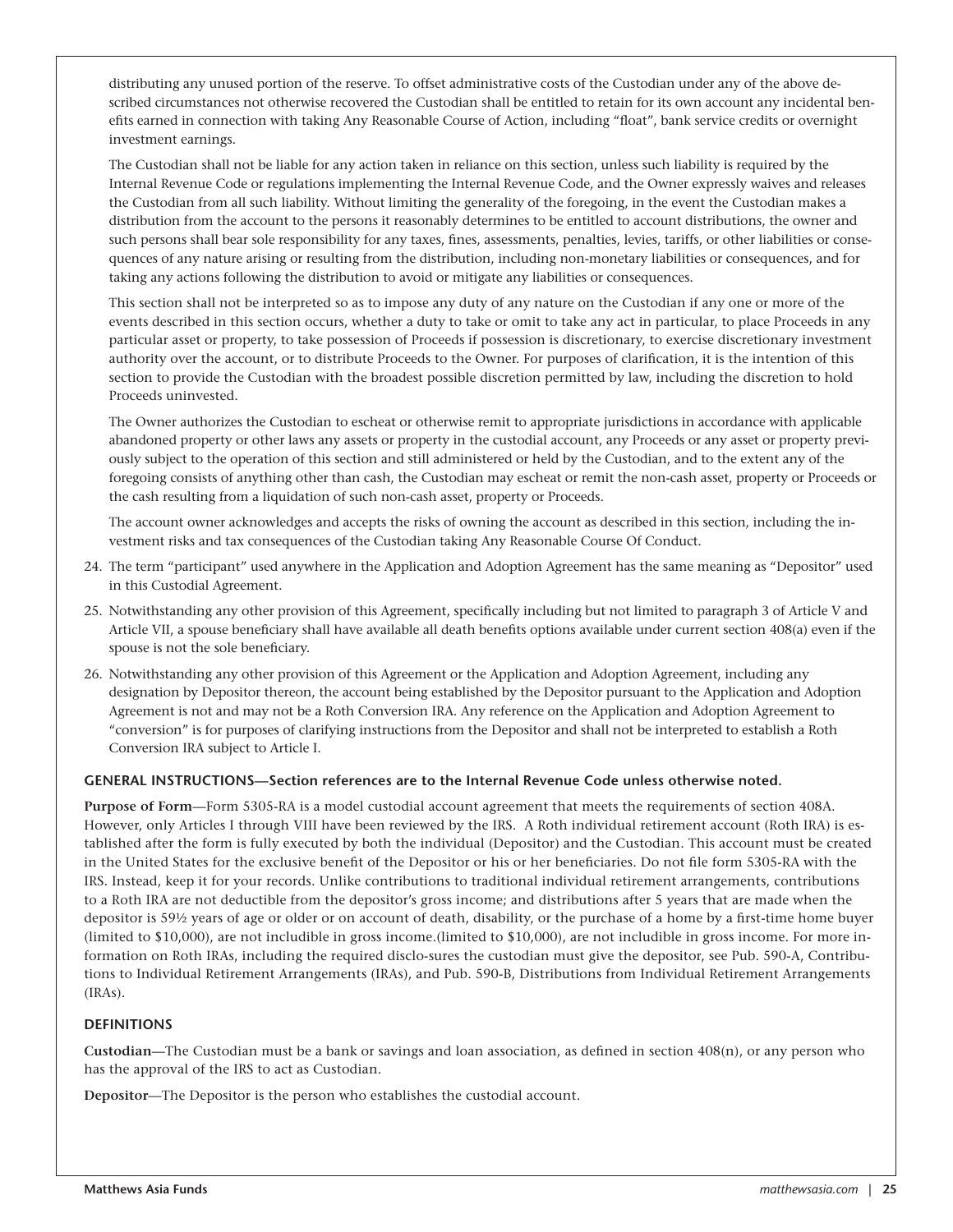distributing any unused portion of the reserve. To offset administrative costs of the Custodian under any of the above described circumstances not otherwise recovered the Custodian shall be entitled to retain for its own account any incidental benefits earned in connection with taking Any Reasonable Course of Action, including "float", bank service credits or overnight investment earnings.

The Custodian shall not be liable for any action taken in reliance on this section, unless such liability is required by the Internal Revenue Code or regulations implementing the Internal Revenue Code, and the Owner expressly waives and releases the Custodian from all such liability. Without limiting the generality of the foregoing, in the event the Custodian makes a distribution from the account to the persons it reasonably determines to be entitled to account distributions, the owner and such persons shall bear sole responsibility for any taxes, fines, assessments, penalties, levies, tariffs, or other liabilities or consequences of any nature arising or resulting from the distribution, including non-monetary liabilities or consequences, and for taking any actions following the distribution to avoid or mitigate any liabilities or consequences.

This section shall not be interpreted so as to impose any duty of any nature on the Custodian if any one or more of the events described in this section occurs, whether a duty to take or omit to take any act in particular, to place Proceeds in any particular asset or property, to take possession of Proceeds if possession is discretionary, to exercise discretionary investment authority over the account, or to distribute Proceeds to the Owner. For purposes of clarification, it is the intention of this section to provide the Custodian with the broadest possible discretion permitted by law, including the discretion to hold Proceeds uninvested.

The Owner authorizes the Custodian to escheat or otherwise remit to appropriate jurisdictions in accordance with applicable abandoned property or other laws any assets or property in the custodial account, any Proceeds or any asset or property previously subject to the operation of this section and still administered or held by the Custodian, and to the extent any of the foregoing consists of anything other than cash, the Custodian may escheat or remit the non-cash asset, property or Proceeds or the cash resulting from a liquidation of such non-cash asset, property or Proceeds.

The account owner acknowledges and accepts the risks of owning the account as described in this section, including the investment risks and tax consequences of the Custodian taking Any Reasonable Course Of Conduct.

- 24. The term "participant" used anywhere in the Application and Adoption Agreement has the same meaning as "Depositor" used in this Custodial Agreement.
- 25. Notwithstanding any other provision of this Agreement, specifically including but not limited to paragraph 3 of Article V and Article VII, a spouse beneficiary shall have available all death benefits options available under current section 408(a) even if the spouse is not the sole beneficiary.
- 26. Notwithstanding any other provision of this Agreement or the Application and Adoption Agreement, including any designation by Depositor thereon, the account being established by the Depositor pursuant to the Application and Adoption Agreement is not and may not be a Roth Conversion IRA. Any reference on the Application and Adoption Agreement to "conversion" is for purposes of clarifying instructions from the Depositor and shall not be interpreted to establish a Roth Conversion IRA subject to Article I.

#### **GENERAL INSTRUCTIONS—Section references are to the Internal Revenue Code unless otherwise noted.**

**Purpose of Form**—Form 5305-RA is a model custodial account agreement that meets the requirements of section 408A. However, only Articles I through VIII have been reviewed by the IRS. A Roth individual retirement account (Roth IRA) is established after the form is fully executed by both the individual (Depositor) and the Custodian. This account must be created in the United States for the exclusive benefit of the Depositor or his or her beneficiaries. Do not file form 5305-RA with the IRS. Instead, keep it for your records. Unlike contributions to traditional individual retirement arrangements, contributions to a Roth IRA are not deductible from the depositor's gross income; and distributions after 5 years that are made when the depositor is 59½ years of age or older or on account of death, disability, or the purchase of a home by a first-time home buyer (limited to \$10,000), are not includible in gross income.(limited to \$10,000), are not includible in gross income. For more information on Roth IRAs, including the required disclo-sures the custodian must give the depositor, see Pub. 590-A, Contributions to Individual Retirement Arrangements (IRAs), and Pub. 590-B, Distributions from Individual Retirement Arrangements (IRAs).

#### **DEFINITIONS**

**Custodian**—The Custodian must be a bank or savings and loan association, as defined in section 408(n), or any person who has the approval of the IRS to act as Custodian.

**Depositor**—The Depositor is the person who establishes the custodial account.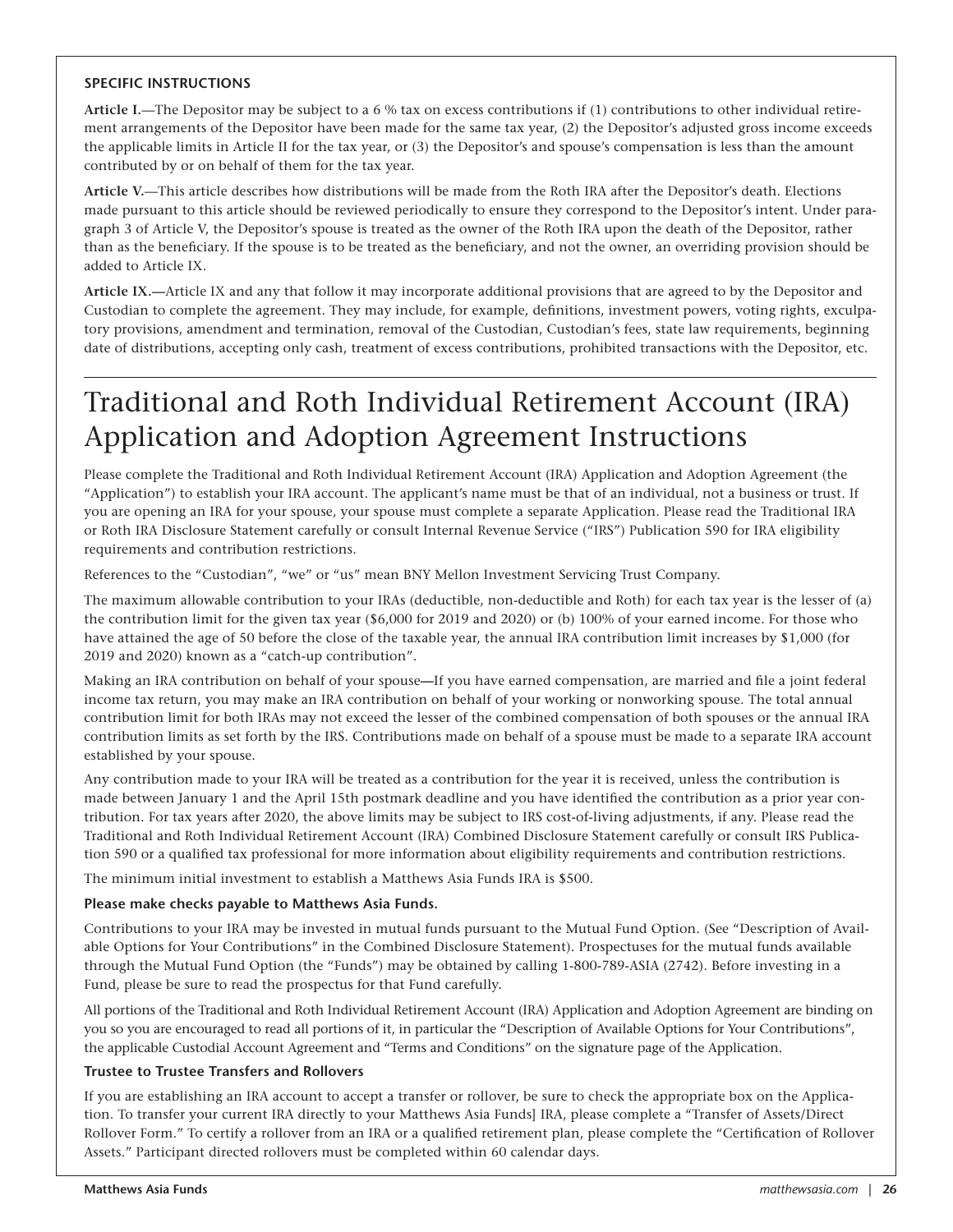#### **SPECIFIC INSTRUCTIONS**

**Article I.**—The Depositor may be subject to a 6 % tax on excess contributions if (1) contributions to other individual retirement arrangements of the Depositor have been made for the same tax year, (2) the Depositor's adjusted gross income exceeds the applicable limits in Article II for the tax year, or (3) the Depositor's and spouse's compensation is less than the amount contributed by or on behalf of them for the tax year.

**Article V.**—This article describes how distributions will be made from the Roth IRA after the Depositor's death. Elections made pursuant to this article should be reviewed periodically to ensure they correspond to the Depositor's intent. Under paragraph 3 of Article V, the Depositor's spouse is treated as the owner of the Roth IRA upon the death of the Depositor, rather than as the beneficiary. If the spouse is to be treated as the beneficiary, and not the owner, an overriding provision should be added to Article IX.

**Article IX.—**Article IX and any that follow it may incorporate additional provisions that are agreed to by the Depositor and Custodian to complete the agreement. They may include, for example, definitions, investment powers, voting rights, exculpatory provisions, amendment and termination, removal of the Custodian, Custodian's fees, state law requirements, beginning date of distributions, accepting only cash, treatment of excess contributions, prohibited transactions with the Depositor, etc.

## Traditional and Roth Individual Retirement Account (IRA) Application and Adoption Agreement Instructions

Please complete the Traditional and Roth Individual Retirement Account (IRA) Application and Adoption Agreement (the "Application") to establish your IRA account. The applicant's name must be that of an individual, not a business or trust. If you are opening an IRA for your spouse, your spouse must complete a separate Application. Please read the Traditional IRA or Roth IRA Disclosure Statement carefully or consult Internal Revenue Service ("IRS") Publication 590 for IRA eligibility requirements and contribution restrictions.

References to the "Custodian", "we" or "us" mean BNY Mellon Investment Servicing Trust Company.

The maximum allowable contribution to your IRAs (deductible, non-deductible and Roth) for each tax year is the lesser of (a) the contribution limit for the given tax year (\$6,000 for 2019 and 2020) or (b) 100% of your earned income. For those who have attained the age of 50 before the close of the taxable year, the annual IRA contribution limit increases by \$1,000 (for 2019 and 2020) known as a "catch-up contribution".

Making an IRA contribution on behalf of your spouse**—**If you have earned compensation, are married and file a joint federal income tax return, you may make an IRA contribution on behalf of your working or nonworking spouse. The total annual contribution limit for both IRAs may not exceed the lesser of the combined compensation of both spouses or the annual IRA contribution limits as set forth by the IRS. Contributions made on behalf of a spouse must be made to a separate IRA account established by your spouse.

Any contribution made to your IRA will be treated as a contribution for the year it is received, unless the contribution is made between January 1 and the April 15th postmark deadline and you have identified the contribution as a prior year contribution. For tax years after 2020, the above limits may be subject to IRS cost-of-living adjustments, if any. Please read the Traditional and Roth Individual Retirement Account (IRA) Combined Disclosure Statement carefully or consult IRS Publication 590 or a qualified tax professional for more information about eligibility requirements and contribution restrictions.

The minimum initial investment to establish a Matthews Asia Funds IRA is \$500.

#### **Please make checks payable to Matthews Asia Funds.**

Contributions to your IRA may be invested in mutual funds pursuant to the Mutual Fund Option. (See "Description of Available Options for Your Contributions" in the Combined Disclosure Statement). Prospectuses for the mutual funds available through the Mutual Fund Option (the "Funds") may be obtained by calling 1-800-789-ASIA (2742). Before investing in a Fund, please be sure to read the prospectus for that Fund carefully.

All portions of the Traditional and Roth Individual Retirement Account (IRA) Application and Adoption Agreement are binding on you so you are encouraged to read all portions of it, in particular the "Description of Available Options for Your Contributions", the applicable Custodial Account Agreement and "Terms and Conditions" on the signature page of the Application.

#### **Trustee to Trustee Transfers and Rollovers**

If you are establishing an IRA account to accept a transfer or rollover, be sure to check the appropriate box on the Application. To transfer your current IRA directly to your Matthews Asia Funds] IRA, please complete a "Transfer of Assets/Direct Rollover Form." To certify a rollover from an IRA or a qualified retirement plan, please complete the "Certification of Rollover Assets." Participant directed rollovers must be completed within 60 calendar days.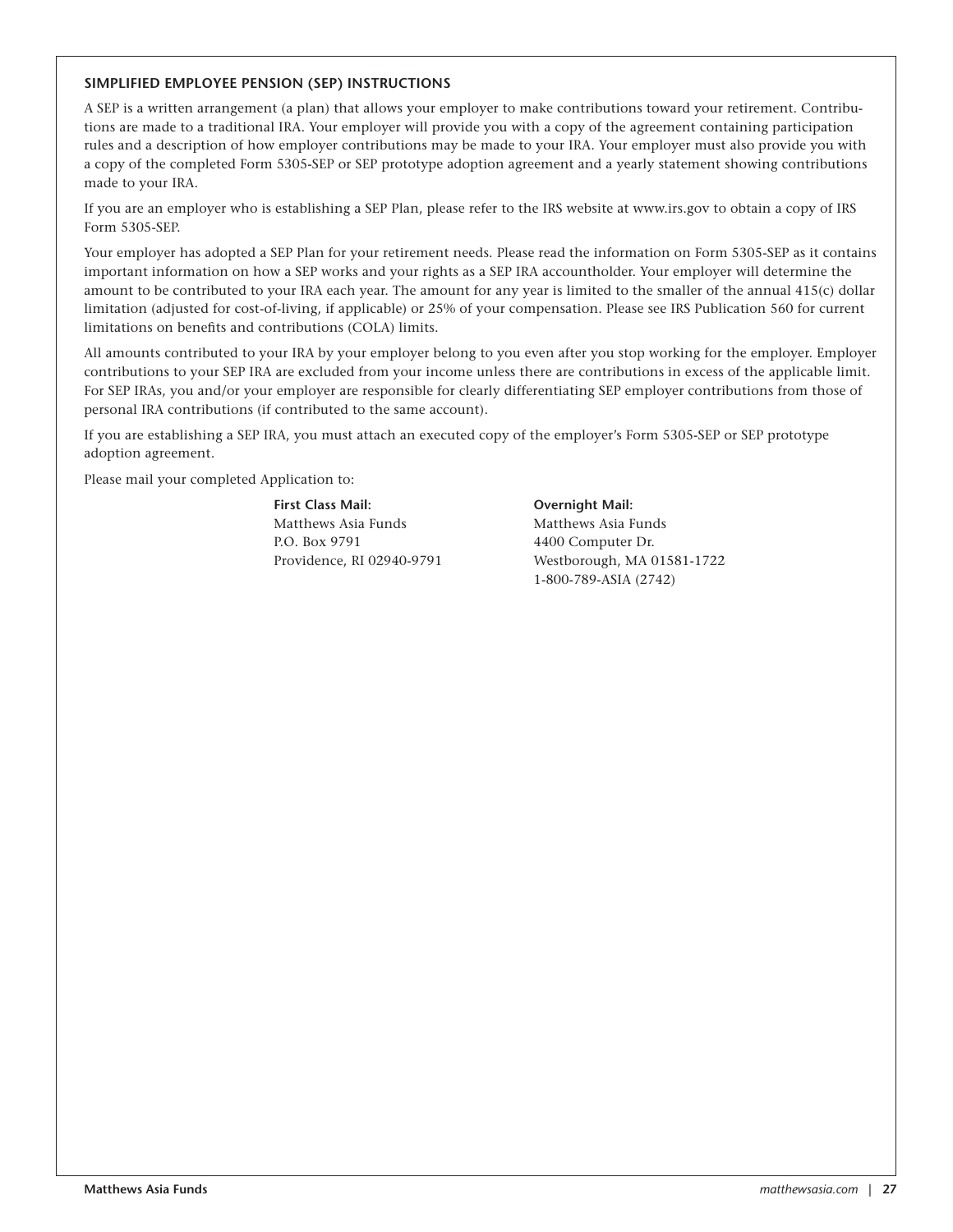#### **SIMPLIFIED EMPLOYEE PENSION (SEP) INSTRUCTIONS**

A SEP is a written arrangement (a plan) that allows your employer to make contributions toward your retirement. Contributions are made to a traditional IRA. Your employer will provide you with a copy of the agreement containing participation rules and a description of how employer contributions may be made to your IRA. Your employer must also provide you with a copy of the completed Form 5305-SEP or SEP prototype adoption agreement and a yearly statement showing contributions made to your IRA.

If you are an employer who is establishing a SEP Plan, please refer to the IRS website at www.irs.gov to obtain a copy of IRS Form 5305-SEP.

Your employer has adopted a SEP Plan for your retirement needs. Please read the information on Form 5305-SEP as it contains important information on how a SEP works and your rights as a SEP IRA accountholder. Your employer will determine the amount to be contributed to your IRA each year. The amount for any year is limited to the smaller of the annual 415(c) dollar limitation (adjusted for cost-of-living, if applicable) or 25% of your compensation. Please see IRS Publication 560 for current limitations on benefits and contributions (COLA) limits.

All amounts contributed to your IRA by your employer belong to you even after you stop working for the employer. Employer contributions to your SEP IRA are excluded from your income unless there are contributions in excess of the applicable limit. For SEP IRAs, you and/or your employer are responsible for clearly differentiating SEP employer contributions from those of personal IRA contributions (if contributed to the same account).

If you are establishing a SEP IRA, you must attach an executed copy of the employer's Form 5305-SEP or SEP prototype adoption agreement.

Please mail your completed Application to:

**First Class Mail: Overnight Mail:** Matthews Asia Funds Matthews Asia Funds P.O. Box 9791 4400 Computer Dr.

Providence, RI 02940-9791 Westborough, MA 01581-1722 1-800-789-ASIA (2742)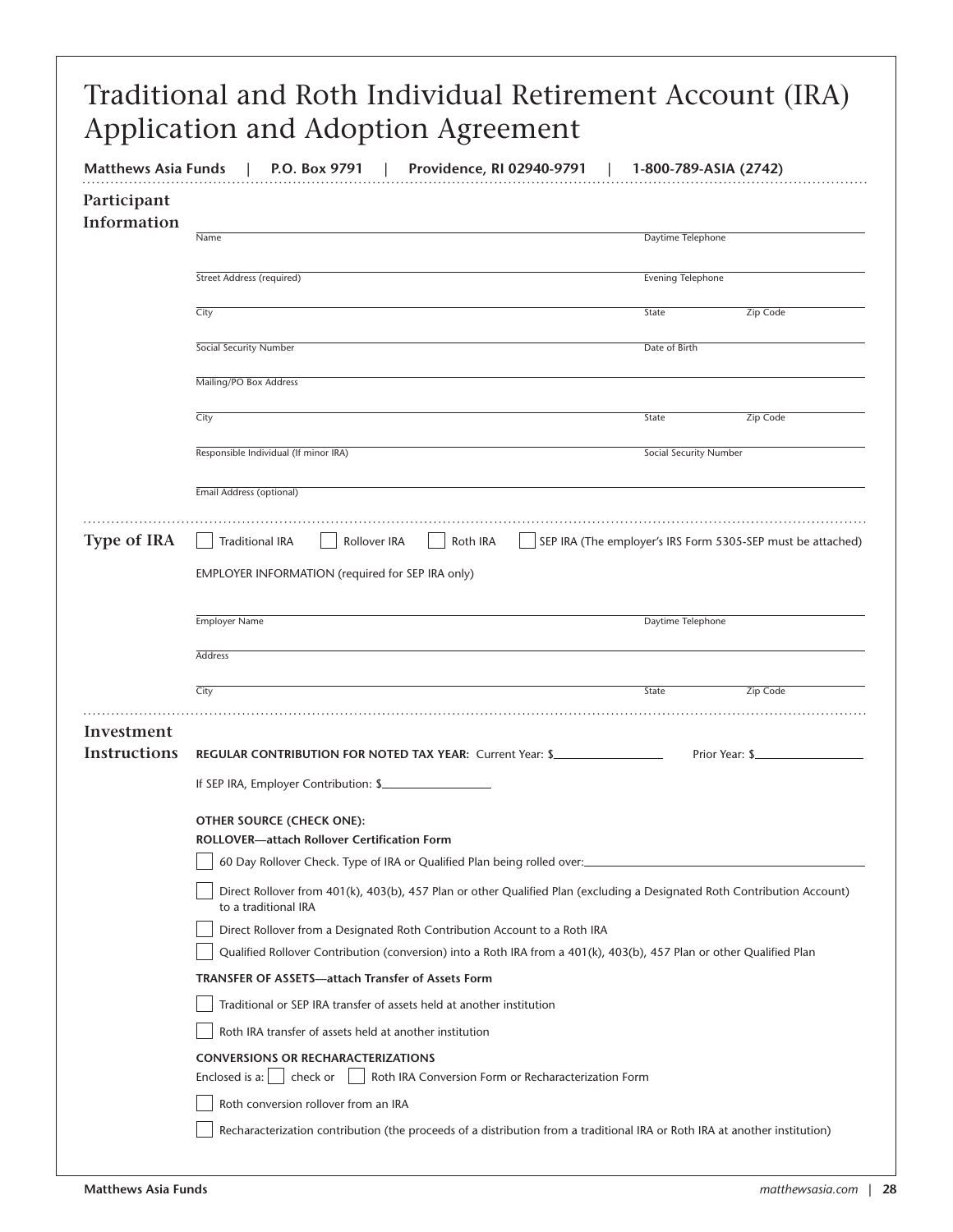| <b>Matthews Asia Funds</b> | P.O. Box 9791<br>Providence, RI 02940-9791                                                                                                       | 1-800-789-ASIA (2742)                                       |                |  |
|----------------------------|--------------------------------------------------------------------------------------------------------------------------------------------------|-------------------------------------------------------------|----------------|--|
| Participant<br>Information |                                                                                                                                                  |                                                             |                |  |
|                            | Name                                                                                                                                             | Daytime Telephone                                           |                |  |
|                            | Street Address (required)                                                                                                                        | Evening Telephone                                           |                |  |
|                            | City                                                                                                                                             | State                                                       | Zip Code       |  |
|                            | Social Security Number                                                                                                                           | Date of Birth                                               |                |  |
|                            | Mailing/PO Box Address                                                                                                                           |                                                             |                |  |
|                            | City                                                                                                                                             | State                                                       | Zip Code       |  |
|                            | Responsible Individual (If minor IRA)                                                                                                            | Social Security Number                                      |                |  |
|                            | Email Address (optional)                                                                                                                         |                                                             |                |  |
|                            |                                                                                                                                                  |                                                             |                |  |
| <b>Type of IRA</b>         | <b>Traditional IRA</b><br>Rollover IRA<br>Roth IRA                                                                                               | SEP IRA (The employer's IRS Form 5305-SEP must be attached) |                |  |
|                            | EMPLOYER INFORMATION (required for SEP IRA only)                                                                                                 |                                                             |                |  |
|                            | <b>Employer Name</b>                                                                                                                             | Daytime Telephone                                           |                |  |
|                            | Address                                                                                                                                          |                                                             |                |  |
|                            | City                                                                                                                                             | State                                                       | Zip Code       |  |
| Investment                 |                                                                                                                                                  |                                                             |                |  |
| Instructions               | REGULAR CONTRIBUTION FOR NOTED TAX YEAR: Current Year: \$                                                                                        |                                                             | Prior Year: \$ |  |
|                            | If SEP IRA, Employer Contribution: \$                                                                                                            |                                                             |                |  |
|                            |                                                                                                                                                  |                                                             |                |  |
|                            | OTHER SOURCE (CHECK ONE):                                                                                                                        |                                                             |                |  |
|                            | <b>ROLLOVER-attach Rollover Certification Form</b>                                                                                               |                                                             |                |  |
|                            | 60 Day Rollover Check. Type of IRA or Qualified Plan being rolled over:                                                                          |                                                             |                |  |
|                            | Direct Rollover from 401(k), 403(b), 457 Plan or other Qualified Plan (excluding a Designated Roth Contribution Account)<br>to a traditional IRA |                                                             |                |  |
|                            | Direct Rollover from a Designated Roth Contribution Account to a Roth IRA                                                                        |                                                             |                |  |
|                            | Qualified Rollover Contribution (conversion) into a Roth IRA from a 401(k), 403(b), 457 Plan or other Qualified Plan                             |                                                             |                |  |
|                            | <b>TRANSFER OF ASSETS—attach Transfer of Assets Form</b><br>Traditional or SEP IRA transfer of assets held at another institution                |                                                             |                |  |
|                            | Roth IRA transfer of assets held at another institution                                                                                          |                                                             |                |  |
|                            | <b>CONVERSIONS OR RECHARACTERIZATIONS</b>                                                                                                        |                                                             |                |  |
|                            | Enclosed is $a:$<br>check or<br>Roth IRA Conversion Form or Recharacterization Form                                                              |                                                             |                |  |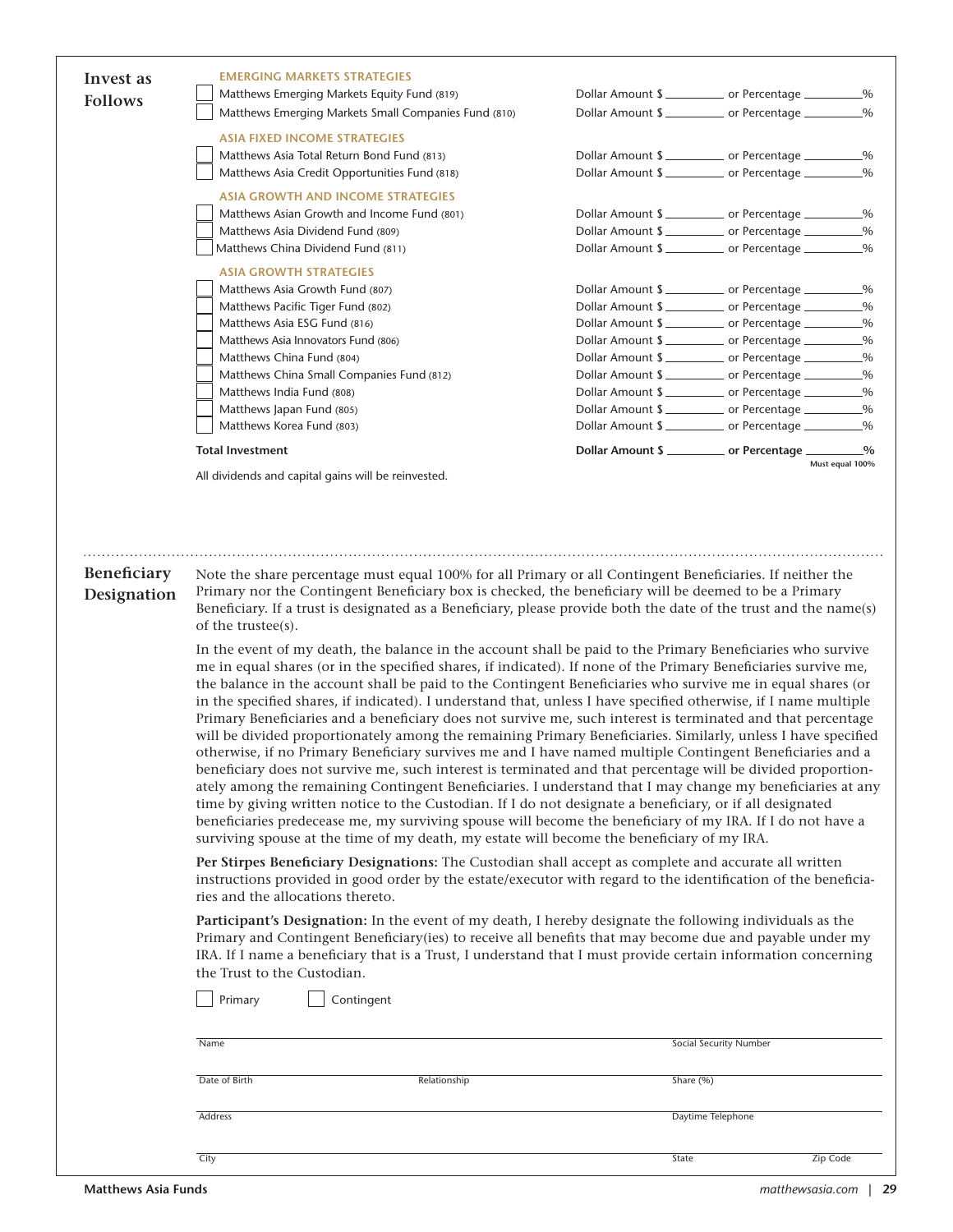| Invest as      | <b>EMERGING MARKETS STRATEGIES</b>                                                                                                                                                                                                                                                                                                                                                                                                                                                                                                                                                                                                                                                                                                                                                                                                                                                                                                                                                                                                                                                                                                                                                                                                                                                                                                                                                                                                                                                                                |           |                                                                             |                 |
|----------------|-------------------------------------------------------------------------------------------------------------------------------------------------------------------------------------------------------------------------------------------------------------------------------------------------------------------------------------------------------------------------------------------------------------------------------------------------------------------------------------------------------------------------------------------------------------------------------------------------------------------------------------------------------------------------------------------------------------------------------------------------------------------------------------------------------------------------------------------------------------------------------------------------------------------------------------------------------------------------------------------------------------------------------------------------------------------------------------------------------------------------------------------------------------------------------------------------------------------------------------------------------------------------------------------------------------------------------------------------------------------------------------------------------------------------------------------------------------------------------------------------------------------|-----------|-----------------------------------------------------------------------------|-----------------|
| <b>Follows</b> | Matthews Emerging Markets Equity Fund (819)                                                                                                                                                                                                                                                                                                                                                                                                                                                                                                                                                                                                                                                                                                                                                                                                                                                                                                                                                                                                                                                                                                                                                                                                                                                                                                                                                                                                                                                                       |           | Dollar Amount \$                                                            |                 |
|                | Matthews Emerging Markets Small Companies Fund (810)                                                                                                                                                                                                                                                                                                                                                                                                                                                                                                                                                                                                                                                                                                                                                                                                                                                                                                                                                                                                                                                                                                                                                                                                                                                                                                                                                                                                                                                              |           | Dollar Amount \$                                                            |                 |
|                | <b>ASIA FIXED INCOME STRATEGIES</b>                                                                                                                                                                                                                                                                                                                                                                                                                                                                                                                                                                                                                                                                                                                                                                                                                                                                                                                                                                                                                                                                                                                                                                                                                                                                                                                                                                                                                                                                               |           |                                                                             |                 |
|                | Matthews Asia Total Return Bond Fund (813)                                                                                                                                                                                                                                                                                                                                                                                                                                                                                                                                                                                                                                                                                                                                                                                                                                                                                                                                                                                                                                                                                                                                                                                                                                                                                                                                                                                                                                                                        |           | Dollar Amount \$                                                            |                 |
|                | Matthews Asia Credit Opportunities Fund (818)                                                                                                                                                                                                                                                                                                                                                                                                                                                                                                                                                                                                                                                                                                                                                                                                                                                                                                                                                                                                                                                                                                                                                                                                                                                                                                                                                                                                                                                                     |           | Dollar Amount \$                                                            |                 |
|                | <b>ASIA GROWTH AND INCOME STRATEGIES</b>                                                                                                                                                                                                                                                                                                                                                                                                                                                                                                                                                                                                                                                                                                                                                                                                                                                                                                                                                                                                                                                                                                                                                                                                                                                                                                                                                                                                                                                                          |           |                                                                             |                 |
|                | Matthews Asian Growth and Income Fund (801)                                                                                                                                                                                                                                                                                                                                                                                                                                                                                                                                                                                                                                                                                                                                                                                                                                                                                                                                                                                                                                                                                                                                                                                                                                                                                                                                                                                                                                                                       |           | Dollar Amount \$ ____________ or Percentage __________%                     |                 |
|                | Matthews Asia Dividend Fund (809)                                                                                                                                                                                                                                                                                                                                                                                                                                                                                                                                                                                                                                                                                                                                                                                                                                                                                                                                                                                                                                                                                                                                                                                                                                                                                                                                                                                                                                                                                 |           | Dollar Amount \$ ____________ or Percentage __________%<br>Dollar Amount \$ |                 |
|                | Matthews China Dividend Fund (811)                                                                                                                                                                                                                                                                                                                                                                                                                                                                                                                                                                                                                                                                                                                                                                                                                                                                                                                                                                                                                                                                                                                                                                                                                                                                                                                                                                                                                                                                                |           |                                                                             |                 |
|                | <b>ASIA GROWTH STRATEGIES</b><br>Matthews Asia Growth Fund (807)                                                                                                                                                                                                                                                                                                                                                                                                                                                                                                                                                                                                                                                                                                                                                                                                                                                                                                                                                                                                                                                                                                                                                                                                                                                                                                                                                                                                                                                  |           |                                                                             |                 |
|                | Matthews Pacific Tiger Fund (802)                                                                                                                                                                                                                                                                                                                                                                                                                                                                                                                                                                                                                                                                                                                                                                                                                                                                                                                                                                                                                                                                                                                                                                                                                                                                                                                                                                                                                                                                                 |           | Dollar Amount \$<br>Dollar Amount \$                                        |                 |
|                | Matthews Asia ESG Fund (816)                                                                                                                                                                                                                                                                                                                                                                                                                                                                                                                                                                                                                                                                                                                                                                                                                                                                                                                                                                                                                                                                                                                                                                                                                                                                                                                                                                                                                                                                                      |           | Dollar Amount \$                                                            |                 |
|                | Matthews Asia Innovators Fund (806)                                                                                                                                                                                                                                                                                                                                                                                                                                                                                                                                                                                                                                                                                                                                                                                                                                                                                                                                                                                                                                                                                                                                                                                                                                                                                                                                                                                                                                                                               |           | Dollar Amount \$                                                            |                 |
|                | Matthews China Fund (804)                                                                                                                                                                                                                                                                                                                                                                                                                                                                                                                                                                                                                                                                                                                                                                                                                                                                                                                                                                                                                                                                                                                                                                                                                                                                                                                                                                                                                                                                                         |           | Dollar Amount \$                                                            |                 |
|                | Matthews China Small Companies Fund (812)                                                                                                                                                                                                                                                                                                                                                                                                                                                                                                                                                                                                                                                                                                                                                                                                                                                                                                                                                                                                                                                                                                                                                                                                                                                                                                                                                                                                                                                                         |           | Dollar Amount \$                                                            |                 |
|                | Matthews India Fund (808)                                                                                                                                                                                                                                                                                                                                                                                                                                                                                                                                                                                                                                                                                                                                                                                                                                                                                                                                                                                                                                                                                                                                                                                                                                                                                                                                                                                                                                                                                         |           | Dollar Amount \$ ___________ or Percentage _________%                       |                 |
|                | Matthews Japan Fund (805)                                                                                                                                                                                                                                                                                                                                                                                                                                                                                                                                                                                                                                                                                                                                                                                                                                                                                                                                                                                                                                                                                                                                                                                                                                                                                                                                                                                                                                                                                         |           | Dollar Amount \$                                                            |                 |
|                | Matthews Korea Fund (803)                                                                                                                                                                                                                                                                                                                                                                                                                                                                                                                                                                                                                                                                                                                                                                                                                                                                                                                                                                                                                                                                                                                                                                                                                                                                                                                                                                                                                                                                                         |           | Dollar Amount \$                                                            |                 |
|                | <b>Total Investment</b>                                                                                                                                                                                                                                                                                                                                                                                                                                                                                                                                                                                                                                                                                                                                                                                                                                                                                                                                                                                                                                                                                                                                                                                                                                                                                                                                                                                                                                                                                           |           | Dollar Amount \$ ____________ or Percentage _________                       | $\frac{0}{2}$   |
|                | All dividends and capital gains will be reinvested.                                                                                                                                                                                                                                                                                                                                                                                                                                                                                                                                                                                                                                                                                                                                                                                                                                                                                                                                                                                                                                                                                                                                                                                                                                                                                                                                                                                                                                                               |           |                                                                             | Must equal 100% |
| Beneficiary    | Note the share percentage must equal 100% for all Primary or all Contingent Beneficiaries. If neither the<br>Primary nor the Contingent Beneficiary box is checked, the beneficiary will be deemed to be a Primary                                                                                                                                                                                                                                                                                                                                                                                                                                                                                                                                                                                                                                                                                                                                                                                                                                                                                                                                                                                                                                                                                                                                                                                                                                                                                                |           |                                                                             |                 |
| Designation    | Beneficiary. If a trust is designated as a Beneficiary, please provide both the date of the trust and the name(s)<br>of the trustee(s).<br>In the event of my death, the balance in the account shall be paid to the Primary Beneficiaries who survive<br>me in equal shares (or in the specified shares, if indicated). If none of the Primary Beneficiaries survive me,<br>the balance in the account shall be paid to the Contingent Beneficiaries who survive me in equal shares (or<br>in the specified shares, if indicated). I understand that, unless I have specified otherwise, if I name multiple<br>Primary Beneficiaries and a beneficiary does not survive me, such interest is terminated and that percentage<br>will be divided proportionately among the remaining Primary Beneficiaries. Similarly, unless I have specified<br>otherwise, if no Primary Beneficiary survives me and I have named multiple Contingent Beneficiaries and a<br>beneficiary does not survive me, such interest is terminated and that percentage will be divided proportion-<br>ately among the remaining Contingent Beneficiaries. I understand that I may change my beneficiaries at any<br>time by giving written notice to the Custodian. If I do not designate a beneficiary, or if all designated<br>beneficiaries predecease me, my surviving spouse will become the beneficiary of my IRA. If I do not have a<br>surviving spouse at the time of my death, my estate will become the beneficiary of my IRA. |           |                                                                             |                 |
|                | Per Stirpes Beneficiary Designations: The Custodian shall accept as complete and accurate all written<br>instructions provided in good order by the estate/executor with regard to the identification of the beneficia-<br>ries and the allocations thereto.                                                                                                                                                                                                                                                                                                                                                                                                                                                                                                                                                                                                                                                                                                                                                                                                                                                                                                                                                                                                                                                                                                                                                                                                                                                      |           |                                                                             |                 |
|                | Participant's Designation: In the event of my death, I hereby designate the following individuals as the<br>Primary and Contingent Beneficiary(ies) to receive all benefits that may become due and payable under my<br>IRA. If I name a beneficiary that is a Trust, I understand that I must provide certain information concerning<br>the Trust to the Custodian.                                                                                                                                                                                                                                                                                                                                                                                                                                                                                                                                                                                                                                                                                                                                                                                                                                                                                                                                                                                                                                                                                                                                              |           |                                                                             |                 |
|                | Contingent<br>Primary                                                                                                                                                                                                                                                                                                                                                                                                                                                                                                                                                                                                                                                                                                                                                                                                                                                                                                                                                                                                                                                                                                                                                                                                                                                                                                                                                                                                                                                                                             |           |                                                                             |                 |
|                | Name                                                                                                                                                                                                                                                                                                                                                                                                                                                                                                                                                                                                                                                                                                                                                                                                                                                                                                                                                                                                                                                                                                                                                                                                                                                                                                                                                                                                                                                                                                              |           | Social Security Number                                                      |                 |
|                | Date of Birth<br>Relationship                                                                                                                                                                                                                                                                                                                                                                                                                                                                                                                                                                                                                                                                                                                                                                                                                                                                                                                                                                                                                                                                                                                                                                                                                                                                                                                                                                                                                                                                                     | Share (%) |                                                                             |                 |
|                | Address                                                                                                                                                                                                                                                                                                                                                                                                                                                                                                                                                                                                                                                                                                                                                                                                                                                                                                                                                                                                                                                                                                                                                                                                                                                                                                                                                                                                                                                                                                           |           | Daytime Telephone                                                           |                 |

التي تقدم المستخدم المستخدم المستخدم المستخدم المستخدم المستخدم المستخدم المستخدم المستخدم المستخدم المستخدم ال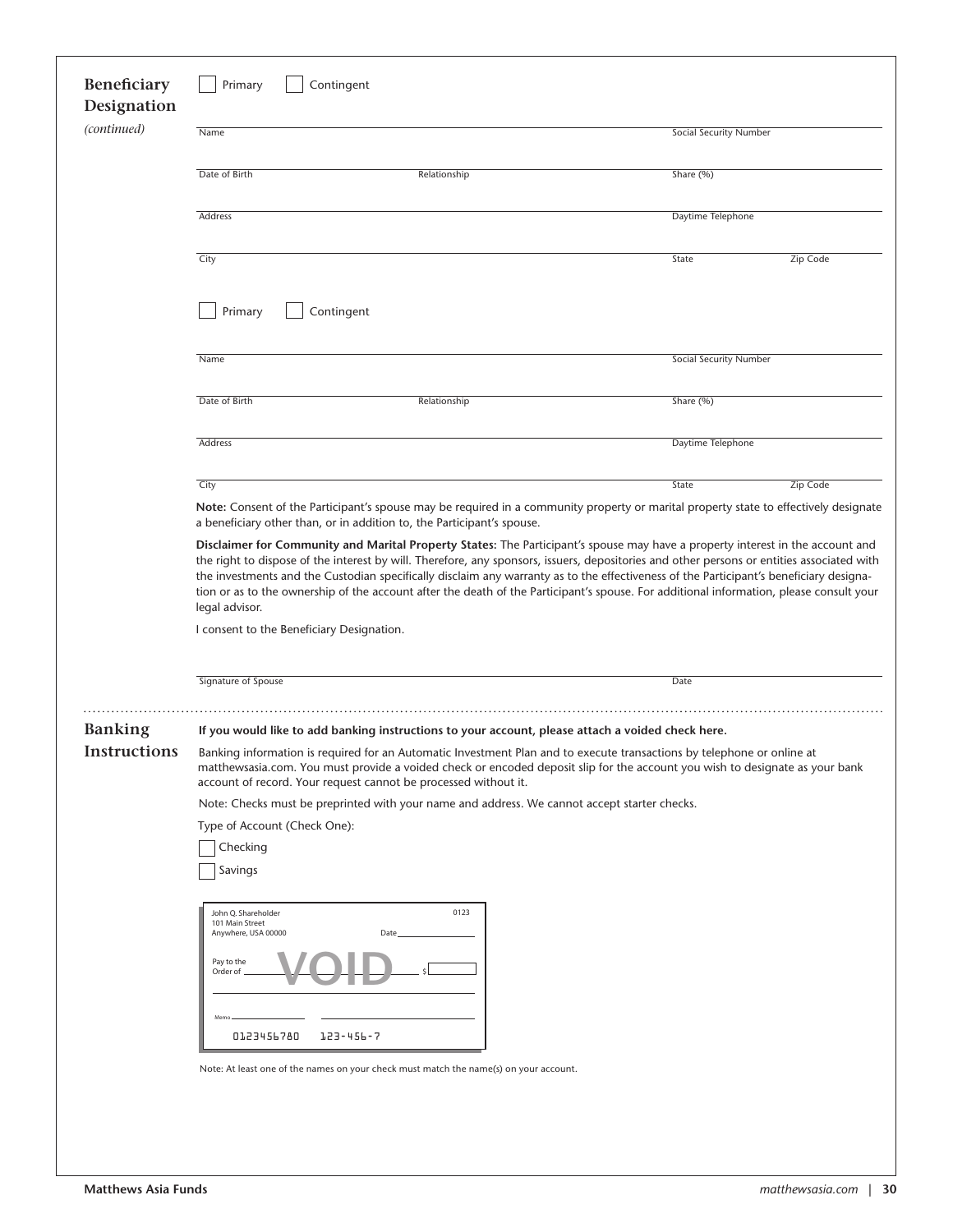| Beneficiary<br>Designation | Contingent<br>Primary                                                                                                                                                                                                                                                                                                     |                                                                                       |                                                                                                                                                                                                                                                                                                                                                                                                                                                                                                                                                                   |  |
|----------------------------|---------------------------------------------------------------------------------------------------------------------------------------------------------------------------------------------------------------------------------------------------------------------------------------------------------------------------|---------------------------------------------------------------------------------------|-------------------------------------------------------------------------------------------------------------------------------------------------------------------------------------------------------------------------------------------------------------------------------------------------------------------------------------------------------------------------------------------------------------------------------------------------------------------------------------------------------------------------------------------------------------------|--|
| (continued)                | Name                                                                                                                                                                                                                                                                                                                      |                                                                                       | Social Security Number                                                                                                                                                                                                                                                                                                                                                                                                                                                                                                                                            |  |
|                            | Date of Birth                                                                                                                                                                                                                                                                                                             | Relationship                                                                          | Share (%)                                                                                                                                                                                                                                                                                                                                                                                                                                                                                                                                                         |  |
|                            | Address                                                                                                                                                                                                                                                                                                                   |                                                                                       | Daytime Telephone                                                                                                                                                                                                                                                                                                                                                                                                                                                                                                                                                 |  |
|                            | City                                                                                                                                                                                                                                                                                                                      |                                                                                       | Zip Code<br>State                                                                                                                                                                                                                                                                                                                                                                                                                                                                                                                                                 |  |
|                            | Primary                                                                                                                                                                                                                                                                                                                   | Contingent                                                                            |                                                                                                                                                                                                                                                                                                                                                                                                                                                                                                                                                                   |  |
|                            | Name                                                                                                                                                                                                                                                                                                                      |                                                                                       | Social Security Number                                                                                                                                                                                                                                                                                                                                                                                                                                                                                                                                            |  |
|                            | Date of Birth                                                                                                                                                                                                                                                                                                             | Relationship                                                                          | Share (%)                                                                                                                                                                                                                                                                                                                                                                                                                                                                                                                                                         |  |
|                            | Address                                                                                                                                                                                                                                                                                                                   |                                                                                       | Daytime Telephone                                                                                                                                                                                                                                                                                                                                                                                                                                                                                                                                                 |  |
|                            | City                                                                                                                                                                                                                                                                                                                      | a beneficiary other than, or in addition to, the Participant's spouse.                | Zip Code<br>State<br>Note: Consent of the Participant's spouse may be required in a community property or marital property state to effectively designate                                                                                                                                                                                                                                                                                                                                                                                                         |  |
|                            | legal advisor.<br>I consent to the Beneficiary Designation.                                                                                                                                                                                                                                                               |                                                                                       | Disclaimer for Community and Marital Property States: The Participant's spouse may have a property interest in the account and<br>the right to dispose of the interest by will. Therefore, any sponsors, issuers, depositories and other persons or entities associated with<br>the investments and the Custodian specifically disclaim any warranty as to the effectiveness of the Participant's beneficiary designa-<br>tion or as to the ownership of the account after the death of the Participant's spouse. For additional information, please consult your |  |
|                            | Signature of Spouse                                                                                                                                                                                                                                                                                                       |                                                                                       | Date                                                                                                                                                                                                                                                                                                                                                                                                                                                                                                                                                              |  |
| <b>Banking</b>             | If you would like to add banking instructions to your account, please attach a voided check here.                                                                                                                                                                                                                         |                                                                                       |                                                                                                                                                                                                                                                                                                                                                                                                                                                                                                                                                                   |  |
| <b>Instructions</b>        | Banking information is required for an Automatic Investment Plan and to execute transactions by telephone or online at<br>matthewsasia.com. You must provide a voided check or encoded deposit slip for the account you wish to designate as your bank<br>account of record. Your request cannot be processed without it. |                                                                                       |                                                                                                                                                                                                                                                                                                                                                                                                                                                                                                                                                                   |  |
|                            | Note: Checks must be preprinted with your name and address. We cannot accept starter checks.                                                                                                                                                                                                                              |                                                                                       |                                                                                                                                                                                                                                                                                                                                                                                                                                                                                                                                                                   |  |
|                            | Type of Account (Check One):<br>Checking                                                                                                                                                                                                                                                                                  |                                                                                       |                                                                                                                                                                                                                                                                                                                                                                                                                                                                                                                                                                   |  |
|                            | Savings                                                                                                                                                                                                                                                                                                                   |                                                                                       |                                                                                                                                                                                                                                                                                                                                                                                                                                                                                                                                                                   |  |
|                            | John Q. Shareholder<br>101 Main Street<br>Anywhere, USA 00000                                                                                                                                                                                                                                                             | 0123<br>Date                                                                          |                                                                                                                                                                                                                                                                                                                                                                                                                                                                                                                                                                   |  |
|                            | Pay to the<br>Order of                                                                                                                                                                                                                                                                                                    |                                                                                       |                                                                                                                                                                                                                                                                                                                                                                                                                                                                                                                                                                   |  |
|                            | 0123456780                                                                                                                                                                                                                                                                                                                | 153-456-7                                                                             |                                                                                                                                                                                                                                                                                                                                                                                                                                                                                                                                                                   |  |
|                            |                                                                                                                                                                                                                                                                                                                           |                                                                                       |                                                                                                                                                                                                                                                                                                                                                                                                                                                                                                                                                                   |  |
|                            |                                                                                                                                                                                                                                                                                                                           | Note: At least one of the names on your check must match the name(s) on your account. |                                                                                                                                                                                                                                                                                                                                                                                                                                                                                                                                                                   |  |
|                            |                                                                                                                                                                                                                                                                                                                           |                                                                                       |                                                                                                                                                                                                                                                                                                                                                                                                                                                                                                                                                                   |  |
|                            |                                                                                                                                                                                                                                                                                                                           |                                                                                       |                                                                                                                                                                                                                                                                                                                                                                                                                                                                                                                                                                   |  |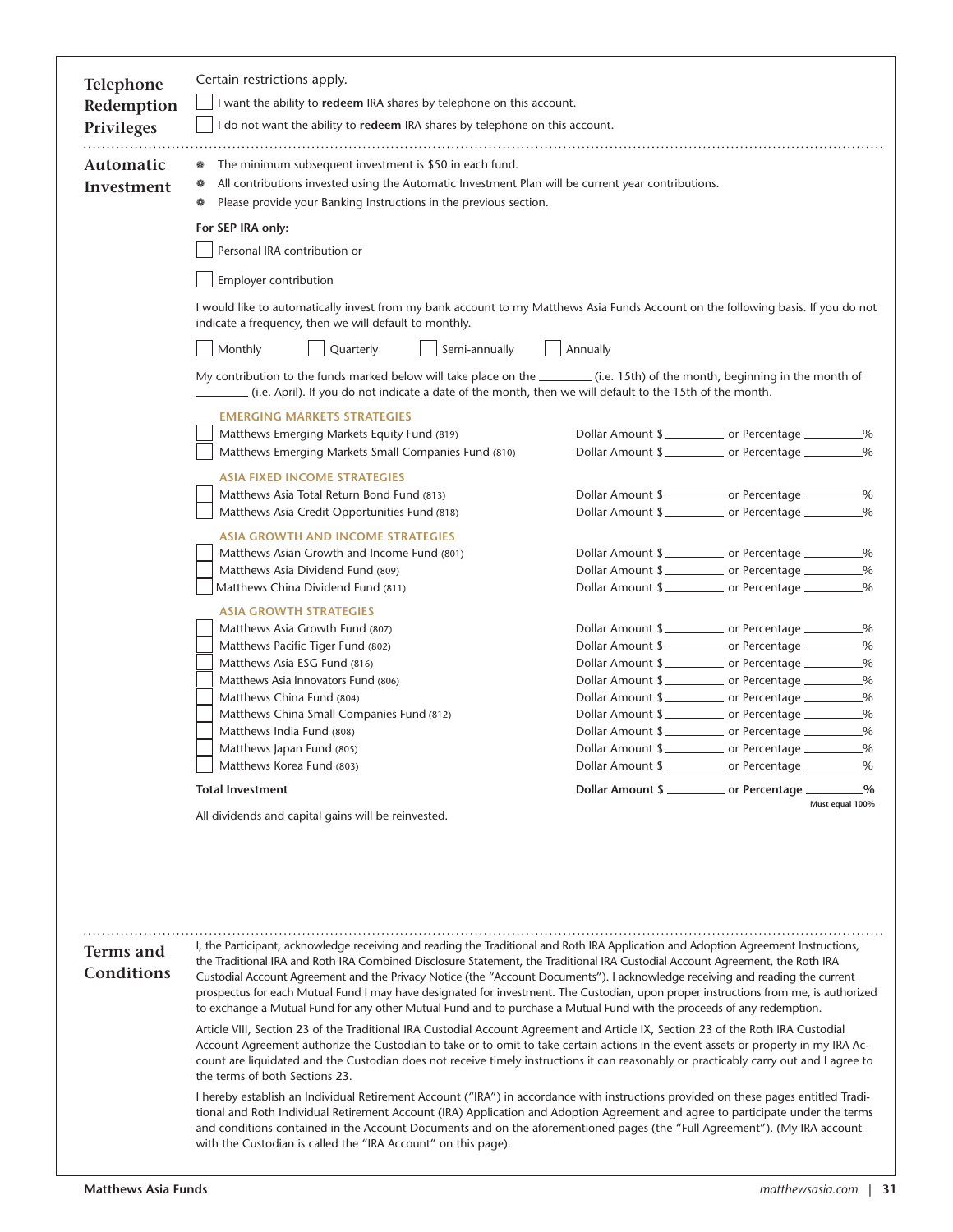| <b>Telephone</b><br>Redemption | Certain restrictions apply.<br>I want the ability to redeem IRA shares by telephone on this account.                                                                                                                                                                                                                                                                                                                                                                                                                                                                                                                                                                    |          |                                            |
|--------------------------------|-------------------------------------------------------------------------------------------------------------------------------------------------------------------------------------------------------------------------------------------------------------------------------------------------------------------------------------------------------------------------------------------------------------------------------------------------------------------------------------------------------------------------------------------------------------------------------------------------------------------------------------------------------------------------|----------|--------------------------------------------|
| <b>Privileges</b>              | I do not want the ability to redeem IRA shares by telephone on this account.                                                                                                                                                                                                                                                                                                                                                                                                                                                                                                                                                                                            |          |                                            |
| Automatic<br>Investment        | The minimum subsequent investment is \$50 in each fund.<br>٠<br>All contributions invested using the Automatic Investment Plan will be current year contributions.<br>Please provide your Banking Instructions in the previous section.                                                                                                                                                                                                                                                                                                                                                                                                                                 |          |                                            |
|                                | For SEP IRA only:                                                                                                                                                                                                                                                                                                                                                                                                                                                                                                                                                                                                                                                       |          |                                            |
|                                | Personal IRA contribution or                                                                                                                                                                                                                                                                                                                                                                                                                                                                                                                                                                                                                                            |          |                                            |
|                                |                                                                                                                                                                                                                                                                                                                                                                                                                                                                                                                                                                                                                                                                         |          |                                            |
|                                | Employer contribution                                                                                                                                                                                                                                                                                                                                                                                                                                                                                                                                                                                                                                                   |          |                                            |
|                                | I would like to automatically invest from my bank account to my Matthews Asia Funds Account on the following basis. If you do not<br>indicate a frequency, then we will default to monthly.                                                                                                                                                                                                                                                                                                                                                                                                                                                                             |          |                                            |
|                                | Monthly<br>Quarterly<br>Semi-annually                                                                                                                                                                                                                                                                                                                                                                                                                                                                                                                                                                                                                                   | Annually |                                            |
|                                | My contribution to the funds marked below will take place on the __________ (i.e. 15th) of the month, beginning in the month of<br>(i.e. April). If you do not indicate a date of the month, then we will default to the 15th of the month.                                                                                                                                                                                                                                                                                                                                                                                                                             |          |                                            |
|                                | <b>EMERGING MARKETS STRATEGIES</b>                                                                                                                                                                                                                                                                                                                                                                                                                                                                                                                                                                                                                                      |          |                                            |
|                                | Matthews Emerging Markets Equity Fund (819)                                                                                                                                                                                                                                                                                                                                                                                                                                                                                                                                                                                                                             |          | Dollar Amount \$                           |
|                                | Matthews Emerging Markets Small Companies Fund (810)                                                                                                                                                                                                                                                                                                                                                                                                                                                                                                                                                                                                                    |          | Dollar Amount \$<br>$\frac{0}{0}$          |
|                                | <b>ASIA FIXED INCOME STRATEGIES</b>                                                                                                                                                                                                                                                                                                                                                                                                                                                                                                                                                                                                                                     |          |                                            |
|                                | Matthews Asia Total Return Bond Fund (813)                                                                                                                                                                                                                                                                                                                                                                                                                                                                                                                                                                                                                              |          | Dollar Amount \$                           |
|                                | Matthews Asia Credit Opportunities Fund (818)                                                                                                                                                                                                                                                                                                                                                                                                                                                                                                                                                                                                                           |          | Dollar Amount \$<br>$-$ %                  |
|                                | <b>ASIA GROWTH AND INCOME STRATEGIES</b>                                                                                                                                                                                                                                                                                                                                                                                                                                                                                                                                                                                                                                |          |                                            |
|                                | Matthews Asian Growth and Income Fund (801)                                                                                                                                                                                                                                                                                                                                                                                                                                                                                                                                                                                                                             |          | Dollar Amount \$                           |
|                                | Matthews Asia Dividend Fund (809)                                                                                                                                                                                                                                                                                                                                                                                                                                                                                                                                                                                                                                       |          | Dollar Amount \$                           |
|                                | Matthews China Dividend Fund (811)                                                                                                                                                                                                                                                                                                                                                                                                                                                                                                                                                                                                                                      |          | Dollar Amount \$<br>$\frac{0}{0}$          |
|                                | <b>ASIA GROWTH STRATEGIES</b>                                                                                                                                                                                                                                                                                                                                                                                                                                                                                                                                                                                                                                           |          |                                            |
|                                | Matthews Asia Growth Fund (807)                                                                                                                                                                                                                                                                                                                                                                                                                                                                                                                                                                                                                                         |          | Dollar Amount \$<br>Dollar Amount \$       |
|                                | Matthews Pacific Tiger Fund (802)<br>Matthews Asia ESG Fund (816)                                                                                                                                                                                                                                                                                                                                                                                                                                                                                                                                                                                                       |          | $\frac{0}{0}$<br>Dollar Amount \$<br>$-$ % |
|                                | Matthews Asia Innovators Fund (806)                                                                                                                                                                                                                                                                                                                                                                                                                                                                                                                                                                                                                                     |          | Dollar Amount \$<br>-%                     |
|                                | Matthews China Fund (804)                                                                                                                                                                                                                                                                                                                                                                                                                                                                                                                                                                                                                                               |          | $\frac{0}{2}$<br>Dollar Amount \$          |
|                                | Matthews China Small Companies Fund (812)                                                                                                                                                                                                                                                                                                                                                                                                                                                                                                                                                                                                                               |          | Dollar Amount \$                           |
|                                | Matthews India Fund (808)                                                                                                                                                                                                                                                                                                                                                                                                                                                                                                                                                                                                                                               |          | Dollar Amount \$                           |
|                                | Matthews Japan Fund (805)                                                                                                                                                                                                                                                                                                                                                                                                                                                                                                                                                                                                                                               |          | Dollar Amount \$<br>$-$ %                  |
|                                | Matthews Korea Fund (803)                                                                                                                                                                                                                                                                                                                                                                                                                                                                                                                                                                                                                                               |          | Dollar Amount \$                           |
|                                | <b>Total Investment</b>                                                                                                                                                                                                                                                                                                                                                                                                                                                                                                                                                                                                                                                 |          | Dollar Amount \$                           |
|                                | All dividends and capital gains will be reinvested.                                                                                                                                                                                                                                                                                                                                                                                                                                                                                                                                                                                                                     |          | Must equal 100%                            |
|                                |                                                                                                                                                                                                                                                                                                                                                                                                                                                                                                                                                                                                                                                                         |          |                                            |
| Terms and<br>Conditions        | I, the Participant, acknowledge receiving and reading the Traditional and Roth IRA Application and Adoption Agreement Instructions,<br>the Traditional IRA and Roth IRA Combined Disclosure Statement, the Traditional IRA Custodial Account Agreement, the Roth IRA<br>Custodial Account Agreement and the Privacy Notice (the "Account Documents"). I acknowledge receiving and reading the current<br>prospectus for each Mutual Fund I may have designated for investment. The Custodian, upon proper instructions from me, is authorized<br>to exchange a Mutual Fund for any other Mutual Fund and to purchase a Mutual Fund with the proceeds of any redemption. |          |                                            |
|                                | Article VIII, Section 23 of the Traditional IRA Custodial Account Agreement and Article IX, Section 23 of the Roth IRA Custodial<br>Account Agreement authorize the Custodian to take or to omit to take certain actions in the event assets or property in my IRA Ac-<br>count are liquidated and the Custodian does not receive timely instructions it can reasonably or practicably carry out and I agree to<br>the terms of both Sections 23.                                                                                                                                                                                                                       |          |                                            |
|                                | I hereby establish an Individual Retirement Account ("IRA") in accordance with instructions provided on these pages entitled Tradi-<br>tional and Roth Individual Retirement Account (IRA) Application and Adoption Agreement and agree to participate under the terms<br>and conditions contained in the Account Documents and on the aforementioned pages (the "Full Agreement"). (My IRA account<br>with the Custodian is called the "IRA Account" on this page).                                                                                                                                                                                                    |          |                                            |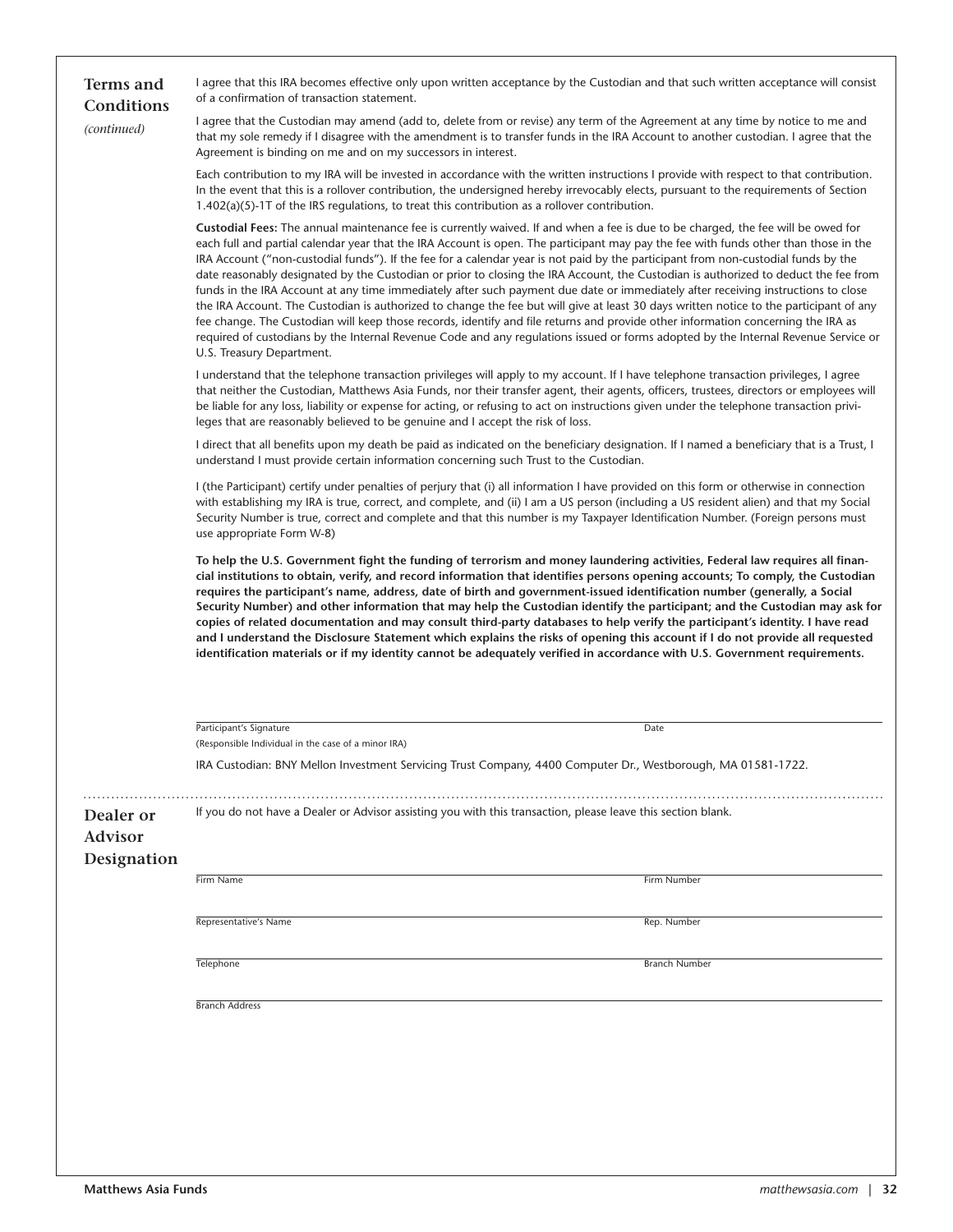| <b>Terms</b> and<br>Conditions             | I agree that this IRA becomes effective only upon written acceptance by the Custodian and that such written acceptance will consist<br>of a confirmation of transaction statement.                                                                                                                                                                                                                                                                                                                                                                                                                                                                                                                                                                                                                                                                                                                                                                                                                                                                                                                                                          |                      |  |  |
|--------------------------------------------|---------------------------------------------------------------------------------------------------------------------------------------------------------------------------------------------------------------------------------------------------------------------------------------------------------------------------------------------------------------------------------------------------------------------------------------------------------------------------------------------------------------------------------------------------------------------------------------------------------------------------------------------------------------------------------------------------------------------------------------------------------------------------------------------------------------------------------------------------------------------------------------------------------------------------------------------------------------------------------------------------------------------------------------------------------------------------------------------------------------------------------------------|----------------------|--|--|
| (continued)                                | I agree that the Custodian may amend (add to, delete from or revise) any term of the Agreement at any time by notice to me and<br>that my sole remedy if I disagree with the amendment is to transfer funds in the IRA Account to another custodian. I agree that the<br>Agreement is binding on me and on my successors in interest.                                                                                                                                                                                                                                                                                                                                                                                                                                                                                                                                                                                                                                                                                                                                                                                                       |                      |  |  |
|                                            | Each contribution to my IRA will be invested in accordance with the written instructions I provide with respect to that contribution.<br>In the event that this is a rollover contribution, the undersigned hereby irrevocably elects, pursuant to the requirements of Section<br>$1.402(a)(5)$ -1T of the IRS regulations, to treat this contribution as a rollover contribution.                                                                                                                                                                                                                                                                                                                                                                                                                                                                                                                                                                                                                                                                                                                                                          |                      |  |  |
|                                            | Custodial Fees: The annual maintenance fee is currently waived. If and when a fee is due to be charged, the fee will be owed for<br>each full and partial calendar year that the IRA Account is open. The participant may pay the fee with funds other than those in the<br>IRA Account ("non-custodial funds"). If the fee for a calendar year is not paid by the participant from non-custodial funds by the<br>date reasonably designated by the Custodian or prior to closing the IRA Account, the Custodian is authorized to deduct the fee from<br>funds in the IRA Account at any time immediately after such payment due date or immediately after receiving instructions to close<br>the IRA Account. The Custodian is authorized to change the fee but will give at least 30 days written notice to the participant of any<br>fee change. The Custodian will keep those records, identify and file returns and provide other information concerning the IRA as<br>required of custodians by the Internal Revenue Code and any requlations issued or forms adopted by the Internal Revenue Service or<br>U.S. Treasury Department. |                      |  |  |
|                                            | I understand that the telephone transaction privileges will apply to my account. If I have telephone transaction privileges, I agree<br>that neither the Custodian, Matthews Asia Funds, nor their transfer agent, their agents, officers, trustees, directors or employees will<br>be liable for any loss, liability or expense for acting, or refusing to act on instructions given under the telephone transaction privi-<br>leges that are reasonably believed to be genuine and I accept the risk of loss.                                                                                                                                                                                                                                                                                                                                                                                                                                                                                                                                                                                                                             |                      |  |  |
|                                            | I direct that all benefits upon my death be paid as indicated on the beneficiary designation. If I named a beneficiary that is a Trust, I<br>understand I must provide certain information concerning such Trust to the Custodian.                                                                                                                                                                                                                                                                                                                                                                                                                                                                                                                                                                                                                                                                                                                                                                                                                                                                                                          |                      |  |  |
|                                            | I (the Participant) certify under penalties of perjury that (i) all information I have provided on this form or otherwise in connection<br>with establishing my IRA is true, correct, and complete, and (ii) I am a US person (including a US resident alien) and that my Social<br>Security Number is true, correct and complete and that this number is my Taxpayer Identification Number. (Foreign persons must<br>use appropriate Form W-8)                                                                                                                                                                                                                                                                                                                                                                                                                                                                                                                                                                                                                                                                                             |                      |  |  |
|                                            | To help the U.S. Government fight the funding of terrorism and money laundering activities, Federal law requires all finan-<br>cial institutions to obtain, verify, and record information that identifies persons opening accounts; To comply, the Custodian<br>requires the participant's name, address, date of birth and government-issued identification number (generally, a Social<br>Security Number) and other information that may help the Custodian identify the participant; and the Custodian may ask for<br>copies of related documentation and may consult third-party databases to help verify the participant's identity. I have read<br>and I understand the Disclosure Statement which explains the risks of opening this account if I do not provide all requested<br>identification materials or if my identity cannot be adequately verified in accordance with U.S. Government requirements.                                                                                                                                                                                                                        |                      |  |  |
|                                            |                                                                                                                                                                                                                                                                                                                                                                                                                                                                                                                                                                                                                                                                                                                                                                                                                                                                                                                                                                                                                                                                                                                                             |                      |  |  |
|                                            | Participant's Signature<br>(Responsible Individual in the case of a minor IRA)                                                                                                                                                                                                                                                                                                                                                                                                                                                                                                                                                                                                                                                                                                                                                                                                                                                                                                                                                                                                                                                              | Date                 |  |  |
|                                            | IRA Custodian: BNY Mellon Investment Servicing Trust Company, 4400 Computer Dr., Westborough, MA 01581-1722.                                                                                                                                                                                                                                                                                                                                                                                                                                                                                                                                                                                                                                                                                                                                                                                                                                                                                                                                                                                                                                |                      |  |  |
| Dealer or<br><b>Advisor</b><br>Designation | If you do not have a Dealer or Advisor assisting you with this transaction, please leave this section blank.                                                                                                                                                                                                                                                                                                                                                                                                                                                                                                                                                                                                                                                                                                                                                                                                                                                                                                                                                                                                                                |                      |  |  |
|                                            | Firm Name                                                                                                                                                                                                                                                                                                                                                                                                                                                                                                                                                                                                                                                                                                                                                                                                                                                                                                                                                                                                                                                                                                                                   | Firm Number          |  |  |
|                                            | Representative's Name                                                                                                                                                                                                                                                                                                                                                                                                                                                                                                                                                                                                                                                                                                                                                                                                                                                                                                                                                                                                                                                                                                                       | Rep. Number          |  |  |
|                                            | Telephone                                                                                                                                                                                                                                                                                                                                                                                                                                                                                                                                                                                                                                                                                                                                                                                                                                                                                                                                                                                                                                                                                                                                   | <b>Branch Number</b> |  |  |
|                                            | <b>Branch Address</b>                                                                                                                                                                                                                                                                                                                                                                                                                                                                                                                                                                                                                                                                                                                                                                                                                                                                                                                                                                                                                                                                                                                       |                      |  |  |
|                                            |                                                                                                                                                                                                                                                                                                                                                                                                                                                                                                                                                                                                                                                                                                                                                                                                                                                                                                                                                                                                                                                                                                                                             |                      |  |  |
|                                            |                                                                                                                                                                                                                                                                                                                                                                                                                                                                                                                                                                                                                                                                                                                                                                                                                                                                                                                                                                                                                                                                                                                                             |                      |  |  |
|                                            |                                                                                                                                                                                                                                                                                                                                                                                                                                                                                                                                                                                                                                                                                                                                                                                                                                                                                                                                                                                                                                                                                                                                             |                      |  |  |
|                                            |                                                                                                                                                                                                                                                                                                                                                                                                                                                                                                                                                                                                                                                                                                                                                                                                                                                                                                                                                                                                                                                                                                                                             |                      |  |  |
|                                            |                                                                                                                                                                                                                                                                                                                                                                                                                                                                                                                                                                                                                                                                                                                                                                                                                                                                                                                                                                                                                                                                                                                                             |                      |  |  |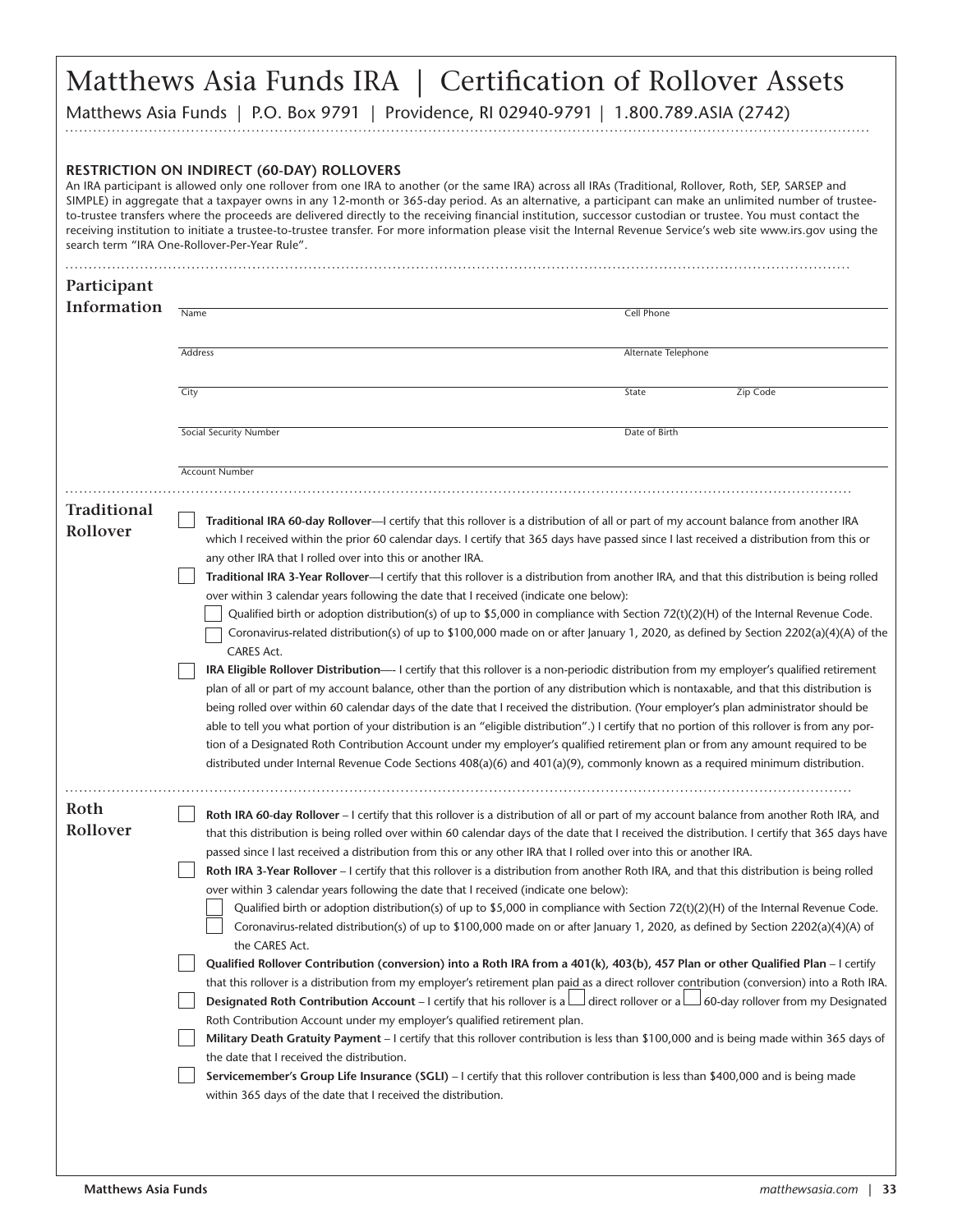# Matthews Asia Funds IRA | Certification of Rollover Assets

Matthews Asia Funds | P.O. Box 9791 | Providence, RI 02940-9791 | 1.800.789.ASIA (2742)

#### **RESTRICTION ON INDIRECT (60-DAY) ROLLOVERS**

An IRA participant is allowed only one rollover from one IRA to another (or the same IRA) across all IRAs (Traditional, Rollover, Roth, SEP, SARSEP and SIMPLE) in aggregate that a taxpayer owns in any 12-month or 365-day period. As an alternative, a participant can make an unlimited number of trusteeto-trustee transfers where the proceeds are delivered directly to the receiving financial institution, successor custodian or trustee. You must contact the receiving institution to initiate a trustee-to-trustee transfer. For more information please visit the Internal Revenue Service's web site www.irs.gov using the search term "IRA One-Rollover-Per-Year Rule".

| Address<br>Alternate Telephone<br>City<br>Zip Code<br>State<br>Social Security Number<br>Date of Birth<br><b>Account Number</b><br><b>Traditional</b><br>Traditional IRA 60-day Rollover-I certify that this rollover is a distribution of all or part of my account balance from another IRA<br>Rollover<br>which I received within the prior 60 calendar days. I certify that 365 days have passed since I last received a distribution from this or<br>any other IRA that I rolled over into this or another IRA.<br><b>Traditional IRA 3-Year Rollover</b> —I certify that this rollover is a distribution from another IRA, and that this distribution is being rolled<br>over within 3 calendar years following the date that I received (indicate one below):<br>Coronavirus-related distribution(s) of up to \$100,000 made on or after January 1, 2020, as defined by Section 2202(a)(4)(A) of the<br>CARES Act.<br><b>IRA Eligible Rollover Distribution—</b> I certify that this rollover is a non-periodic distribution from my employer's qualified retirement<br>plan of all or part of my account balance, other than the portion of any distribution which is nontaxable, and that this distribution is<br>being rolled over within 60 calendar days of the date that I received the distribution. (Your employer's plan administrator should be<br>able to tell you what portion of your distribution is an "eligible distribution".) I certify that no portion of this rollover is from any por-<br>tion of a Designated Roth Contribution Account under my employer's qualified retirement plan or from any amount required to be<br>distributed under Internal Revenue Code Sections $408(a)(6)$ and $401(a)(9)$ , commonly known as a required minimum distribution.<br>Roth<br>Roth IRA 60-day Rollover - I certify that this rollover is a distribution of all or part of my account balance from another Roth IRA, and<br>Rollover<br>that this distribution is being rolled over within 60 calendar days of the date that I received the distribution. I certify that 365 days have<br>passed since I last received a distribution from this or any other IRA that I rolled over into this or another IRA.<br><b>Roth IRA 3-Year Rollover</b> – I certify that this rollover is a distribution from another Roth IRA, and that this distribution is being rolled<br>over within 3 calendar years following the date that I received (indicate one below):<br>Qualified birth or adoption distribution(s) of up to \$5,000 in compliance with Section 72(t)(2)(H) of the Internal Revenue Code.<br>Coronavirus-related distribution(s) of up to \$100,000 made on or after January 1, 2020, as defined by Section 2202(a)(4)(A) of<br>the CARES Act.<br>Qualified Rollover Contribution (conversion) into a Roth IRA from a 401(k), 403(b), 457 Plan or other Qualified Plan - I certify<br>that this rollover is a distribution from my employer's retirement plan paid as a direct rollover contribution (conversion) into a Roth IRA.<br><b>Designated Roth Contribution Account</b> – I certify that his rollover is a $\Box$ direct rollover or a $\Box$ 60-day rollover from my Designated<br>Roth Contribution Account under my employer's qualified retirement plan.<br>Military Death Gratuity Payment - I certify that this rollover contribution is less than \$100,000 and is being made within 365 days of<br>the date that I received the distribution.<br>Servicemember's Group Life Insurance (SGLI) - I certify that this rollover contribution is less than \$400,000 and is being made<br>within 365 days of the date that I received the distribution. | Information |                                                                                                                                   | Cell Phone |  |  |
|----------------------------------------------------------------------------------------------------------------------------------------------------------------------------------------------------------------------------------------------------------------------------------------------------------------------------------------------------------------------------------------------------------------------------------------------------------------------------------------------------------------------------------------------------------------------------------------------------------------------------------------------------------------------------------------------------------------------------------------------------------------------------------------------------------------------------------------------------------------------------------------------------------------------------------------------------------------------------------------------------------------------------------------------------------------------------------------------------------------------------------------------------------------------------------------------------------------------------------------------------------------------------------------------------------------------------------------------------------------------------------------------------------------------------------------------------------------------------------------------------------------------------------------------------------------------------------------------------------------------------------------------------------------------------------------------------------------------------------------------------------------------------------------------------------------------------------------------------------------------------------------------------------------------------------------------------------------------------------------------------------------------------------------------------------------------------------------------------------------------------------------------------------------------------------------------------------------------------------------------------------------------------------------------------------------------------------------------------------------------------------------------------------------------------------------------------------------------------------------------------------------------------------------------------------------------------------------------------------------------------------------------------------------------------------------------------------------------------------------------------------------------------------------------------------------------------------------------------------------------------------------------------------------------------------------------------------------------------------------------------------------------------------------------------------------------------------------------------------------------------------------------------------------------------------------------------------------------------------------------------------------------------------------------------------------------------------------------------------------------------------------------------------------------------------------------------------------------------------------------------------------------------------------------------------------------------------------------------------------------------------------------------------------------------------------------------|-------------|-----------------------------------------------------------------------------------------------------------------------------------|------------|--|--|
|                                                                                                                                                                                                                                                                                                                                                                                                                                                                                                                                                                                                                                                                                                                                                                                                                                                                                                                                                                                                                                                                                                                                                                                                                                                                                                                                                                                                                                                                                                                                                                                                                                                                                                                                                                                                                                                                                                                                                                                                                                                                                                                                                                                                                                                                                                                                                                                                                                                                                                                                                                                                                                                                                                                                                                                                                                                                                                                                                                                                                                                                                                                                                                                                                                                                                                                                                                                                                                                                                                                                                                                                                                                                                                    |             | Name                                                                                                                              |            |  |  |
|                                                                                                                                                                                                                                                                                                                                                                                                                                                                                                                                                                                                                                                                                                                                                                                                                                                                                                                                                                                                                                                                                                                                                                                                                                                                                                                                                                                                                                                                                                                                                                                                                                                                                                                                                                                                                                                                                                                                                                                                                                                                                                                                                                                                                                                                                                                                                                                                                                                                                                                                                                                                                                                                                                                                                                                                                                                                                                                                                                                                                                                                                                                                                                                                                                                                                                                                                                                                                                                                                                                                                                                                                                                                                                    |             |                                                                                                                                   |            |  |  |
|                                                                                                                                                                                                                                                                                                                                                                                                                                                                                                                                                                                                                                                                                                                                                                                                                                                                                                                                                                                                                                                                                                                                                                                                                                                                                                                                                                                                                                                                                                                                                                                                                                                                                                                                                                                                                                                                                                                                                                                                                                                                                                                                                                                                                                                                                                                                                                                                                                                                                                                                                                                                                                                                                                                                                                                                                                                                                                                                                                                                                                                                                                                                                                                                                                                                                                                                                                                                                                                                                                                                                                                                                                                                                                    |             |                                                                                                                                   |            |  |  |
|                                                                                                                                                                                                                                                                                                                                                                                                                                                                                                                                                                                                                                                                                                                                                                                                                                                                                                                                                                                                                                                                                                                                                                                                                                                                                                                                                                                                                                                                                                                                                                                                                                                                                                                                                                                                                                                                                                                                                                                                                                                                                                                                                                                                                                                                                                                                                                                                                                                                                                                                                                                                                                                                                                                                                                                                                                                                                                                                                                                                                                                                                                                                                                                                                                                                                                                                                                                                                                                                                                                                                                                                                                                                                                    |             |                                                                                                                                   |            |  |  |
|                                                                                                                                                                                                                                                                                                                                                                                                                                                                                                                                                                                                                                                                                                                                                                                                                                                                                                                                                                                                                                                                                                                                                                                                                                                                                                                                                                                                                                                                                                                                                                                                                                                                                                                                                                                                                                                                                                                                                                                                                                                                                                                                                                                                                                                                                                                                                                                                                                                                                                                                                                                                                                                                                                                                                                                                                                                                                                                                                                                                                                                                                                                                                                                                                                                                                                                                                                                                                                                                                                                                                                                                                                                                                                    |             |                                                                                                                                   |            |  |  |
|                                                                                                                                                                                                                                                                                                                                                                                                                                                                                                                                                                                                                                                                                                                                                                                                                                                                                                                                                                                                                                                                                                                                                                                                                                                                                                                                                                                                                                                                                                                                                                                                                                                                                                                                                                                                                                                                                                                                                                                                                                                                                                                                                                                                                                                                                                                                                                                                                                                                                                                                                                                                                                                                                                                                                                                                                                                                                                                                                                                                                                                                                                                                                                                                                                                                                                                                                                                                                                                                                                                                                                                                                                                                                                    |             |                                                                                                                                   |            |  |  |
|                                                                                                                                                                                                                                                                                                                                                                                                                                                                                                                                                                                                                                                                                                                                                                                                                                                                                                                                                                                                                                                                                                                                                                                                                                                                                                                                                                                                                                                                                                                                                                                                                                                                                                                                                                                                                                                                                                                                                                                                                                                                                                                                                                                                                                                                                                                                                                                                                                                                                                                                                                                                                                                                                                                                                                                                                                                                                                                                                                                                                                                                                                                                                                                                                                                                                                                                                                                                                                                                                                                                                                                                                                                                                                    |             |                                                                                                                                   |            |  |  |
|                                                                                                                                                                                                                                                                                                                                                                                                                                                                                                                                                                                                                                                                                                                                                                                                                                                                                                                                                                                                                                                                                                                                                                                                                                                                                                                                                                                                                                                                                                                                                                                                                                                                                                                                                                                                                                                                                                                                                                                                                                                                                                                                                                                                                                                                                                                                                                                                                                                                                                                                                                                                                                                                                                                                                                                                                                                                                                                                                                                                                                                                                                                                                                                                                                                                                                                                                                                                                                                                                                                                                                                                                                                                                                    |             |                                                                                                                                   |            |  |  |
|                                                                                                                                                                                                                                                                                                                                                                                                                                                                                                                                                                                                                                                                                                                                                                                                                                                                                                                                                                                                                                                                                                                                                                                                                                                                                                                                                                                                                                                                                                                                                                                                                                                                                                                                                                                                                                                                                                                                                                                                                                                                                                                                                                                                                                                                                                                                                                                                                                                                                                                                                                                                                                                                                                                                                                                                                                                                                                                                                                                                                                                                                                                                                                                                                                                                                                                                                                                                                                                                                                                                                                                                                                                                                                    |             |                                                                                                                                   |            |  |  |
|                                                                                                                                                                                                                                                                                                                                                                                                                                                                                                                                                                                                                                                                                                                                                                                                                                                                                                                                                                                                                                                                                                                                                                                                                                                                                                                                                                                                                                                                                                                                                                                                                                                                                                                                                                                                                                                                                                                                                                                                                                                                                                                                                                                                                                                                                                                                                                                                                                                                                                                                                                                                                                                                                                                                                                                                                                                                                                                                                                                                                                                                                                                                                                                                                                                                                                                                                                                                                                                                                                                                                                                                                                                                                                    |             |                                                                                                                                   |            |  |  |
|                                                                                                                                                                                                                                                                                                                                                                                                                                                                                                                                                                                                                                                                                                                                                                                                                                                                                                                                                                                                                                                                                                                                                                                                                                                                                                                                                                                                                                                                                                                                                                                                                                                                                                                                                                                                                                                                                                                                                                                                                                                                                                                                                                                                                                                                                                                                                                                                                                                                                                                                                                                                                                                                                                                                                                                                                                                                                                                                                                                                                                                                                                                                                                                                                                                                                                                                                                                                                                                                                                                                                                                                                                                                                                    |             |                                                                                                                                   |            |  |  |
|                                                                                                                                                                                                                                                                                                                                                                                                                                                                                                                                                                                                                                                                                                                                                                                                                                                                                                                                                                                                                                                                                                                                                                                                                                                                                                                                                                                                                                                                                                                                                                                                                                                                                                                                                                                                                                                                                                                                                                                                                                                                                                                                                                                                                                                                                                                                                                                                                                                                                                                                                                                                                                                                                                                                                                                                                                                                                                                                                                                                                                                                                                                                                                                                                                                                                                                                                                                                                                                                                                                                                                                                                                                                                                    |             |                                                                                                                                   |            |  |  |
|                                                                                                                                                                                                                                                                                                                                                                                                                                                                                                                                                                                                                                                                                                                                                                                                                                                                                                                                                                                                                                                                                                                                                                                                                                                                                                                                                                                                                                                                                                                                                                                                                                                                                                                                                                                                                                                                                                                                                                                                                                                                                                                                                                                                                                                                                                                                                                                                                                                                                                                                                                                                                                                                                                                                                                                                                                                                                                                                                                                                                                                                                                                                                                                                                                                                                                                                                                                                                                                                                                                                                                                                                                                                                                    |             | Qualified birth or adoption distribution(s) of up to \$5,000 in compliance with Section 72(t)(2)(H) of the Internal Revenue Code. |            |  |  |
|                                                                                                                                                                                                                                                                                                                                                                                                                                                                                                                                                                                                                                                                                                                                                                                                                                                                                                                                                                                                                                                                                                                                                                                                                                                                                                                                                                                                                                                                                                                                                                                                                                                                                                                                                                                                                                                                                                                                                                                                                                                                                                                                                                                                                                                                                                                                                                                                                                                                                                                                                                                                                                                                                                                                                                                                                                                                                                                                                                                                                                                                                                                                                                                                                                                                                                                                                                                                                                                                                                                                                                                                                                                                                                    |             |                                                                                                                                   |            |  |  |
|                                                                                                                                                                                                                                                                                                                                                                                                                                                                                                                                                                                                                                                                                                                                                                                                                                                                                                                                                                                                                                                                                                                                                                                                                                                                                                                                                                                                                                                                                                                                                                                                                                                                                                                                                                                                                                                                                                                                                                                                                                                                                                                                                                                                                                                                                                                                                                                                                                                                                                                                                                                                                                                                                                                                                                                                                                                                                                                                                                                                                                                                                                                                                                                                                                                                                                                                                                                                                                                                                                                                                                                                                                                                                                    |             |                                                                                                                                   |            |  |  |
|                                                                                                                                                                                                                                                                                                                                                                                                                                                                                                                                                                                                                                                                                                                                                                                                                                                                                                                                                                                                                                                                                                                                                                                                                                                                                                                                                                                                                                                                                                                                                                                                                                                                                                                                                                                                                                                                                                                                                                                                                                                                                                                                                                                                                                                                                                                                                                                                                                                                                                                                                                                                                                                                                                                                                                                                                                                                                                                                                                                                                                                                                                                                                                                                                                                                                                                                                                                                                                                                                                                                                                                                                                                                                                    |             |                                                                                                                                   |            |  |  |
|                                                                                                                                                                                                                                                                                                                                                                                                                                                                                                                                                                                                                                                                                                                                                                                                                                                                                                                                                                                                                                                                                                                                                                                                                                                                                                                                                                                                                                                                                                                                                                                                                                                                                                                                                                                                                                                                                                                                                                                                                                                                                                                                                                                                                                                                                                                                                                                                                                                                                                                                                                                                                                                                                                                                                                                                                                                                                                                                                                                                                                                                                                                                                                                                                                                                                                                                                                                                                                                                                                                                                                                                                                                                                                    |             |                                                                                                                                   |            |  |  |
|                                                                                                                                                                                                                                                                                                                                                                                                                                                                                                                                                                                                                                                                                                                                                                                                                                                                                                                                                                                                                                                                                                                                                                                                                                                                                                                                                                                                                                                                                                                                                                                                                                                                                                                                                                                                                                                                                                                                                                                                                                                                                                                                                                                                                                                                                                                                                                                                                                                                                                                                                                                                                                                                                                                                                                                                                                                                                                                                                                                                                                                                                                                                                                                                                                                                                                                                                                                                                                                                                                                                                                                                                                                                                                    |             |                                                                                                                                   |            |  |  |
|                                                                                                                                                                                                                                                                                                                                                                                                                                                                                                                                                                                                                                                                                                                                                                                                                                                                                                                                                                                                                                                                                                                                                                                                                                                                                                                                                                                                                                                                                                                                                                                                                                                                                                                                                                                                                                                                                                                                                                                                                                                                                                                                                                                                                                                                                                                                                                                                                                                                                                                                                                                                                                                                                                                                                                                                                                                                                                                                                                                                                                                                                                                                                                                                                                                                                                                                                                                                                                                                                                                                                                                                                                                                                                    |             |                                                                                                                                   |            |  |  |
|                                                                                                                                                                                                                                                                                                                                                                                                                                                                                                                                                                                                                                                                                                                                                                                                                                                                                                                                                                                                                                                                                                                                                                                                                                                                                                                                                                                                                                                                                                                                                                                                                                                                                                                                                                                                                                                                                                                                                                                                                                                                                                                                                                                                                                                                                                                                                                                                                                                                                                                                                                                                                                                                                                                                                                                                                                                                                                                                                                                                                                                                                                                                                                                                                                                                                                                                                                                                                                                                                                                                                                                                                                                                                                    |             |                                                                                                                                   |            |  |  |
|                                                                                                                                                                                                                                                                                                                                                                                                                                                                                                                                                                                                                                                                                                                                                                                                                                                                                                                                                                                                                                                                                                                                                                                                                                                                                                                                                                                                                                                                                                                                                                                                                                                                                                                                                                                                                                                                                                                                                                                                                                                                                                                                                                                                                                                                                                                                                                                                                                                                                                                                                                                                                                                                                                                                                                                                                                                                                                                                                                                                                                                                                                                                                                                                                                                                                                                                                                                                                                                                                                                                                                                                                                                                                                    |             |                                                                                                                                   |            |  |  |
|                                                                                                                                                                                                                                                                                                                                                                                                                                                                                                                                                                                                                                                                                                                                                                                                                                                                                                                                                                                                                                                                                                                                                                                                                                                                                                                                                                                                                                                                                                                                                                                                                                                                                                                                                                                                                                                                                                                                                                                                                                                                                                                                                                                                                                                                                                                                                                                                                                                                                                                                                                                                                                                                                                                                                                                                                                                                                                                                                                                                                                                                                                                                                                                                                                                                                                                                                                                                                                                                                                                                                                                                                                                                                                    |             |                                                                                                                                   |            |  |  |
|                                                                                                                                                                                                                                                                                                                                                                                                                                                                                                                                                                                                                                                                                                                                                                                                                                                                                                                                                                                                                                                                                                                                                                                                                                                                                                                                                                                                                                                                                                                                                                                                                                                                                                                                                                                                                                                                                                                                                                                                                                                                                                                                                                                                                                                                                                                                                                                                                                                                                                                                                                                                                                                                                                                                                                                                                                                                                                                                                                                                                                                                                                                                                                                                                                                                                                                                                                                                                                                                                                                                                                                                                                                                                                    |             |                                                                                                                                   |            |  |  |
|                                                                                                                                                                                                                                                                                                                                                                                                                                                                                                                                                                                                                                                                                                                                                                                                                                                                                                                                                                                                                                                                                                                                                                                                                                                                                                                                                                                                                                                                                                                                                                                                                                                                                                                                                                                                                                                                                                                                                                                                                                                                                                                                                                                                                                                                                                                                                                                                                                                                                                                                                                                                                                                                                                                                                                                                                                                                                                                                                                                                                                                                                                                                                                                                                                                                                                                                                                                                                                                                                                                                                                                                                                                                                                    |             |                                                                                                                                   |            |  |  |
|                                                                                                                                                                                                                                                                                                                                                                                                                                                                                                                                                                                                                                                                                                                                                                                                                                                                                                                                                                                                                                                                                                                                                                                                                                                                                                                                                                                                                                                                                                                                                                                                                                                                                                                                                                                                                                                                                                                                                                                                                                                                                                                                                                                                                                                                                                                                                                                                                                                                                                                                                                                                                                                                                                                                                                                                                                                                                                                                                                                                                                                                                                                                                                                                                                                                                                                                                                                                                                                                                                                                                                                                                                                                                                    |             |                                                                                                                                   |            |  |  |
|                                                                                                                                                                                                                                                                                                                                                                                                                                                                                                                                                                                                                                                                                                                                                                                                                                                                                                                                                                                                                                                                                                                                                                                                                                                                                                                                                                                                                                                                                                                                                                                                                                                                                                                                                                                                                                                                                                                                                                                                                                                                                                                                                                                                                                                                                                                                                                                                                                                                                                                                                                                                                                                                                                                                                                                                                                                                                                                                                                                                                                                                                                                                                                                                                                                                                                                                                                                                                                                                                                                                                                                                                                                                                                    |             |                                                                                                                                   |            |  |  |
|                                                                                                                                                                                                                                                                                                                                                                                                                                                                                                                                                                                                                                                                                                                                                                                                                                                                                                                                                                                                                                                                                                                                                                                                                                                                                                                                                                                                                                                                                                                                                                                                                                                                                                                                                                                                                                                                                                                                                                                                                                                                                                                                                                                                                                                                                                                                                                                                                                                                                                                                                                                                                                                                                                                                                                                                                                                                                                                                                                                                                                                                                                                                                                                                                                                                                                                                                                                                                                                                                                                                                                                                                                                                                                    |             |                                                                                                                                   |            |  |  |
|                                                                                                                                                                                                                                                                                                                                                                                                                                                                                                                                                                                                                                                                                                                                                                                                                                                                                                                                                                                                                                                                                                                                                                                                                                                                                                                                                                                                                                                                                                                                                                                                                                                                                                                                                                                                                                                                                                                                                                                                                                                                                                                                                                                                                                                                                                                                                                                                                                                                                                                                                                                                                                                                                                                                                                                                                                                                                                                                                                                                                                                                                                                                                                                                                                                                                                                                                                                                                                                                                                                                                                                                                                                                                                    |             |                                                                                                                                   |            |  |  |
|                                                                                                                                                                                                                                                                                                                                                                                                                                                                                                                                                                                                                                                                                                                                                                                                                                                                                                                                                                                                                                                                                                                                                                                                                                                                                                                                                                                                                                                                                                                                                                                                                                                                                                                                                                                                                                                                                                                                                                                                                                                                                                                                                                                                                                                                                                                                                                                                                                                                                                                                                                                                                                                                                                                                                                                                                                                                                                                                                                                                                                                                                                                                                                                                                                                                                                                                                                                                                                                                                                                                                                                                                                                                                                    |             |                                                                                                                                   |            |  |  |
|                                                                                                                                                                                                                                                                                                                                                                                                                                                                                                                                                                                                                                                                                                                                                                                                                                                                                                                                                                                                                                                                                                                                                                                                                                                                                                                                                                                                                                                                                                                                                                                                                                                                                                                                                                                                                                                                                                                                                                                                                                                                                                                                                                                                                                                                                                                                                                                                                                                                                                                                                                                                                                                                                                                                                                                                                                                                                                                                                                                                                                                                                                                                                                                                                                                                                                                                                                                                                                                                                                                                                                                                                                                                                                    |             |                                                                                                                                   |            |  |  |
|                                                                                                                                                                                                                                                                                                                                                                                                                                                                                                                                                                                                                                                                                                                                                                                                                                                                                                                                                                                                                                                                                                                                                                                                                                                                                                                                                                                                                                                                                                                                                                                                                                                                                                                                                                                                                                                                                                                                                                                                                                                                                                                                                                                                                                                                                                                                                                                                                                                                                                                                                                                                                                                                                                                                                                                                                                                                                                                                                                                                                                                                                                                                                                                                                                                                                                                                                                                                                                                                                                                                                                                                                                                                                                    |             |                                                                                                                                   |            |  |  |
|                                                                                                                                                                                                                                                                                                                                                                                                                                                                                                                                                                                                                                                                                                                                                                                                                                                                                                                                                                                                                                                                                                                                                                                                                                                                                                                                                                                                                                                                                                                                                                                                                                                                                                                                                                                                                                                                                                                                                                                                                                                                                                                                                                                                                                                                                                                                                                                                                                                                                                                                                                                                                                                                                                                                                                                                                                                                                                                                                                                                                                                                                                                                                                                                                                                                                                                                                                                                                                                                                                                                                                                                                                                                                                    |             |                                                                                                                                   |            |  |  |
|                                                                                                                                                                                                                                                                                                                                                                                                                                                                                                                                                                                                                                                                                                                                                                                                                                                                                                                                                                                                                                                                                                                                                                                                                                                                                                                                                                                                                                                                                                                                                                                                                                                                                                                                                                                                                                                                                                                                                                                                                                                                                                                                                                                                                                                                                                                                                                                                                                                                                                                                                                                                                                                                                                                                                                                                                                                                                                                                                                                                                                                                                                                                                                                                                                                                                                                                                                                                                                                                                                                                                                                                                                                                                                    |             |                                                                                                                                   |            |  |  |
|                                                                                                                                                                                                                                                                                                                                                                                                                                                                                                                                                                                                                                                                                                                                                                                                                                                                                                                                                                                                                                                                                                                                                                                                                                                                                                                                                                                                                                                                                                                                                                                                                                                                                                                                                                                                                                                                                                                                                                                                                                                                                                                                                                                                                                                                                                                                                                                                                                                                                                                                                                                                                                                                                                                                                                                                                                                                                                                                                                                                                                                                                                                                                                                                                                                                                                                                                                                                                                                                                                                                                                                                                                                                                                    |             |                                                                                                                                   |            |  |  |
|                                                                                                                                                                                                                                                                                                                                                                                                                                                                                                                                                                                                                                                                                                                                                                                                                                                                                                                                                                                                                                                                                                                                                                                                                                                                                                                                                                                                                                                                                                                                                                                                                                                                                                                                                                                                                                                                                                                                                                                                                                                                                                                                                                                                                                                                                                                                                                                                                                                                                                                                                                                                                                                                                                                                                                                                                                                                                                                                                                                                                                                                                                                                                                                                                                                                                                                                                                                                                                                                                                                                                                                                                                                                                                    |             |                                                                                                                                   |            |  |  |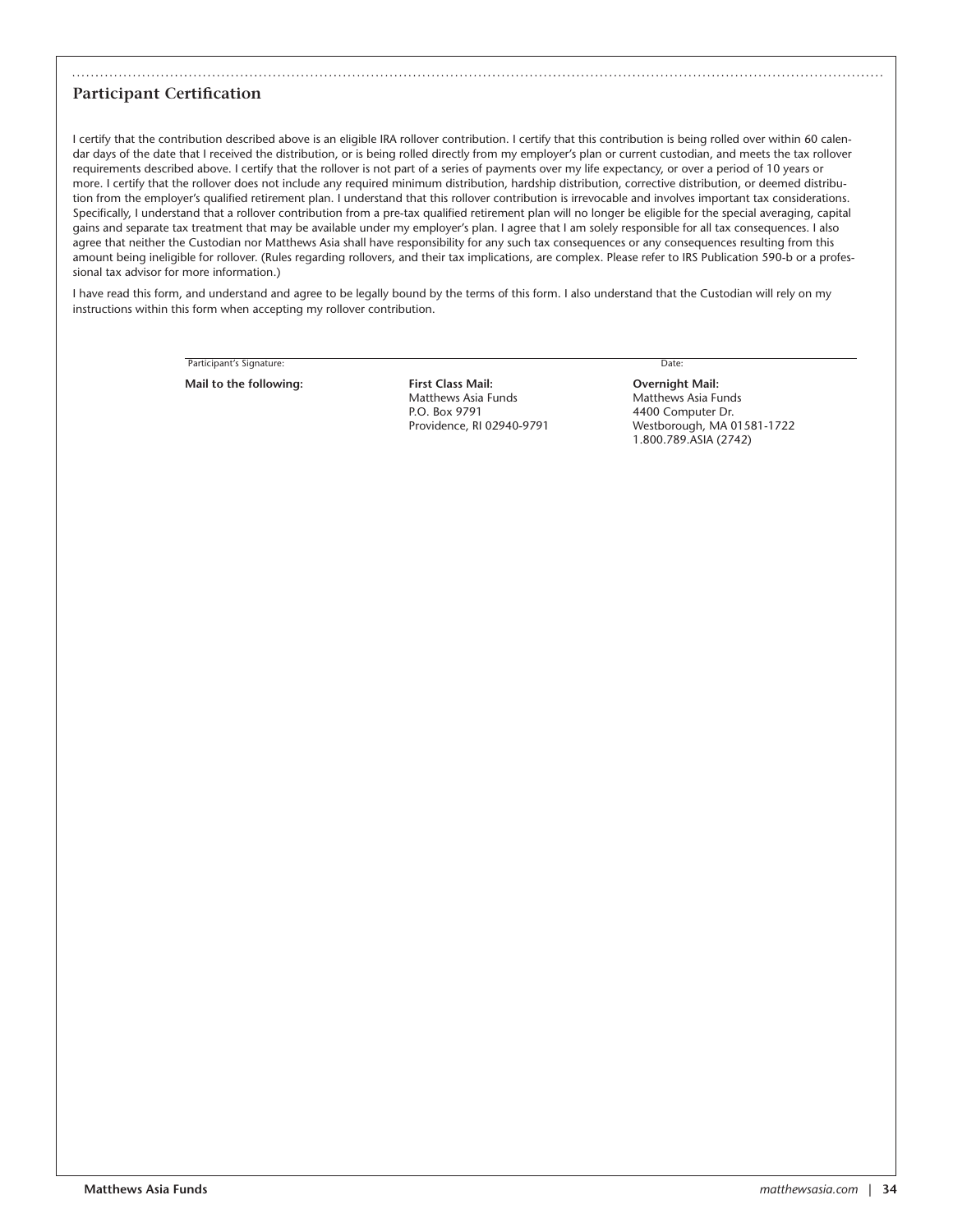### **Participant Certification**

I certify that the contribution described above is an eligible IRA rollover contribution. I certify that this contribution is being rolled over within 60 calendar days of the date that I received the distribution, or is being rolled directly from my employer's plan or current custodian, and meets the tax rollover requirements described above. I certify that the rollover is not part of a series of payments over my life expectancy, or over a period of 10 years or more. I certify that the rollover does not include any required minimum distribution, hardship distribution, corrective distribution, or deemed distribution from the employer's qualified retirement plan. I understand that this rollover contribution is irrevocable and involves important tax considerations. Specifically, I understand that a rollover contribution from a pre-tax qualified retirement plan will no longer be eligible for the special averaging, capital gains and separate tax treatment that may be available under my employer's plan. I agree that I am solely responsible for all tax consequences. I also agree that neither the Custodian nor Matthews Asia shall have responsibility for any such tax consequences or any consequences resulting from this amount being ineligible for rollover. (Rules regarding rollovers, and their tax implications, are complex. Please refer to IRS Publication 590-b or a professional tax advisor for more information.)

I have read this form, and understand and agree to be legally bound by the terms of this form. I also understand that the Custodian will rely on my instructions within this form when accepting my rollover contribution.

Participant's Signature: Date:

**Mail to the following: First Class Mail: Overnight Mail:** Matthews Asia Funds Matthews Asia Funds P.O. Box 9791 4400 Computer Dr.

Providence, RI 02940-9791 Westborough, MA 01581-1722 1.800.789.ASIA (2742)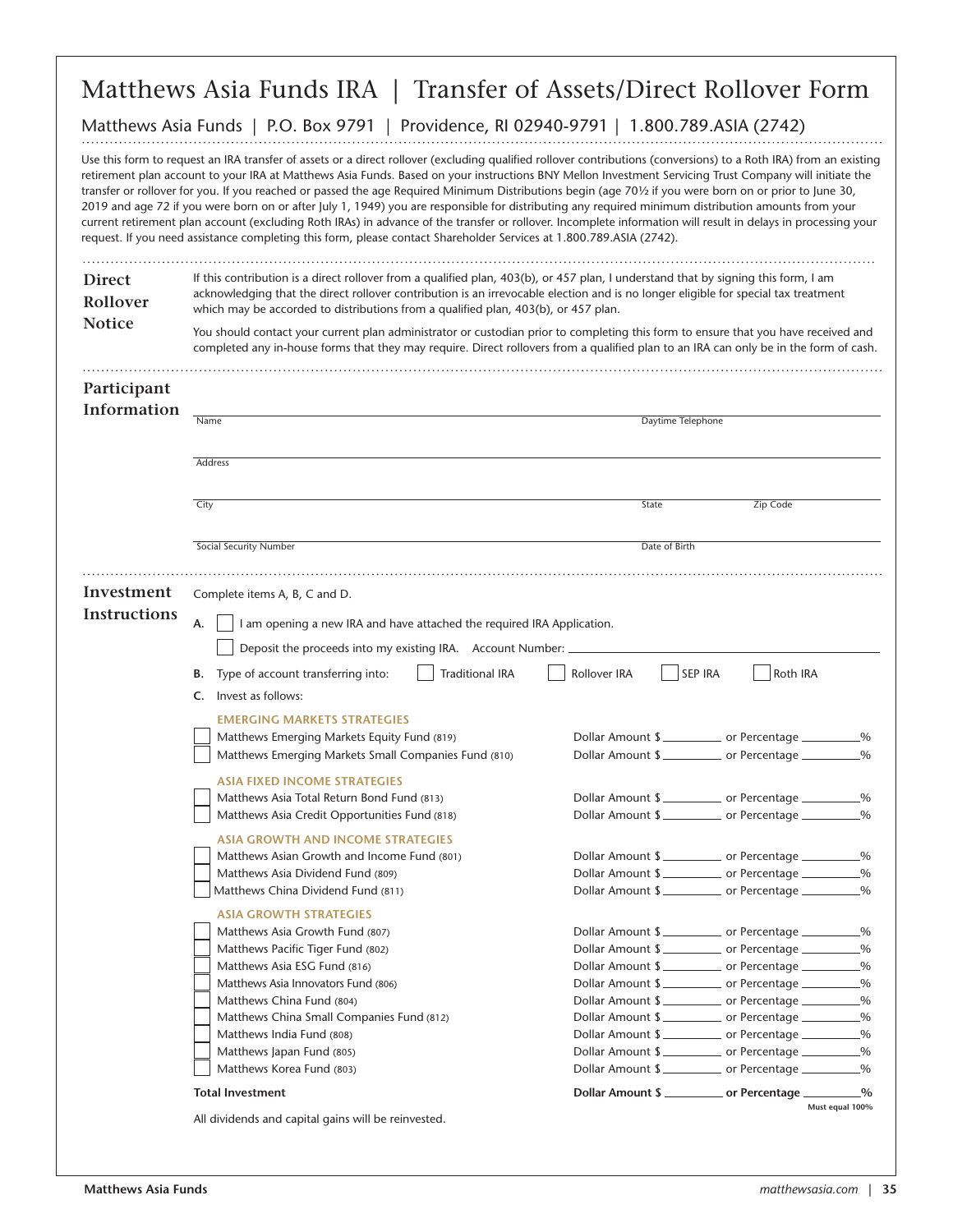### Matthews Asia Funds IRA | Transfer of Assets/Direct Rollover Form

#### Matthews Asia Funds | P.O. Box 9791 | Providence, RI 02940-9791 | 1.800.789.ASIA (2742)

Use this form to request an IRA transfer of assets or a direct rollover (excluding qualified rollover contributions (conversions) to a Roth IRA) from an existing retirement plan account to your IRA at Matthews Asia Funds. Based on your instructions BNY Mellon Investment Servicing Trust Company will initiate the transfer or rollover for you. If you reached or passed the age Required Minimum Distributions begin (age 70½ if you were born on or prior to June 30, 2019 and age 72 if you were born on or after July 1, 1949) you are responsible for distributing any required minimum distribution amounts from your current retirement plan account (excluding Roth IRAs) in advance of the transfer or rollover. Incomplete information will result in delays in processing your request. If you need assistance completing this form, please contact Shareholder Services at 1.800.789.ASIA (2742).

| <b>Direct</b><br>Rollover<br><b>Notice</b> | If this contribution is a direct rollover from a qualified plan, 403(b), or 457 plan, I understand that by signing this form, I am<br>acknowledging that the direct rollover contribution is an irrevocable election and is no longer eligible for special tax treatment<br>which may be accorded to distributions from a qualified plan, 403(b), or 457 plan. |                   |                                      |                 |
|--------------------------------------------|----------------------------------------------------------------------------------------------------------------------------------------------------------------------------------------------------------------------------------------------------------------------------------------------------------------------------------------------------------------|-------------------|--------------------------------------|-----------------|
|                                            | You should contact your current plan administrator or custodian prior to completing this form to ensure that you have received and<br>completed any in-house forms that they may require. Direct rollovers from a qualified plan to an IRA can only be in the form of cash.                                                                                    |                   |                                      |                 |
| Participant                                |                                                                                                                                                                                                                                                                                                                                                                |                   |                                      |                 |
| Information                                | Name                                                                                                                                                                                                                                                                                                                                                           | Daytime Telephone |                                      |                 |
|                                            | Address                                                                                                                                                                                                                                                                                                                                                        |                   |                                      |                 |
|                                            | City                                                                                                                                                                                                                                                                                                                                                           | State             | Zip Code                             |                 |
|                                            | Social Security Number                                                                                                                                                                                                                                                                                                                                         | Date of Birth     |                                      |                 |
| Investment                                 | Complete items A, B, C and D.                                                                                                                                                                                                                                                                                                                                  |                   |                                      |                 |
| <b>Instructions</b>                        | А.<br>I am opening a new IRA and have attached the required IRA Application.<br>Deposit the proceeds into my existing IRA. Account Number:                                                                                                                                                                                                                     |                   |                                      |                 |
|                                            | <b>Traditional IRA</b><br>Type of account transferring into:<br>В.                                                                                                                                                                                                                                                                                             | Rollover IRA      | <b>SEP IRA</b><br>Roth IRA           |                 |
|                                            | Invest as follows:<br>C.                                                                                                                                                                                                                                                                                                                                       |                   |                                      |                 |
|                                            | <b>EMERGING MARKETS STRATEGIES</b>                                                                                                                                                                                                                                                                                                                             |                   |                                      |                 |
|                                            | Matthews Emerging Markets Equity Fund (819)                                                                                                                                                                                                                                                                                                                    |                   | Dollar Amount \$                     |                 |
|                                            | Matthews Emerging Markets Small Companies Fund (810)                                                                                                                                                                                                                                                                                                           |                   | Dollar Amount \$                     |                 |
|                                            | <b>ASIA FIXED INCOME STRATEGIES</b>                                                                                                                                                                                                                                                                                                                            |                   |                                      |                 |
|                                            | Matthews Asia Total Return Bond Fund (813)                                                                                                                                                                                                                                                                                                                     |                   | Dollar Amount \$                     |                 |
|                                            | Matthews Asia Credit Opportunities Fund (818)                                                                                                                                                                                                                                                                                                                  |                   | Dollar Amount \$                     |                 |
|                                            | <b>ASIA GROWTH AND INCOME STRATEGIES</b>                                                                                                                                                                                                                                                                                                                       |                   |                                      |                 |
|                                            | Matthews Asian Growth and Income Fund (801)                                                                                                                                                                                                                                                                                                                    |                   | Dollar Amount \$                     |                 |
|                                            | Matthews Asia Dividend Fund (809)                                                                                                                                                                                                                                                                                                                              |                   | Dollar Amount \$                     |                 |
|                                            | Matthews China Dividend Fund (811)                                                                                                                                                                                                                                                                                                                             |                   | Dollar Amount \$                     |                 |
|                                            | <b>ASIA GROWTH STRATEGIES</b>                                                                                                                                                                                                                                                                                                                                  |                   |                                      |                 |
|                                            | Matthews Asia Growth Fund (807)                                                                                                                                                                                                                                                                                                                                |                   | Dollar Amount \$                     | -%              |
|                                            | Matthews Pacific Tiger Fund (802)<br>Matthews Asia ESG Fund (816)                                                                                                                                                                                                                                                                                              |                   | Dollar Amount \$<br>Dollar Amount \$ | .%              |
|                                            | Matthews Asia Innovators Fund (806)                                                                                                                                                                                                                                                                                                                            |                   | Dollar Amount \$                     |                 |
|                                            | Matthews China Fund (804)                                                                                                                                                                                                                                                                                                                                      |                   | Dollar Amount \$                     |                 |
|                                            | Matthews China Small Companies Fund (812)                                                                                                                                                                                                                                                                                                                      |                   | Dollar Amount \$                     |                 |
|                                            | Matthews India Fund (808)                                                                                                                                                                                                                                                                                                                                      |                   | Dollar Amount \$                     |                 |
|                                            | Matthews Japan Fund (805)                                                                                                                                                                                                                                                                                                                                      |                   | Dollar Amount \$                     |                 |
|                                            | Matthews Korea Fund (803)                                                                                                                                                                                                                                                                                                                                      |                   | Dollar Amount \$                     |                 |
|                                            | <b>Total Investment</b>                                                                                                                                                                                                                                                                                                                                        |                   | Dollar Amount \$                     | Must equal 100% |
|                                            | All dividends and capital gains will be reinvested.                                                                                                                                                                                                                                                                                                            |                   |                                      |                 |

. . . ..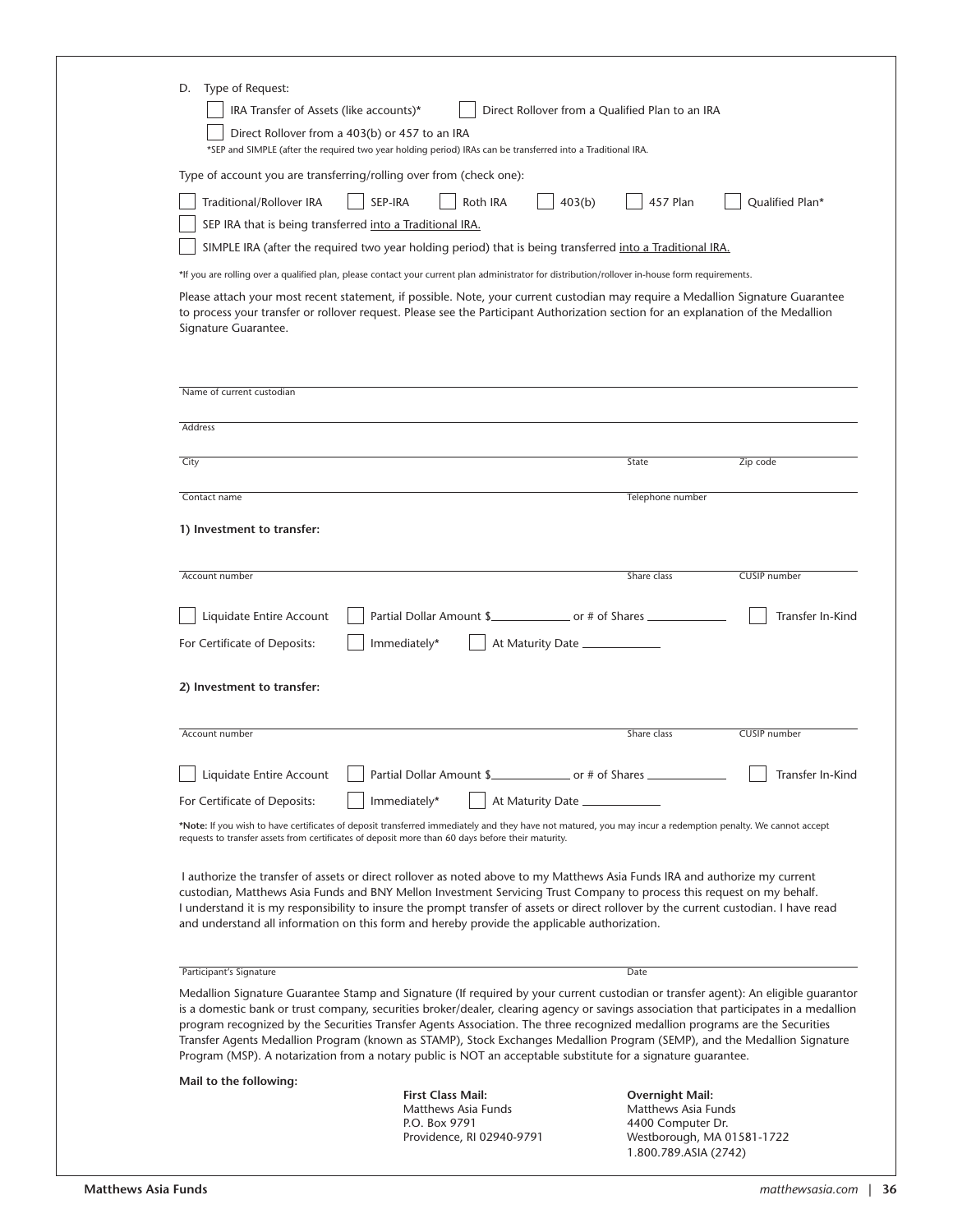| Type of Request:<br>D.<br>IRA Transfer of Assets (like accounts)*<br>Direct Rollover from a 403(b) or 457 to an IRA                                                                                                                                                                                                                                                                                                                                                                                                                                                                                                                                        | *SEP and SIMPLE (after the required two year holding period) IRAs can be transferred into a Traditional IRA. | Direct Rollover from a Qualified Plan to an IRA                                           |                                  |
|------------------------------------------------------------------------------------------------------------------------------------------------------------------------------------------------------------------------------------------------------------------------------------------------------------------------------------------------------------------------------------------------------------------------------------------------------------------------------------------------------------------------------------------------------------------------------------------------------------------------------------------------------------|--------------------------------------------------------------------------------------------------------------|-------------------------------------------------------------------------------------------|----------------------------------|
| Type of account you are transferring/rolling over from (check one):<br>Traditional/Rollover IRA<br>SEP IRA that is being transferred into a Traditional IRA.                                                                                                                                                                                                                                                                                                                                                                                                                                                                                               | SEP-IRA<br>Roth IRA                                                                                          | 403(b)<br>457 Plan                                                                        | Qualified Plan*                  |
|                                                                                                                                                                                                                                                                                                                                                                                                                                                                                                                                                                                                                                                            | SIMPLE IRA (after the required two year holding period) that is being transferred into a Traditional IRA.    |                                                                                           |                                  |
| *If you are rolling over a qualified plan, please contact your current plan administrator for distribution/rollover in-house form requirements.<br>Please attach your most recent statement, if possible. Note, your current custodian may require a Medallion Signature Guarantee<br>to process your transfer or rollover request. Please see the Participant Authorization section for an explanation of the Medallion<br>Signature Guarantee.                                                                                                                                                                                                           |                                                                                                              |                                                                                           |                                  |
| Name of current custodian                                                                                                                                                                                                                                                                                                                                                                                                                                                                                                                                                                                                                                  |                                                                                                              |                                                                                           |                                  |
| Address                                                                                                                                                                                                                                                                                                                                                                                                                                                                                                                                                                                                                                                    |                                                                                                              |                                                                                           |                                  |
| City                                                                                                                                                                                                                                                                                                                                                                                                                                                                                                                                                                                                                                                       |                                                                                                              | State                                                                                     | Zip code                         |
| Contact name                                                                                                                                                                                                                                                                                                                                                                                                                                                                                                                                                                                                                                               |                                                                                                              | Telephone number                                                                          |                                  |
| Account number<br>Liquidate Entire Account<br>For Certificate of Deposits:                                                                                                                                                                                                                                                                                                                                                                                                                                                                                                                                                                                 | Partial Dollar Amount \$<br>Immediately*                                                                     | Share class<br>At Maturity Date ______________                                            | CUSIP number<br>Transfer In-Kind |
| 2) Investment to transfer:                                                                                                                                                                                                                                                                                                                                                                                                                                                                                                                                                                                                                                 |                                                                                                              |                                                                                           |                                  |
| Account number                                                                                                                                                                                                                                                                                                                                                                                                                                                                                                                                                                                                                                             |                                                                                                              | Share class                                                                               | CUSIP number                     |
| Liquidate Entire Account                                                                                                                                                                                                                                                                                                                                                                                                                                                                                                                                                                                                                                   | Partial Dollar Amount \$                                                                                     | ____________________ or # of Shares __________                                            | Transfer In-Kind                 |
| For Certificate of Deposits:<br>*Note: If you wish to have certificates of deposit transferred immediately and they have not matured, you may incur a redemption penalty. We cannot accept<br>requests to transfer assets from certificates of deposit more than 60 days before their maturity.                                                                                                                                                                                                                                                                                                                                                            | Immediately*                                                                                                 | At Maturity Date                                                                          |                                  |
| I authorize the transfer of assets or direct rollover as noted above to my Matthews Asia Funds IRA and authorize my current<br>custodian, Matthews Asia Funds and BNY Mellon Investment Servicing Trust Company to process this request on my behalf.<br>I understand it is my responsibility to insure the prompt transfer of assets or direct rollover by the current custodian. I have read<br>and understand all information on this form and hereby provide the applicable authorization.                                                                                                                                                             |                                                                                                              |                                                                                           |                                  |
| Participant's Signature                                                                                                                                                                                                                                                                                                                                                                                                                                                                                                                                                                                                                                    |                                                                                                              | Date                                                                                      |                                  |
| Medallion Signature Guarantee Stamp and Signature (If required by your current custodian or transfer agent): An eligible guarantor<br>is a domestic bank or trust company, securities broker/dealer, clearing agency or savings association that participates in a medallion<br>program recognized by the Securities Transfer Agents Association. The three recognized medallion programs are the Securities<br>Transfer Agents Medallion Program (known as STAMP), Stock Exchanges Medallion Program (SEMP), and the Medallion Signature<br>Program (MSP). A notarization from a notary public is NOT an acceptable substitute for a signature quarantee. |                                                                                                              |                                                                                           |                                  |
| Mail to the following:                                                                                                                                                                                                                                                                                                                                                                                                                                                                                                                                                                                                                                     |                                                                                                              |                                                                                           |                                  |
|                                                                                                                                                                                                                                                                                                                                                                                                                                                                                                                                                                                                                                                            | <b>First Class Mail:</b><br>Matthews Asia Funds<br>P.O. Box 9791<br>Providence, RI 02940-9791                | Overnight Mail:<br>Matthews Asia Funds<br>4400 Computer Dr.<br>Westborough, MA 01581-1722 |                                  |

1.800.789.ASIA (2742)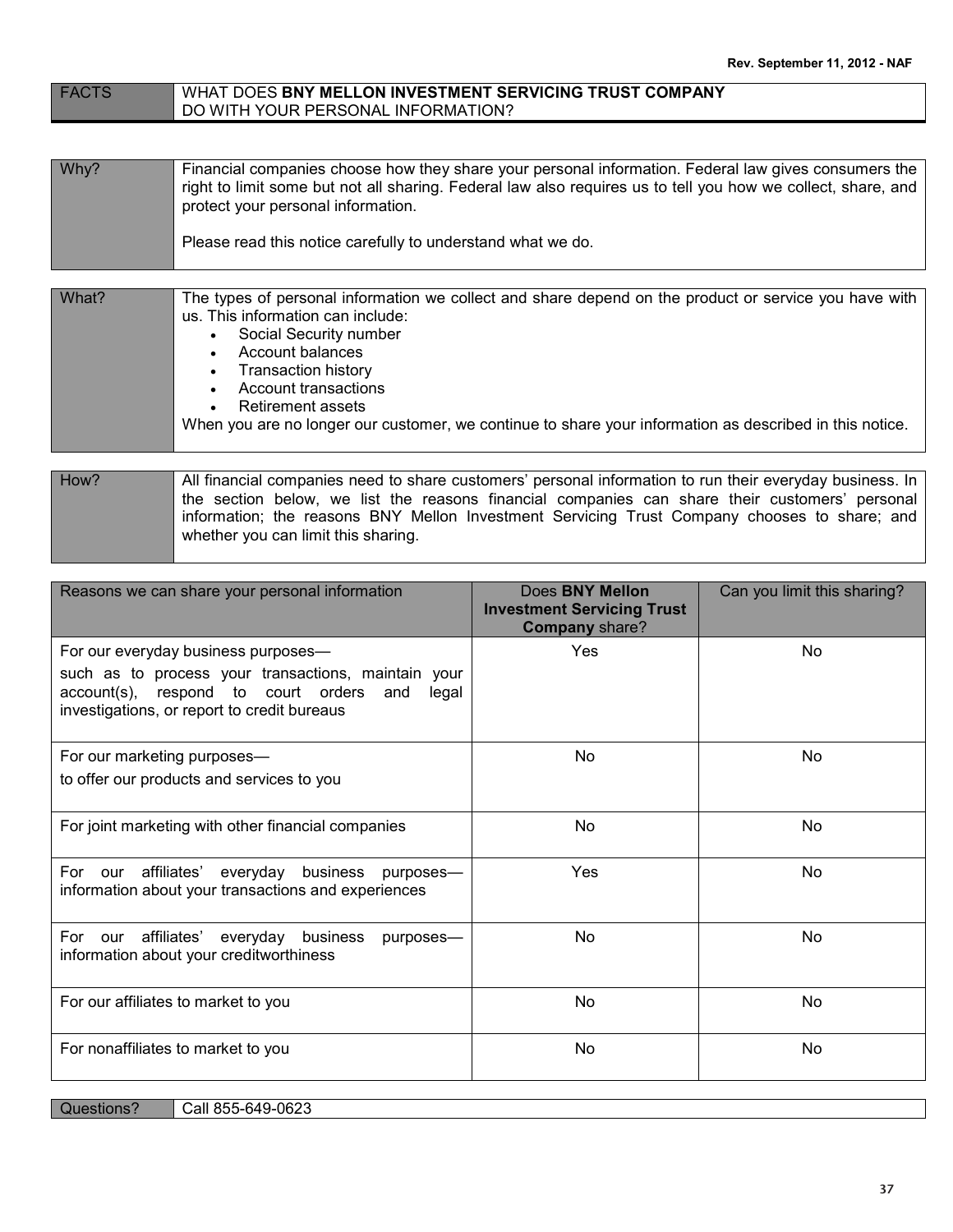#### FACTS WHAT DOES **BNY MELLON INVESTMENT SERVICING TRUST COMPANY** DO WITH YOUR PERSONAL INFORMATION?

| Why? | Financial companies choose how they share your personal information. Federal law gives consumers the<br>right to limit some but not all sharing. Federal law also requires us to tell you how we collect, share, and<br>protect your personal information. |
|------|------------------------------------------------------------------------------------------------------------------------------------------------------------------------------------------------------------------------------------------------------------|
|      | Please read this notice carefully to understand what we do.                                                                                                                                                                                                |

| What? | The types of personal information we collect and share depend on the product or service you have with   |
|-------|---------------------------------------------------------------------------------------------------------|
|       | us. This information can include:                                                                       |
|       | Social Security number                                                                                  |
|       | Account balances                                                                                        |
|       | Transaction history                                                                                     |
|       | Account transactions                                                                                    |
|       | Retirement assets                                                                                       |
|       | When you are no longer our customer, we continue to share your information as described in this notice. |

### How? All financial companies need to share customers' personal information to run their everyday business. In the section below, we list the reasons financial companies can share their customers' personal information; the reasons BNY Mellon Investment Servicing Trust Company chooses to share; and whether you can limit this sharing.

| Reasons we can share your personal information                                                                                                            | Does BNY Mellon<br><b>Investment Servicing Trust</b><br>Company share? | Can you limit this sharing? |
|-----------------------------------------------------------------------------------------------------------------------------------------------------------|------------------------------------------------------------------------|-----------------------------|
| For our everyday business purposes-                                                                                                                       | <b>Yes</b>                                                             | No                          |
| such as to process your transactions, maintain your<br>account(s), respond to court orders<br>and<br>legal<br>investigations, or report to credit bureaus |                                                                        |                             |
| For our marketing purposes-                                                                                                                               | No                                                                     | No                          |
| to offer our products and services to you                                                                                                                 |                                                                        |                             |
| For joint marketing with other financial companies                                                                                                        | No                                                                     | <b>No</b>                   |
| For<br>our affiliates'<br>everyday business purposes-<br>information about your transactions and experiences                                              | <b>Yes</b>                                                             | <b>No</b>                   |
| For<br>our affiliates' everyday<br>business<br>purposes-<br>information about your creditworthiness                                                       | No                                                                     | No                          |
| For our affiliates to market to you                                                                                                                       | No                                                                     | No                          |
| For nonaffiliates to market to you                                                                                                                        | No                                                                     | No                          |

| Questions? | Call 855-649-0623 |
|------------|-------------------|
|------------|-------------------|